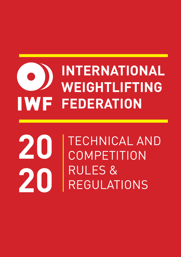# **INTERNATIONAL WEIGHTLIFTING IWF FEDERATION**

# TECHNICAL AND **COMPETITION** RULES & REGULATIONS **20 20**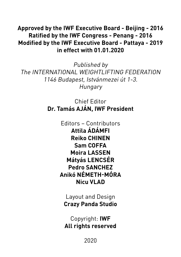## **Approved by the IWF Executive Board - Beijing - 2016 Ratified by the IWF Congress - Penang - 2016 Modified by the IWF Executive Board - Pattaya - 2019 in effect with 01.01.2020**

Published by The INTERNATIONAL WEIGHTLIFTING FEDERATION 1146 Budapest, Istvánmezei út 1-3. Hungary

> Chief Editor **Dr. Tamás AJÁN, IWF President**

> > Editors – Contributors **Attila ÁDÁMFI Reiko CHINEN Sam COFFA Moira LASSEN Mátyás LENCSÉR Pedro SANCHEZ Anikó NÉMETH-MÓRA Nicu VLAD**

Layout and Design **Crazy Panda Studio**

Copyright: **IWF All rights reserved**

2020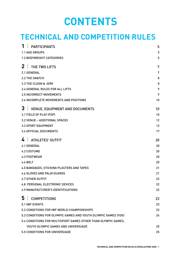# **CONTENTS**

# **TECHNICAL AND COMPETITION RULES**

| <b>PARTICIPANTS</b>                                            | 5  |
|----------------------------------------------------------------|----|
| <b>1.1 AGE GROUPS</b>                                          | 5  |
| <b>1.2 BODYWEIGHT CATEGORIES</b>                               | 5  |
| 2 <sub>1</sub><br>THE TWO LIFTS                                | 7  |
| 2.1 GENERAL                                                    | 7  |
| <b>2.2 THE SNATCH</b>                                          | 8  |
| 2.3 THE CLEAN & JERK                                           | 8  |
| 2.4 GENERAL RULES FOR ALL LIFTS                                | 9  |
| <b>2.5 INCORRECT MOVEMENTS</b>                                 | 9  |
| 2.6 INCOMPLETE MOVEMENTS AND POSITIONS                         | 10 |
| 3<br><b>VENUE, EQUIPMENT AND DOCUMENTS</b>                     | 10 |
| 3.1 FIELD OF PLAY (FOP)                                        | 10 |
| 3.2 VENUE - ADDITIONAL SPACES                                  | 12 |
| <b>3.3 SPORT EQUIPMENT</b>                                     | 12 |
| <b>3.4 OFFICIAL DOCUMENTS</b>                                  | 17 |
| <b>ATHLETES' OUTFIT</b>                                        | 20 |
| <b>4.1 GENERAL</b>                                             | 20 |
| <b>4.2 COSTUME</b>                                             | 20 |
| <b>4.3 FOOTWEAR</b>                                            | 20 |
| 4.4 BELT                                                       | 20 |
| 4.5 BANDAGES, STICKING PLASTERS AND TAPES                      | 21 |
| <b>4.6 GLOVES AND PALM GUARDS</b>                              | 21 |
| <b>4.7 OTHER OUTFIT</b>                                        | 22 |
| <b>4.8 PERSONAL ELECTRONIC DEVICES</b>                         | 22 |
| <b>4.9 MANUFACTURER'S IDENTIFICATIONS</b>                      | 22 |
| 5<br><b>COMPETITIONS</b>                                       | 23 |
| <b>5.1 IWF EVENTS</b>                                          | 23 |
| 5.2 CONDITIONS FOR IWF WORLD CHAMPIONSHIPS                     | 23 |
| 5.3 CONDITIONS FOR OLYMPIC GAMES AND YOUTH OLYMPIC GAMES (YOG) | 24 |
| 5.4 CONDITIONS FOR MULTISPORT GAMES OTHER THAN OLYMPIC GAMES.  |    |
| YOUTH OLYMPIC GAMES AND UNIVERSIADE                            | 25 |
| 5.5 CONDITIONS FOR UNIVERSIADE                                 | 25 |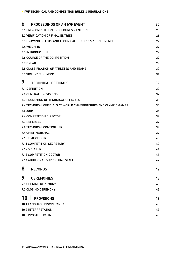| 6<br>PROCEEDINGS OF AN IWF EVENT                                 | 25 |
|------------------------------------------------------------------|----|
| 6.1 PRE-COMPETITION PROCEDURES - ENTRIES                         | 25 |
| <b>6.2 VERIFICATION OF FINAL ENTRIES</b>                         | 26 |
| 6.3 DRAWING OF LOTS AND TECHNICAL CONGRESS / CONFERENCE          | 27 |
| 6.4 WEIGH-IN                                                     | 27 |
| <b>6.5 INTRODUCTION</b>                                          | 27 |
| <b>6.6 COURSE OF THE COMPETITION</b>                             | 27 |
| 6.7 BREAK                                                        | 29 |
| <b>6.8 CLASSIFICATION OF ATHLETES AND TEAMS</b>                  | 30 |
| <b>6.9 VICTORY CEREMONY</b>                                      | 31 |
| 7<br><b>TECHNICAL OFFICIALS</b>                                  | 32 |
| 7.1 DEFINITION                                                   | 32 |
| 7.2 GENERAL PROVISIONS                                           | 32 |
| 7.3 PROMOTION OF TECHNICAL OFFICIALS                             | 33 |
| 7.4 TECHNICAL OFFICIALS AT WORLD CHAMPIONSHIPS AND OLYMPIC GAMES | 34 |
| <b>7.5 JURY</b>                                                  | 35 |
| 7.6 COMPETITION DIRECTOR                                         | 37 |
| <b>7.7 REFEREES</b>                                              | 37 |
| <b>7.8 TECHNICAL CONTROLLER</b>                                  | 39 |
| <b>7.9 CHIEF MARSHAL</b>                                         | 39 |
| 7.10 TIMEKEEPER                                                  | 40 |
| 7.11 COMPETITION SECRETARY                                       | 40 |
| 7.12 SPEAKER                                                     | 41 |
| 7.13 COMPETITION DOCTOR                                          | 41 |
| 7.14 ADDITIONAL SUPPORTING STAFF                                 | 42 |
| 81<br><b>RECORDS</b>                                             | 42 |
| 9<br><b>CEREMONIES</b>                                           | 43 |
| 9.1 OPENING CEREMONY                                             | 43 |
| 9.2 CLOSING CEREMONY                                             | 43 |
| 10<br><b>PROVISIONS</b>                                          | 43 |
| <b>10.1 LANGUAGE DISCREPANCY</b>                                 | 43 |
| 10.2 INTERPRETATION                                              | 43 |
| 10.3 PROSTHETIC LIMBS                                            | 43 |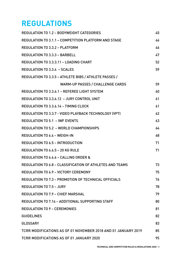# **REGULATIONS**

| <b>REGULATION TO 1.2 - BODYWEIGHT CATEGORIES</b>              | 45 |
|---------------------------------------------------------------|----|
| REGULATION TO 3.1.1 - COMPETITION PLATFORM AND STAGE          | 46 |
| <b>REGULATION TO 3.3.2 - PLATFORM</b>                         | 46 |
| <b>REGULATION TO 3.3.3 - BARBELL</b>                          | 47 |
| REGULATION TO 3.3.3.11 - LOADING CHART                        | 52 |
| <b>REGULATION TO 3.3.4 - SCALES</b>                           | 59 |
| REGULATION TO 3.3.5 - ATHLETE BIBS / ATHLETE PASSES /         |    |
| <b>WARM-UP PASSES / CHALLENGE CARDS</b>                       | 59 |
| REGULATION TO 3.3.6.1 - REFEREE LIGHT SYSTEM                  | 60 |
| REGULATION TO 3.3.6.12 - JURY CONTROL UNIT                    | 61 |
| <b>REGULATION TO 3.3.6.14 - TIMING CLOCK</b>                  | 61 |
| REGULATION TO 3.3.7 - VIDEO PLAYBACK TECHNOLOGY (VPT)         | 62 |
| <b>REGULATION TO 5.1 - IWF EVENTS</b>                         | 63 |
| <b>REGULATION TO 5.2 - WORLD CHAMPIONSHIPS</b>                | 64 |
| <b>REGULATION TO 6.4 - WEIGH-IN</b>                           | 68 |
| <b>REGULATION TO 6.5 - INTRODUCTION</b>                       | 71 |
| REGULATION TO 6.6.5 - 20 KG RULE                              | 71 |
| <b>REGULATION TO 6.6.6 - CALLING ORDER &amp;</b>              |    |
| REGULATION TO 6.8 - CLASSIFICATION OF ATHLETES AND TEAMS      | 73 |
| <b>REGULATION TO 6.9 - VICTORY CEREMONY</b>                   | 75 |
| REGULATION TO 7.3 - PROMOTION OF TECHNICAL OFFICIALS          | 76 |
| <b>REGULATION TO 7.5 - JURY</b>                               | 78 |
| <b>REGULATION TO 7.9 - CHIEF MARSHAL</b>                      | 79 |
| REGULATION TO 7.14 - ADDITIONAL SUPPORTING STAFF              | 80 |
| <b>REGULATION TO 9 - CEREMONIES</b>                           | 81 |
| <b>GUIDELINES</b>                                             | 82 |
| <b>GLOSSARY</b>                                               | 83 |
| TCRR MODIFICATIONS AS OF 01 NOVEMBER 2018 AND 01 JANUARY 2019 | 85 |
| TCRR MODIFICATIONS AS OF 01 JANUARY 2020                      | 95 |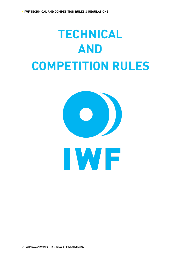# **TECHNICAL AND COMPETITION RULES**

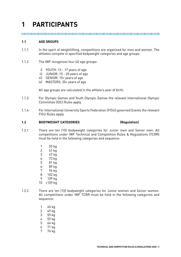# **1 PARTICIPANTS**

#### **1.1 AGE GROUPS**

- 1.1.1 In the sport of weightlifting, competitions are organised for men and women. The athletes compete in specified bodyweight categories and age groups.
- 1.1.2 The IWF recognises four (4) age groups:
	- i) YOUTH: 13 17 years of age
	- ii) JUNIOR: 15 20 years of age
	- iii) SENIOR: 15+ years of age
	- iv) MASTERS: 35+ years of age

All age groups are calculated in the athlete's year of birth.

- 1.1.3 For Olympic Games and Youth Olympic Games the relevant International Olympic Committee (IOC) Rules apply.
- 1.1.4 For International University Sports Federation (FISU) governed Events the relevant FISU Rules apply.

#### **1.2 BODYWEIGHT CATEGORIES (Regulation)**

- 1.2.1 There are ten (10) bodyweight categories for Junior men and Senior men. All competitions under IWF Technical and Competition Rules & Regulations (TCRR) must be held in the following categories and sequence:
	- 1 55 kg
	- 2 61 kg
	- 3 67 kg
	- 4 73 kg
	- 5 81 kg
	- 6 89 kg
	- 7 96 kg
	- 8 102 kg
	- 9 109 kg
	- 10 +109 kg
- 1.2.2 There are ten (10) bodyweight categories for Junior women and Senior women. All competitions under IWF TCRR must be held in the following categories and sequence:
	- 1 45 kg
	- 2 49 kg
	- 3 55 kg
	- 4 59 kg
	- 5 64 kg
	- 6 71 kg
	- 7 76 kg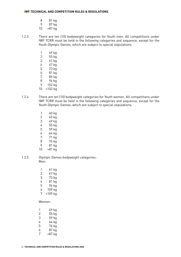- 8 81 kg
- 9 87 kg
- 10 +87 kg

1.2.3 There are ten (10) bodyweight categories for Youth men. All competitions under IWF TCRR must be held in the following categories and sequence, except for the Youth Olympic Games, which are subject to special stipulations.

- 1 49 kg
- 2 55 kg
- 3 61 kg
- 4 67 kg
- 5 73 kg
- 6 81 kg
- 7 89 kg
- 8 96 kg
- 9 102 kg
- 10 +102 kg
- 1.2.4 There are ten (10) bodyweight categories for Youth women. All competitions under IWF TCRR must be held in the following categories and sequence, except for the Youth Olympic Games, which are subject to special stipulations.
	- 1 40 kg
	- 2 45 kg
	- 3 49 kg
	- 4 55 kg
	- 5 59 kg
	- 6 64 kg
	- 7 71 kg
	- 8 76 kg
	-
	- 9 81 kg  $+81$  kg
- 1.2.5 Olympic Games bodyweight categories: Men:
	- 1 61 kg 2 67 kg 3 73 kg 4 81 kg 5 96 kg 6 109 kg 7 +109 kg

#### Women:

| 1 | 49 kg  |
|---|--------|
| 2 | 55 kg  |
| 3 | 59 kg  |
| 4 | 64 kg  |
| 5 | 76 kg  |
| 6 | 87 kg  |
| 7 | +87 kg |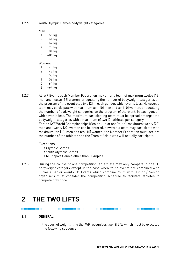1.2.6 Youth Olympic Games bodyweight categories:

Men:

- 1 55 kg
- 2 61 kg
- 3 67 kg 4 73 kg
- 5 81 kg
- $6 + 81$  kg

#### Women:

- 1 45 kg
- 2 49 kg
- 3 55 kg
- 4 59 kg 5 64 kg
- 6 +64 kg
- 1.2.7 At IWF Events each Member Federation may enter a team of maximum twelve (12) men and twelve (12) women, or equalling the number of bodyweight categories on the program of the event plus two (2) in each gender, whichever is less. However, a team may participate with maximum ten (10) men and ten (10) women, or equalling the number of bodyweight categories on the program of the event, in each gender, whichever is less. The maximum participating team must be spread amongst the bodyweight categories with a maximum of two (2) athletes per category. For the IWF World Championships (Senior, Junior and Youth), maximum twenty (20) men and twenty (20) women can be entered, however, a team may participate with maximum ten (10) men and ten (10) women, the Member Federation must declare the number of the athletes and the Team officials who will actually participate.

Exceptions:

- Olympic Games
- Youth Olympic Games
- Multisport Games other than Olympics
- 1.2.8 During the course of one competition, an athlete may only compete in one (1) bodyweight category except in the case when Youth events are combined with Junior / Senior events. At Events which combine Youth with Junior / Senior, organisers must consider the competition schedule to facilitate athletes to compete only once.

# **2 THE TWO LIFTS**

## **2.1 GENERAL**

In the sport of weightlifting the IWF recognises two (2) lifts which must be executed in the following sequence: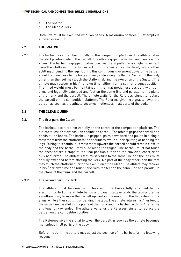- a) The Snatch
- b) The Clean & Jerk

Both lifts must be executed with two hands. A maximum of three (3) attempts is allowed in each lift.

#### **2.2 THE SNATCH**

2.2.1 The barbell is centred horizontally on the competition platform. The athlete takes the start position behind the barbell. The athlete grips the barbell and bends at the knees. The barbell is gripped, palms downward and pulled in a single movement from the platform to the full extent of both arms above the head, while either splitting or bending the legs. During this continuous movement upward the barbell should remain close to the body and may slide along the thighs. No part of the body other than the feet may touch the platform during the execution of the Snatch. The athlete may recover in his / her own time, either from a split or a squat position. The lifted weight must be maintained in the final motionless position, with both arms and legs fully extended and feet on the same line and parallel to the plane of the trunk and the barbell. The athlete waits for the Referees' signal to replace the barbell on the competition platform. The Referees give the signal to lower the barbell as soon as the athlete becomes motionless in all parts of the body.

#### **2.3 THE CLEAN & JERK**

#### 2.3.1 The first part, the Clean:

The barbell is centred horizontally on the centre of the competition platform. The athlete takes the start position behind the barbell. The athlete grips the barbell and bends at the knees. The barbell is gripped, palm downward and pulled in a single movement from the platform to the shoulders, while either splitting or bending the legs. During this continuous movement upward the barbell should remain close to the body and the barbell may slide along the thighs. The barbell must not touch the chest before it stops at the final position either on the clavicles, chest or on fully bent arms. The athlete's feet must return to the same line and the legs must be fully extended before starting the Jerk. No part of the body other than the feet may touch the platform during the execution of the Clean. The athlete may recover in his / her own time and must finish with the feet on the same line and parallel to the plane of the trunk and the barbell.

#### 2.3.2 The second part, the Jerk:

The athlete must become motionless with the knees fully extended before starting the Jerk. The athlete bends and dynamically extends the legs and arms simultaneously to move the barbell upward in one motion to the full extent of the arms, while either splitting or bending the legs. The athlete returns his / her feet to the same line parallel to the plane of the trunk and the barbell with his / her arms and legs fully extended. The athlete waits for the Referees' signal to replace the barbell on the competition platform.

The Referees give the signal to lower the barbell as soon as the athlete becomes motionless in all parts of the body.

Before the Jerk, the athlete may adjust the position of the barbell for the following reasons: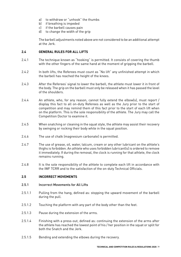- a) to withdraw or "unhook" the thumbs
- b) if breathing is impeded
- c) if the barbell causes pain
- d) to change the width of the grip

The barbell adjustments noted above are not considered to be an additional attempt at the Jerk.

## **2.4 GENERAL RULES FOR ALL LIFTS**

- 2.4.1 The technique known as "hooking" is permitted. It consists of covering the thumb with the other fingers of the same hand at the moment of gripping the barbell.
- 2.4.2 In both lifts, the Referees must count as "No lift" any unfinished attempt in which the barbell has reached the height of the knees.
- 2.4.3 After the Referees' signal to lower the barbell, the athlete must lower it in front of the body. The grip on the barbell must only be released when it has passed the level of the shoulders.
- 2.4.4 An athlete, who, for any reason, cannot fully extend the elbow(s), must report / display this fact to all on-duty Referees as well as the Jury prior to the start of competition and may remind them of this fact prior to the start of each lift when on the platform. This is the sole responsibility of the athlete. The Jury may call the Competition Doctor to examine it.
- 2.4.5 When snatching or cleaning in the squat style, the athlete may assist their recovery by swinging or rocking their body while in the squat position.
- 2.4.6 The use of chalk (magnesium carbonate) is permitted.
- 2.4.7 The use of grease, oil, water, talcum, cream or any other lubricant on the athlete's thighs is forbidden. An athlete who uses forbidden lubricant(s) is ordered to remove it immediately. If during the removal, the clock is running for that athlete, the clock remains running.
- 2.4.8 It is the sole responsibility of the athlete to complete each lift in accordance with the IWF TCRR and to the satisfaction of the on-duty Technical Officials.

#### **2.5 INCORRECT MOVEMENTS**

#### 2.5.1 Incorrect Movements for All Lifts

- 2.5.1.1 Pulling from the hang, defined as: stopping the upward movement of the barbell during the pull.
- 2.5.1.2 Touching the platform with any part of the body other than the feet.
- 2.5.1.3 Pause during the extension of the arms.
- 2.5.1.4 Finishing with a press-out, defined as: continuing the extension of the arms after the athlete has reached the lowest point of his / her position in the squat or split for both the Snatch and the Jerk.
- 2.5.1.5 Bending and extending the elbows during the recovery.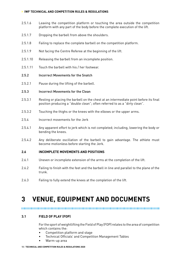- 2.5.1.6 Leaving the competition platform or touching the area outside the competition platform with any part of the body before the complete execution of the lift.
- 2.5.1.7 Dropping the barbell from above the shoulders.
- 2.5.1.8 Failing to replace the complete barbell on the competition platform.
- 2.5.1.9 Not facing the Centre Referee at the beginning of the lift.
- 2.5.1.10 Releasing the barbell from an incomplete position.
- 2.5.1.11 Touch the barbell with his / her footwear.
- 2.5.2 Incorrect Movements for the Snatch
- 2.5.2.1 Pause during the lifting of the barbell.
- 2.5.3 Incorrect Movements for the Clean
- 2.5.3.1 Resting or placing the barbell on the chest at an intermediate point before its final position producing a "double clean"; often referred to as a "dirty clean".
- 2.5.3.2 Touching the thighs or the knees with the elbows or the upper arms.
- 2.5.4 Incorrect movements for the Jerk
- 2.5.4.1 Any apparent effort to jerk which is not completed; including, lowering the body or bending the knees.
- 2.5.4.2 Any deliberate oscillation of the barbell to gain advantage. The athlete must become motionless before starting the Jerk.

#### **2.6 INCOMPLETE MOVEMENTS AND POSITIONS**

- 2.6.1 Uneven or incomplete extension of the arms at the completion of the lift.
- 2.6.2 Failing to finish with the feet and the barbell in line and parallel to the plane of the trunk.
- 2.6.3 Failing to fully extend the knees at the completion of the lift.

## **3 VENUE, EQUIPMENT AND DOCUMENTS**

#### 

#### **3.1 FIELD OF PLAY (FOP)**

For the sport of weightlifting the Field of Play (FOP) relates to the area of competition which contains the:

- Competition platform and stage
- Technical Officials' and Competition Management Tables
- Warm-up area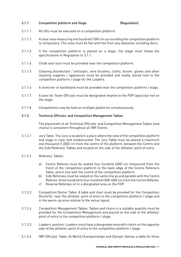#### 3.1.1 Competition platform and Stage (Regulation)

- 3.1.1.1 All lifts must be executed on a competition platform.
- 3.1.1.2 A clear area measuring one hundred (100) cm surrounding the competition platform is compulsory. This area must be flat and free from any obstacles including discs.
- 3.1.1.3 If the competition platform is placed on a stage, the stage must follow the specifications in Regulation to 3.1.1.
- 3.1.1.4 Chalk and rosin must be provided near the competition platform.
- 3.1.1.5 Cleaning disinfectant / antiseptic, wire brushes, cloths, broom, gloves and other cleaning supplies / appliances must be provided and neatly stored next to the competition platform / stage for the Loaders.
- 3.1.1.6 A stretcher or backboard must be provided near the competition platform / stage.
- 3.1.1.7 A zone for Team Officials must be designated relative to the FOP layout but not on the stage.
- 3.1.1.8 Competitions may be held on multiple platforms simultaneously.

#### 3.1.2 Technical Officials' and Competition Management Tables

The placement of all Technical Officials' and Competition Management Tables (and chairs) is consistent throughout all IWF Events.

- 3.1.2.1 Jury Table: The Jury is located in a place where the view of the competition platform and stage is clear and unobstructed. The Jury Table must be placed a maximum one thousand (1,000) cm from the centre of the platform, between the Centre and the Side Referees' Tables and located on the side of the athletes' point of entry.
- 3.1.2.2 Referees' Tables:
	- a) Centre Referee must be seated four hundred (400) cm (measured from the front) of the competition platform to the back edge of the Centre Referee's Table, and in line with the centre of the competition platform.
	- b) Side Referees must be seated on the same line as and parallel with the Centre Referee, three hundred to four hundred (300-400) cm from the Centre Referee.
	- c) Reserve Referees sit in a designated area on the FOP.
- 3.1.2.3 Competition Doctor Table: A table and chair must be provided for the Competition Doctor(s) near the athletes' point of entry to the competition platform / stage and in the warm-up area relative to the venue layout.
- 3.1.2.4 Competition Management Tables: Tables and chairs in a suitable quantity must be provided for the Competition Management and placed on the side of the athletes' point of entry to the competition platform / stage.
- 3.1.2.5 Loaders' position: Loaders must have a designated area with chairs on the opposite side of the athletes' point of entry to the competition platform / stage.
- 3.1.2.6 IWF Officials' Table: At World Championships and Olympic Games a table for three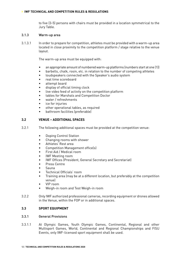to five (3-5) persons with chairs must be provided in a location symmetrical to the Jury Table.

#### 3.1.3 Warm-up area

3.1.3.1 In order to prepare for competition, athletes must be provided with a warm-up area located in close proximity to the competition platform / stage relative to the venue layout.

The warm-up area must be equipped with:

- an appropriate amount of numbered warm-up platforms (numbers start at one (1))
- barbells, chalk, rosin, etc. in relation to the number of competing athletes
- loudspeakers connected with the Speaker's audio system
- real time scoreboard
- attempt board
- display of official timing clock
- live video feed of activity on the competition platform
- tables for Marshals and Competition Doctor
- water / refreshments
- ice for injuries
- other operational tables, as required
- bathroom facilities (preferable)

#### **3.2 VENUE – ADDITIONAL SPACES**

- 3.2.1 The following additional spaces must be provided at the competition venue:
	- Doping Control Station
	- Changing rooms with shower
	- Athletes' Rest area
	- Competition Management office(s)
	- First Aid / Medical room
	- IWF Meeting room
	- IWF Offices (President, General Secretary and Secretariat)
	- Press Centre
	- Sauna
	- Technical Officials' room
	- Training area (may be at a different location, but preferably at the competition venue)
	- VIP room
	- Weigh-in room and Test Weigh-in room
- 3.2.2 Only IWF authorized professional cameras, recording equipment or drones allowed in the Venue, within the FOP or in additional spaces.

#### **3.3 SPORT EQUIPMENT**

#### 3.3.1 General Provisions

3.3.1.1 At Olympic Games, Youth Olympic Games, Continental, Regional and other Multisport Games, World, Continental and Regional Championships and FISU Events, only IWF-licensed sport equipment shall be used.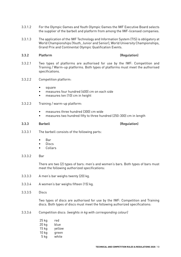- 3.3.1.2 For the Olympic Games and Youth Olympic Games the IWF Executive Board selects the supplier of the barbell and platform from among the IWF-licensed companies.
- 3.3.1.3 The application of the IWF Technology and Information System (TIS) is obligatory at World Championships (Youth, Junior and Senior), World University Championships, Grand Prix and Continental Olympic Qualification Events.

#### 3.3.2 Platform (Regulation)

- 3.3.2.1 Two types of platforms are authorised for use by the IWF: Competition and Training / Warm-up platforms. Both types of platforms must meet the authorised specifications.
- 3.3.2.2 Competition platform:
	- square
	- measures four hundred (400) cm on each side
	- measures ten (10) cm in height
- 3.3.2.3 Training / warm-up platform:
	- measures three hundred (300) cm wide
	- measures two hundred fifty to three hundred (250-300) cm in length

#### 3.3.3 Barbell (Regulation)

- 3.3.3.1 The barbell consists of the following parts:
	- Bar
	- Discs
	- Collars
- 3.3.3.2 Bar

There are two (2) types of bars: men's and women's bars. Both types of bars must meet the following authorized specifications:

- 3.3.3.3 A men's bar weighs twenty (20) kg.
- 3.3.3.4 A women's bar weighs fifteen (15) kg.
- 3.3.3.5 Discs

Two types of discs are authorised for use by the IWF: Competition and Training discs. Both types of discs must meet the following authorized specifications:

3.3.3.6 Competition discs: (weights in kg with corresponding colour)

| 25 kg | red    |
|-------|--------|
| 20 kg | blue   |
| 15 kg | yellow |
| 10 kg | green  |
| 5 kg  | white  |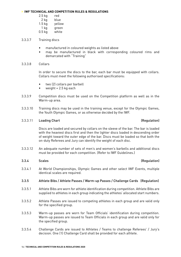- 2.5 kg red
- 2 kg blue
- 1.5 kg yellow
- 1 kg green
- 0.5 kg white
- 3.3.3.7 Training discs
	- manufactured in coloured weights as listed above
	- may be manufactured in black with corresponding coloured rims and demarcated with "Training"

#### 3.3.3.8 Collars

In order to secure the discs to the bar, each bar must be equipped with collars. Collars must meet the following authorised specifications:

- two (2) collars per barbell
- weight =  $2.5$  kg each
- 3.3.3.9 Competition discs must be used on the Competition platform as well as in the Warm-up area.
- 3.3.3.10 Training discs may be used in the training venue, except for the Olympic Games, the Youth Olympic Games, or as otherwise decided by the IWF.

#### 3.3.3.11 Loading Chart (Regulation)

# Discs are loaded and secured by collars on the sleeve of the bar. The bar is loaded

with the heaviest discs first and then the lighter discs loaded in descending order of weight toward the outer edge of the bar. Discs must be loaded so that both the on-duty Referees and Jury can identify the weight of each disc.

3.3.3.12 An adequate number of sets of men's and women's barbells and additional discs must be provided for each competition. (Refer to IWF Guidelines.)

#### 3.3.4 Scales (Regulation)

3.3.4.1 At World Championships, Olympic Games and other select IWF Events, multiple identical scales are required.

#### 3.3.5 Athlete Bibs / Athlete Passes / Warm-up Passes / Challenge Cards (Regulation)

- 3.3.5.1 Athlete Bibs are worn for athlete identification during competition. Athlete Bibs are supplied to athletes in each group indicating the athletes' allocated start numbers.
- 3.3.5.2 Athlete Passes are issued to competing athletes in each group and are valid only for the specified group.
- 3.3.5.3 Warm-up passes are worn for Team Officials' identification during competition. Warm-up passes are issued to Team Officials in each group and are valid only for the specified group.
- 3.3.5.4 Challenge Cards are issued to Athletes / Teams to challenge Referees' / Jury's decision. One (1) Challenge Card shall be provided for each athlete.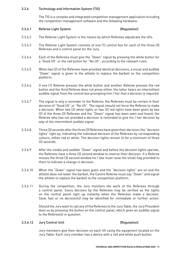#### 3.3.6 Technology and Information System (TIS)

The TIS is a complex and integrated competition management application including the competition management software and the following hardware:

#### 3.3.6.1 Referee Light System (Regulation)

- 3.3.6.2 The Referee Light System is the means by which Referees adjudicate the lifts.
- 3.3.6.3 The Referee Light System consists of one (1) control box for each of the three (3) Referees and a control panel for the Jury.
- 3.3.6.4 Each of the Referees must give the "Down" signal by pressing the white button for a "Good lift" or the red button for "No lift", according to the relevant rules.
- 3.3.6.5 When two (2) of the Referees have provided identical decisions, a visual and audible "Down" signal is given to the athlete to replace the barbell on the competition platform.
- 3.3.6.6 If one (1) Referee presses the white button and another Referee presses the red button and the third Referee does not press either, the latter hears an intermittent audible signal from the control box prompting him / her that a decision is required.
- 3.3.6.7 The signal is only a reminder to the Referee; the Referees must be certain in their decision of "Good lift" or "No lift". The signal should not force the Referee to make a decision. When two (2) white lights or two (2) red lights have been given by two (2) of the three (3) Referees and the "Down" signal has been seen and heard, the Referee who has not provided a decision is reminded to give his / her decision by way of the intermittent audible signal.
- 3.3.6.8 Three (3) seconds after the three (3) Referees have given their decision; the "decision lights" light up, indicating the individual decision of the Referees by corresponding colours, either red or white. The decision lights remain lit for a minimum of three (3) seconds.
- 3.3.6.9 After the visible and audible "Down" signal and before the decision lights operate, the Referees have a three (3) second window to reverse their decision. If a Referee misses the three (3) second window he / she must raise the small flag provided to them to indicate a change in decision.
- 3.3.6.10 When the "Down" signal has been given and the "decision lights" are on and the athlete does not lower the barbell, the Centre Referee must say "Down" and signal the athlete to replace the barbell to the competition platform.
- 3.3.6.11 During the competition, the Jury monitors the work of the Referees through a control panel. Every decision by the Referees may be verified as the lights on the control panel light up instantly when the Referees make a decision. Slow, fast or no decision(s) may be identified for immediate or further action.

Should the Jury want to call any of the Referees to the Jury Table, the Jury President does so by pressing the button on the control panel, which gives an audible signal to the Referee(s) in question.

## 3.3.6.12 Jury Control Unit (Regulation)

Jury members give their decision on each lift using the equipment located on the Jury Table. Each Jury member has a device with a red and white push button.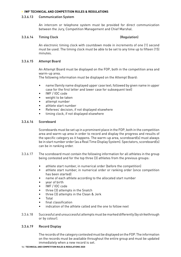#### 3.3.6.13 Communication System

An intercom or telephone system must be provided for direct communication between the Jury, Competition Management and Chief Marshal.

#### 3.3.6.14 Timing Clock (Regulation)

An electronic timing clock with countdown mode in increments of one (1) second must be used. The timing clock must be able to be set to any time up to fifteen (15) minutes.

#### 3.3.6.15 Attempt Board

An Attempt Board must be displayed on the FOP, both in the competition area and warm-up area.

The following information must be displayed on the Attempt Board:

- name (family name displayed upper case text; followed by given name in upper case for the first letter and lower case for subsequent text)
- IWF / IOC code
- weight to be taken
- attempt number
- athlete start number
- Referees' decision, if not displayed elsewhere
- timing clock, if not displayed elsewhere

#### 3.3.6.16 Scoreboard

Scoreboards must be set up in a prominent place in the FOP, both in the competition area and warm-up area in order to record and display the progress and results of the specific category as it happens. The warm-up area, scoreboard(s) must always be in start number order (as a Real Time Display System). Spectators, scoreboard(s) can be in ranking order.

- 3.3.6.17 The scoreboard must contain the following information for all athletes in the group being contested and for the top three (3) athletes from the previous groups:
	- athlete start number, in numerical order (before the competition)
	- athlete start number, in numerical order or ranking order (once competition has been started)
	- name of each athlete according to the allocated start number
	- year of birth
	- IWF / IOC code
	- three (3) attempts in the Snatch
	- three (3) attempts in the Clean & Jerk
	- Total
	- final classification
	- indication of the athlete called and the one to follow next
- 3.3.6.18 Successful and unsuccessful attempts must be marked differently (by strikethrough or by colour).

#### 3.3.6.19 Record Display

The records of the category contested must be displayed on the FOP. The information on the records must be available throughout the entire group and must be updated immediately when a new record is set.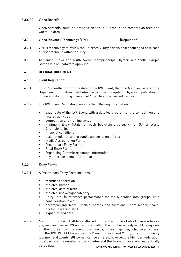#### 3.3.6.20 Video Board(s)

Video screen(s) must be provided on the FOP, both in the competition area and warm-up area.

## 3.3.7 Video Playback Technology (VPT) (Regulation)

- 3.3.7.1 VPT is technology to review the Referees' / Jury's decision if challenged or in case of disagreement within the Jury.
- 3.3.7.2 At Senior, Junior and Youth World Championships, Olympic and Youth Olympic Games it is obligatory to apply VPT.

## **3.4 OFFICIAL DOCUMENTS**

#### 3.4.1 Event Regulation

- 3.4.1.1 Four (4) months prior to the date of the IWF Event, the host Member Federation / Organising Committee distributes the IWF Event Regulation by way of publishing it online and distributing it via email / mail to all concerned parties.
- 3.4.1.2 The IWF Event Regulation contains the following information:
	- exact date of the IWF Event, with a detailed program of the competition and related activities
	- competition and training venue
	- Minimum Entry Totals for each bodyweight category (for Senior World Championships)
	- financial conditions
	- accommodation and ground transportation offered
	- Media Accreditation Forms
	- Preliminary Entry Forms
	- Final Entry Forms
	- Organising Committee contact information
	- any other pertinent information

#### 3.4.2 Entry Forms

- 3.4.2.1 A Preliminary Entry Form includes:
	- Member Federation
	- athletes' names
	- athletes' date of birth
	- athletes' bodyweight category
	- Entry Total (a reference performance for the allocation into groups, with consideration to 6.6.5)
	- accompanying Team Officials' names and functions (Team leader, coach, doctor, therapist, etc.)
	- signature and date
- 3.4.2.2 Maximum number of athletes allowed on the Preliminary Entry Form are twelve (12) men and twelve (12) women, or equalling the number of bodyweight categories on the program of the event plus two (2) in each gender, whichever is less. For the IWF World Championships (Senior, Junior and Youth), maximum twenty (20) men and twenty (20) women can be entered, however, the Member Federation must declare the number of the athletes and the Team officials who will actually participate.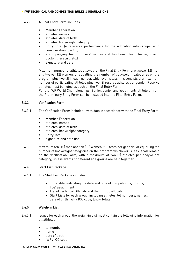- 3.4.2.3 A Final Entry Form includes:
	- Member Federation
	- athletes' names
	- athletes' date of birth
	- athletes' bodyweight category
	- Entry Total (a reference performance for the allocation into groups, with consideration to 6.6.5)
	- accompanying Team Officials' names and functions (Team leader, coach, doctor, therapist, etc.)
	- signature and date

Maximum number of athletes allowed on the Final Entry Form are twelve (12) men and twelve (12) women, or equalling the number of bodyweight categories on the program plus two (2) in each gender, whichever is less; this consists of a maximum number of participating athletes plus two (2) reserve athletes per gender. Reserve athletes must be noted as such on the Final Entry Form.

For the IWF World Championships (Senior, Junior and Youth), only athlete(s) from the Preliminary Entry Form can be included into the Final Entry Form.

## 3.4.3 Verification Form

- 3.4.3.1 The Verification Form includes with data in accordance with the Final Entry Form:
	- Member Federation
	- athletes' names
	- athletes' date of birth
	- athletes' bodyweight category
	- **Entry Total**
	- signature and date line
- 3.4.3.2 Maximum ten (10) men and ten (10) women (full team per gender), or equalling the number of bodyweight categories on the program whichever is less, shall remain on the Verification Form, with a maximum of two (2) athletes per bodyweight category, unless events of different age groups are held together.

#### 3.4.4 Start List Package

- 3.4.4.1 The Start List Package includes:
	- Timetable, indicating the date and time of competitions, groups, TOs' assignment
	- List of Technical Officials and their group allocation
	- Start Lists for each group, including athletes' lot numbers, names, date of birth, IWF / IOC code, Entry Totals

#### 3.4.5 Weigh-in List

- 3.4.5.1 Issued for each group, the Weigh-in List must contain the following information for all athletes:
	- lot number
	- name
	- date of birth
	- IWF / IOC code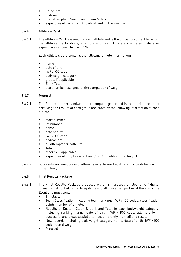- Entry Total
- bodyweight
- first attempts in Snatch and Clean & Jerk
- signatures of Technical Officials attending the weigh-in

## 3.4.6 Athlete's Card

3.4.6.1 The Athlete's Card is issued for each athlete and is the official document to record the athletes' declarations, attempts and Team Officials / athletes' initials or signature as allowed by the TCRR.

Each Athlete's Card contains the following athlete information:

- name
- date of birth
- IWF / IOC code
- bodyweight category
- group, if applicable
- **Entry Total**
- start number, assigned at the completion of weigh-in

## 3.4.7 Protocol

- 3.4.7.1 The Protocol, either handwritten or computer generated is the official document certifying the results of each group and contains the following information of each athlete:
	- start number
	- lot number
	- name
	- date of birth
	- IWF / IOC code
	- bodyweight
	- all attempts for both lifts
	- Total
	- records, if applicable
	- signatures of Jury President and / or Competition Director / TD
- 3.4.7.2 Successful and unsuccessful attempts must be marked differently (by strikethrough or by colour).

## 3.4.8 Final Results Package

- 3.4.8.1 The Final Results Package produced either in hardcopy or electronic / digital format is distributed to the delegations and all concerned parties at the end of the Event and must contain:
	- Timetable
	- Team Classification; including team rankings, IWF / IOC codes, classification points, number of athletes
	- Results of Snatch, Clean & Jerk and Total in each bodyweight category; including ranking, name, date of birth, IWF / IOC code, attempts (with successful and unsuccessful attempts differently marked) and result
	- New records; including bodyweight category, name, date of birth, IWF / IOC code, record weight
	- Protocol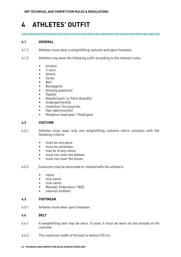# **4 ATHLETES' OUTFIT**

## **4.1 GENERAL**

- 4.1.1 Athletes must wear a weightlifting costume and sport footwear.
- 4.1.2 Athletes may wear the following outfit according to the relevant rules:
	- Unitard
	- T-shirt
	- Shorts
	- Socks
	- Belt
	- Bandage(s)
	- Sticking plaster(s)
	- Tape(s)
	- Glove(s) and / or Palm Guard(s)
	- Undergarment(s)
	- Jewellery / Accessories
	- Hair adornment(s)
	- Religious head gear / Head gear

#### **4.2 COSTUME**

- 4.2.1 Athletes must wear only one weightlifting costume which complies with the following criteria:
	- must be one piece
	- must be collarless
	- may be of any colour
	- must not cover the elbows
	- must not cover the knees
- 4.2.2 Costumes may be decorated or marked with the athlete's:
	- name
	- nick name
	- club name
	- Member Federation / NOC
	- national emblem

#### **4.3 FOOTWEAR**

4.3.1 Athletes must wear sport footwear.

#### **4.4 BELT**

- 4.4.1 A weightlifting belt may be worn. If used, it must be worn on the outside of the costume.
- 4.4.2 The maximum width of the belt is twelve (12) cm.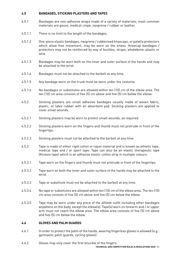## **4.5 BANDAGES, STICKING PLASTERS AND TAPES**

- 4.5.1 Bandages are non-adhesive wraps made of a variety of materials; most common materials are gauze, medical crepe, neoprene / rubber or leather.
- 4.5.1.1 There is no limit to the length of the bandages.
- 4.5.1.2 One-piece elastic bandages, neoprene / rubberised kneecaps, or patella protectors which allow free movement, may be worn on the knees. Kneecap bandages / protectors may not be reinforced by way of buckles, straps, whalebone, plastic or wire.
- 4.5.1.3 Bandages may be worn both on the inner and outer surface of the hands and may be attached to the wrist.
- 4.5.1.4 Bandages must not be attached to the barbell at any time.
- 4.5.1.5 Any bandage worn on the trunk must be worn under the costume.
- 4.5.1.6 No bandages or substitutes are allowed within ten (10) cm of the elbow area. The ten (10) cm area consists of five (5) cm above and five (5) cm below the elbow.
- 4.5.2 Sticking plasters are small adhesive bandages usually made of woven fabric, plastic, or latex rubber with an absorbent pad. Sticking plasters are applied to cover small wounds.
- 4.5.2.1 Sticking plasters may be worn to protect small wounds, as required.
- 4.5.2.2 Sticking plasters worn on the fingers and thumb must not protrude in front of the fingertips.
- 4.5.2.3 Sticking plasters must not be attached to the barbell at any time.
- 4.5.3 Tape is made of either rigid cotton or rayon material and is known as athletic tape, medical tape and / or sport tape. Tape can also be an elastic therapeutic tape (Kinesio tape) which is an adhesive elastic cotton strip in multiple colours.
- 4.5.3.1 Tape worn on the fingers and thumb must not protrude in front of the fingertips.
- 4.5.3.2 Tape worn on both the inner and outer surface of the hands may be attached to the wrist.
- 4.5.3.3 Tape or substitute must not be attached to the barbell at any time.
- 4.5.3.4 No tape or substitutes are allowed within ten (10) cm of the elbow area. The ten (10) cm area consists of five (5) cm above and five (5) cm below the elbow.
- 4.5.3.5 Tape may be worn under any piece of the athlete outfit including other bandages anywhere on the body, except the elbow(s). Tape(s) worn on forearm and / or upper arm must not reach the elbow area. The elbow area consists of five (5) cm above and five (5) cm below the elbow.

## **4.6 GLOVES AND PALM GUARDS**

- 4.6.1 In order to protect the palm of the hands, wearing fingerless gloves is allowed (e.g.: gymnastic palm guards, cycling gloves).
- 4.6.2 Gloves may only cover the first knuckle of the fingers.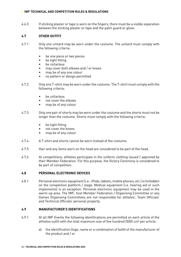4.6.3 If sticking plaster or tape is worn on the fingers, there must be a visible separation between the sticking plaster or tape and the palm guard or glove.

#### **4.7 OTHER OUTFIT**

- 4.7.1 Only one unitard may be worn under the costume. The unitard must comply with the following criteria:
	- be one piece or two pieces
	- be tight fitting
	- be collarless
	- may cover both elbows and / or knees
	- may be of any one colour
	- no pattern or design permitted
- 4.7.2 Only one T-shirt may be worn under the costume. The T-shirt must comply with the following criteria:
	- be collarless
	- not cover the elbows
	- may be of any colour
- 4.7.3 Only one pair of shorts may be worn under the costume and the shorts must not be longer than the costume. Shorts must comply with the following criteria:
	- be tight fitting
	- not cover the knees
	- may be of any colour
- 4.7.4 A T-shirt and shorts cannot be worn instead of the costume.
- 4.7.5 Hair and any items worn on the head are considered to be part of the head.
- 4.7.6 At competitions, athletes participate in the uniform clothing issued / approved by their Member Federation. For this purpose, the Victory Ceremony is considered to be part of competition.

#### **4.8 PERSONAL ELECTRONIC DEVICES**

4.8.1 Personal electronic equipment (i.e.: iPods, tablets, mobile phones, etc.) is forbidden on the competition platform / stage. Medical equipment (i.e. hearing aid or such implements) is an exception. Personal electronic equipment may be used in the warm-up area. The IWF, host Member Federation / Organising Committee or any Games Organising Committees are not responsible for athletes', Team Officials' and Technical Officials' personal property.

#### **4.9 MANUFACTURER'S IDENTIFICATIONS**

- 4.9.1 At all IWF Events the following identifications are permitted on each article of the athletes outfit with the total maximum size of five hundred (500) cm² per article:
	- a) the identification (logo, name or a combination of both) of the manufacturer of the product and / or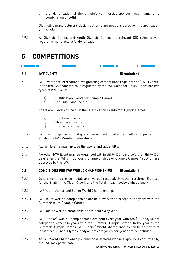b) the identification of the athlete's commercial sponsor (logo, name or a combination of both)

Distinctive manufacturer's design patterns are not considered for the application of this rule.

4.9.2 At Olympic Games and Youth Olympic Games the relevant IOC rules prevail regarding manufacturer's identification.

## **5 COMPETITIONS**

,,,,,,,,,,,,,,,,,,,,,,,,,,,,,,,

#### **5.1 IWF EVENTS (Regulation)**

- 5.1.1 IWF Events are international weightlifting competitions registered as "IWF Events" in the IWF Calendar which is regulated by the IWF Calendar Policy. There are two types of IWF Events:
	- a) Qualification Events for Olympic Games
	- b) Non-Qualifying Events

There are 3 levels of Event in the Qualification Events for Olympic Games:

- a) Gold Level Events
- b) Silver Level Events
- c) Bronze Level Events
- 5.1.2 IWF Event Organisers must guarantee unconditional entry to all participants from all eligible IWF Member Federations.
- 5.1.3 All IWF Events must include the two (2) individual lifts.
- 5.1.4 No other IWF Event may be organised within thirty (30) days before or thirty (30) days after the IWF / FISU World Championships or Olympic Games / YOG, unless approved by the IWF.

#### **5.2 CONDITIONS FOR IWF WORLD CHAMPIONSHIPS (Regulation)**

- 5.2.1 Gold, silver and bronze medals are awarded respectively to the first three (3) places for the Snatch, the Clean & Jerk and the Total in each bodyweight category.
- 5.2.2 IWF Youth, Junior and Senior World Championships
- 5.2.2.1 IWF Youth World Championships are held every year, except in the years with the Summer Youth Olympic Games.
- 5.2.2.2 IWF Junior World Championships are held every year.
- 5.2.2.3 IWF (Senior) World Championships are held every year with ten (10) bodyweight categories, except in years with the Summer Olympic Games. In the year of the Summer Olympic Games, IWF (Senior) World Championships can be held with at least three (3) non-Olympic bodyweight categories per gender to be included.
- 5.2.2.4 At IWF World Championships, only those athletes whose eligibility is confirmed by the IWF may participate.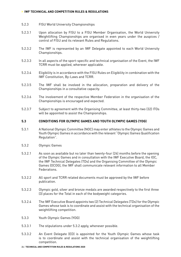#### 5.2.3 FISU World University Championships

- 5.2.3.1 Upon allocation by FISU to a FISU Member Organisation, the World University Weightlifting Championships are organised in even years under the auspices / control of FISU and its relevant Rules and Regulations.
- 5.2.3.2 The IWF is represented by an IWF Delegate appointed to each World University Championships.
- 5.2.3.3 In all aspects of the sport-specific and technical organisation of the Event, the IWF TCRR must be applied, wherever applicable.
- 5.2.3.4 Eligibility is in accordance with the FISU Rules on Eligibility in combination with the IWF Constitution, By-Laws and TCRR.
- 5.2.3.5 The IWF shall be involved in the allocation, preparation and delivery of the Championships in a consultative capacity.
- 5.2.3.6 The involvement of the respective Member Federation in the organisation of the Championships is encouraged and expected.
- 5.2.3.7 Subject to agreement with the Organising Committee, at least thirty-two (32) ITOs will be appointed to assist the Championships.

#### **5.3 CONDITIONS FOR OLYMPIC GAMES AND YOUTH OLYMPIC GAMES (YOG)**

- 5.3.1 A National Olympic Committee (NOC) may enter athletes to the Olympic Games and Youth Olympic Games in accordance with the relevant "Olympic Games Qualification Regulation".
- 5.3.2 Olympic Games
- 5.3.2.1 As soon as available but no later than twenty-four (24) months before the opening of the Olympic Games and in consultation with the IWF Executive Board, the IOC, the IWF Technical Delegates (TDs) and the Organising Committee of the Olympic Games (OCOG), the IWF shall communicate relevant information to all Member Federations.
- 5.3.2.2 All sport and TCRR related documents must be approved by the IWF before publication.
- 5.3.2.3 Olympic gold, silver and bronze medals are awarded respectively to the first three (3) places for the Total in each of the bodyweight categories.
- 5.3.2.4 The IWF Executive Board appoints two (2) Technical Delegates (TDs) for the Olympic Games whose task is to coordinate and assist with the technical organisation of the weightlifting competition.
- 5.3.3 Youth Olympic Games (YOG)
- 5.3.3.1 The stipulations under 5.3.2 apply, whenever possible.
- 5.3.3.2 An Event Delegate (ED) is appointed for the Youth Olympic Games whose task is to coordinate and assist with the technical organisation of the weightlifting competition.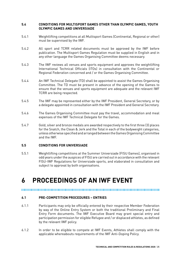### **5.4 CONDITIONS FOR MULTISPORT GAMES OTHER THAN OLYMPIC GAMES, YOUTH OLYMPIC GAMES AND UNIVERSIADE**

- 5.4.1 Weightlifting competitions at all Multisport Games (Continental, Regional or other) must be supervised by the IWF.
- 5.4.2 All sport and TCRR related documents must be approved by the IWF before publication. The Multisport Games Regulation must be supplied in English and in any other language the Games Organising Committee deems necessary.
- 5.4.3 The IWF reviews all venues and sports equipment and approves the weightlifting International Technical Officials (ITOs) in consultation with the Continental or Regional Federation concerned and / or the Games Organising Committee.
- 5.4.4 An IWF Technical Delegate (TD) shall be appointed to assist the Games Organising Committee. The TD must be present in advance of the opening of the Games to ensure that the venues and sports equipment are adequate and the relevant IWF TCRR are being respected.
- 5.4.5 The IWF may be represented either by the IWF President, General Secretary, or by a delegate appointed in consultation with the IWF President and General Secretary.
- 5.4.6 The Games Organising Committee must pay the travel, accommodation and meal expenses of the IWF Technical Delegate for the Games.
- 5.4.7 Gold, silver and bronze medals are awarded respectively to the first three (3) places for the Snatch, the Clean & Jerk and the Total in each of the bodyweight categories, unless otherwise specified and arranged between the Games Organising Committee and the IWF.

#### **5.5 CONDITIONS FOR UNIVERSIADE**

5.5.1 Weightlifting competitions at the Summer Universiade (FISU Games), organised in odd years under the auspices of FISU are carried out in accordance with the relevant FISU-IWF Regulations for Universiade sports, and elaborated in consultation and subject to approval by both organisations.

## **6 PROCEEDINGS OF AN IWF EVENT**

#### 

#### **6.1 PRE-COMPETITION PROCEDURES – ENTRIES**

- 6.1.1 Participants may only be officially entered by their respective Member Federation by way of the Online Entry System or both the traditional Preliminary and Final Entry Form documents. The IWF Executive Board may grant special entry and participation permission for eligible Refugee and / or displaced athletes, as defined by the relevant IWF policy.
- 6.1.2 In order to be eligible to compete at IWF Events, Athletes shall comply with the applicable whereabouts requirements of the IWF Anti-Doping Policy.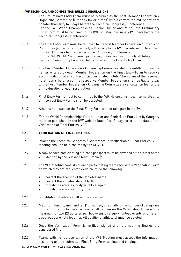- 6.1.3 The Preliminary Entry Form must be returned to the host Member Federation / Organising Committee (either by fax or e-mail) with a copy to the IWF Secretariat no later than sixty (60) days before the Technical Congress / Conference. For the IWF World Championships (Senior, Junior and Youth), the Preliminary Entry Form must be returned to the IWF no later than ninety (90) days before the Technical Congress / Conference.
- 6.1.4 The Final Entry Form must be returned to the host Member Federation / Organising Committee (either by fax or e-mail) with a copy to the IWF Secretariat no later than fourteen (14) days before the Technical Congress / Conference. For the IWF World Championships (Senior, Junior and Youth), only athlete(s) from the Preliminary Entry Form can be included into the Final Entry Form.
- 6.1.5 The host Member Federation / Organising Committee shall be entitled to use the names entered by each Member Federation on the Final Entry Form to reserve accommodation at any of the official designated hotels. Should any of the reserved hotel rooms be unused, the respective Member Federation shall be liable to pay to the host Member Federation / Organising Committee a cancellation fee for the entire duration of each reservation.
- 6.1.6 Final Entry Forms must be confirmed by the IWF. No unconfirmed, incomplete and/ or incorrect Entry Forms shall be accepted.
- 6.1.7 Athletes not listed on the Final Entry Form cannot take part in the Event.
- 6.1.8 For the World Championships (Youth, Junior and Senior), an Entry List by Category must be published on the IWF website latest five (5) days prior to the date of the Verification of Final Entries (VFE).

## **6.2 VERIFICATION OF FINAL ENTRIES**

- 6.2.1 Prior to the Technical Congress / Conference, a Verification of Final Entries (VFE) Meeting shall be held chaired by the CD / TD.
- 6.2.2 A copy of each participating athlete's passport must be provided at the latest at the VFE Meeting by the relevant Team Official(s).
- 6.2.3 The VFE Meeting consists of each participating team receiving a Verification Form on which they are requested / eligible to do the following:
	- correct the spelling of the athletes' name
	- correct the athletes' date of birth
	- modify the athletes' bodyweight category
	- modify the athletes' Entry Total
- 6.2.4 Substitution of athletes will not be accepted.
- 6.2.5 Maximum ten (10) men and ten (10) women, or equalling the number of categories on the program whichever is less, shall remain on the Verification Form with a maximum of two (2) athletes per bodyweight category, unless events of different age groups are held together. All additional athlete(s) must be deleted.
- 6.2.6 Once the Verification Form is verified, signed and returned the Entries are considered final.
- 6.2.7 Teams with no representation at the VFE Meeting must accept the information according to their submitted Final Entry Form as final and binding.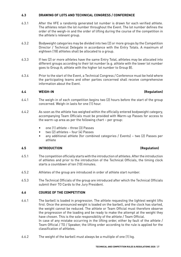## **6.3 DRAWING OF LOTS AND TECHNICAL CONGRESS / CONFERENCE**

- 6.3.1 After the VFE a randomly generated lot number is drawn for each verified athlete. The athletes retain the lot number throughout the Event. The lot number defines the order of the weigh-in and the order of lifting during the course of the competition in the athlete's relevant group.
- 6.3.2 Bodyweight categories may be divided into two (2) or more groups by the Competition Director / Technical Delegate in accordance with the Entry Totals. A maximum of eighteen (18) athletes shall be allocated to a group.
- 6.3.3 If two (2) or more athletes have the same Entry Total, athletes may be allocated into different groups according to their lot number (e.g. athlete with the lower lot number goes to Group A; athlete with the higher lot number to Group B).
- 6.3.4 Prior to the start of the Event, a Technical Congress / Conference must be held where the participating teams and other parties concerned shall receive comprehensive information about the Event.

#### **6.4 WEIGH-IN (Regulation)**

- 6.4.1 The weigh-in of each competition begins two (2) hours before the start of the group concerned. Weigh-in lasts for one (1) hour.
- 6.4.2 As soon as the athlete has weighed within the officially entered bodyweight category, accompanying Team Officials must be provided with Warm-up Passes for access to the warm-up area as per the following chart – per group:
	- one (1) athlete three (3) Passes
	- two (2) athletes four (4) Passes
	- any additional athlete (for combined categories / Events) two (2) Passes per athlete

## **6.5 INTRODUCTION (Regulation)**

- 6.5.1 The competition officially starts with the introduction of athletes. After the introduction of athletes and prior to the introduction of the Technical Officials, the timing clock starts a countdown of ten (10) minutes.
- 6.5.2 Athletes of the group are introduced in order of athlete start number.
- 6.5.3 The Technical Officials of the group are introduced after which the Technical Officials submit their TO Cards to the Jury President.

### **6.6 COURSE OF THE COMPETITION**

- 6.6.1 The barbell is loaded in progression. The athlete requesting the lightest weight lifts first. Once the announced weight is loaded on the barbell, and the clock has started, the weight cannot be reduced. The athlete or Team Official must therefore observe the progression of the loading and be ready to make the attempt at the weight they have chosen. This is the sole responsibility of the athlete / Team Official. In case of any mistake occurring in the lifting order, either by fault of the athlete / Team Official / TO / Speaker, the lifting order according to the rule is applied for the classification of athletes.
- 6.6.2 The weight of the barbell must always be a multiple of one (1) kg.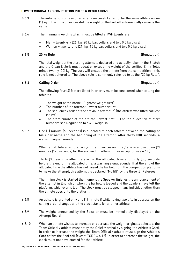- 6.6.3 The automatic progression after any successful attempt for the same athlete is one (1) kg. If the lift is unsuccessful the weight on the barbell automatically remains the same.
- 6.6.4 The minimum weights which must be lifted at IWF Events are:
	- Men = twenty-six (26) kg (20 kg bar, collars and two 0.5 kg discs)
	- Women = twenty-one (21) kg (15 kg bar, collars and two 0.5 kg discs)

#### 6.6.5 20 kg Rule (Regulation)

The total weight of the starting attempts declared and actually taken in the Snatch and the Clean & Jerk must equal or exceed the weight of the verified Entry Total minus twenty (20) kg. The Jury will exclude the athlete from the competition if this rule is not adhered to. The above rule is commonly referred to as the "20 kg Rule".

#### 6.6.6 Calling Order (Regulation)

The following four (4) factors listed in priority must be considered when calling the athletes:

- 1. The weight of the barbell (lightest weight first)
- 2. The number of the attempt (lowest number first)
- 3. The sequence / order of the previous attempt(s) (the athlete who lifted earliest is first)
- 4. The start number of the athlete (lowest first) For the allocation of start numbers see Regulation to 6.4 – Weigh-in
- 6.6.7 One (1) minute (60 seconds) is allocated to each athlete between the calling of his / her name and the beginning of the attempt. After thirty (30) seconds, a warning signal sounds.

When an athlete attempts two (2) lifts in succession, he / she is allowed two (2) minutes (120 seconds) for the succeeding attempt. (For exception see 6.6.8)

Thirty (30) seconds after the start of the allocated time and thirty (30) seconds before the end of the allocated time, a warning signal sounds. If at the end of the allocated time the athlete has not raised the barbell from the competition platform to make the attempt, this attempt is declared "No lift" by the three (3) Referees.

The timing clock is started the moment the Speaker finishes the announcement of the attempt in English or when the barbell is loaded and the Loaders have left the platform, whichever is last. The clock must be stopped if any individual other than the athlete goes onto the platform.

- 6.6.8 An athlete is granted only one (1) minute if while taking two lifts in succession the calling order changes and the clock starts for another athlete.
- 6.6.9 The weight announced by the Speaker must be immediately displayed on the Attempt Board.
- 6.6.10 When an athlete wishes to increase or decrease the weight originally selected, the Team Official / athlete must notify the Chief Marshal by signing the Athlete's Card. In order to increase the weight the Team Official / athlete must sign the Athlete's Card before the final call (except TCRR 6.6.12). In order to decrease the weight, the clock must not have started for that athlete.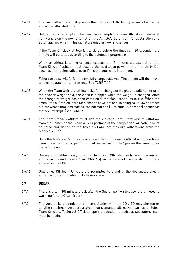- 6.6.11 The final call is the signal given by the timing clock thirty (30) seconds before the end of the allocated time.
- 6.6.12 Before the first attempt and between two attempts the Team Official / athlete must notify and sign the next attempt on the Athlete's Card; both for declaration and automatic increment. This signature enables two (2) changes.

If the Team Official / athlete fail to do so before the final call (30 seconds), the athlete will be called according to the automatic progression.

When an athlete is taking consecutive attempts (2 minutes allocated time), the Team Official / athlete must declare the next attempt within the first thirty (30) seconds after being called, even if it is the automatic increment.

Failure to do so will forfeit the two (2) changes allowed. The athlete will then have to take the automatic increment. (See TCRR 7.10)

- 6.6.13 When the Team Official / athlete asks for a change of weight and still has to take the heavier weight next, the clock is stopped while the weight is changed. After the change of weight has been completed, the clock continues to run. When the Team Official / athlete asks for a change of weight and, in doing so, follows another athlete whose time has started, the normal one (1) minute (60 seconds) applies for the next attempt. (See TCRR 7.10)
- 6.6.14 The Team Official / athlete must sign the Athlete's Card if they wish to withdraw from the Snatch or the Clean & Jerk portions of the competition, or both. It must be noted and signed on the Athlete's Card that they are withdrawing from the respective lift(s).

Once the Athlete's Card has been signed the withdrawal is official and the athlete cannot re-enter the competition in that respective lift. The Speaker then announces the withdrawal.

- 6.6.15 During competition only on-duty Technical Officials, authorised personnel, authorised Team Officials (See TCRR 6.4) and athletes of the specific group are allowed in the FOP.
- 6.6.16 Only three (3) Team Officials are permitted to stand at the designated area / entrance of the competition platform / stage.

#### **6.7 BREAK**

- 6.7.1 There is a ten (10) minute break after the Snatch portion to allow the athletes to warm up for the Clean & Jerk.
- 6.7.2 The Jury, at its discretion and in consultation with the CD / TD may shorten or lengthen the break. An appropriate announcement to all relevant parties (athletes, Team Officials, Technical Officials, sport production, broadcast, spectators, etc.) must be made.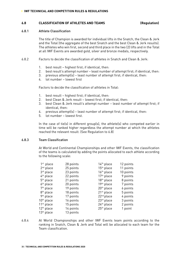#### **6.8 CLASSIFICATION OF ATHLETES AND TEAMS (Regulation)**

#### 6.8.1 Athlete Classification

The title of Champion is awarded for individual lifts in the Snatch, the Clean & Jerk and the Total (the aggregate of the best Snatch and the best Clean & Jerk results). The athletes who win first, second and third place in the two (2) lifts and in the Total at all IWF Events are awarded gold, silver and bronze medals, respectively.

- 6.8.2 Factors to decide the classification of athletes in Snatch and Clean & Jerk:
	- 1. best result highest first; if identical, then:
	- 2. best result's attempt number least number of attempt first; if identical, then:
	- 3. previous attempt(s) least number of attempt first; if identical, then:
	- 4. lot number lowest first

Factors to decide the classification of athletes in Total:

- 1. best result highest first; if identical, then:
- 2. best Clean & Jerk result lowest first; if identical, then:
- 3. best Clean & Jerk result's attempt number least number of attempt first; if identical, then:
- 4. previous attempt(s) least number of attempt first; if identical, then:
- 5. lot number lowest first.

In the case of tie(s) in different group(s), the athlete(s) who competed earlier in time will be ranked higher regardless the attempt number at which the athletes reached the relevant result. (See Regulation to 6.8)

#### 6.8.3 Team Classification

At World and Continental Championships and other IWF Events, the classification of the teams is calculated by adding the points allocated to each athlete according to the following scale:

| 28 points | 14 <sup>th</sup> place | 12 points |
|-----------|------------------------|-----------|
| 25 points | $15th$ place           | 11 points |
| 23 points | 16th place             | 10 points |
| 22 points | $17th$ place           | 9 points  |
| 21 points | 18 <sup>th</sup> place | 8 points  |
| 20 points | 19th place             | 7 points  |
| 19 points | 20 <sup>th</sup> place | 6 points  |
| 18 points | $21st$ place           | 5 points  |
| 17 points | 22 <sup>nd</sup> place | 4 points  |
| 16 points | 23 <sup>rd</sup> place | 3 points  |
| 15 points | $24th$ place           | 2 points  |
| 14 points | 25 <sup>th</sup> place | 1 point   |
| 13 points |                        |           |
|           |                        |           |

6.8.4 At World Championships and other IWF Events team points according to the ranking in Snatch, Clean & Jerk and Total will be allocated to each team for the Team classification.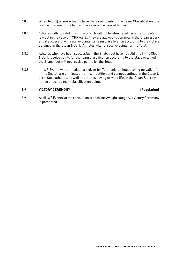- 6.8.5 When two (2) or more teams have the same points in the Team Classification, the team with more of the higher places must be ranked higher.
- 6.8.6 Athletes with no valid lifts in the Snatch will not be eliminated from the competition (except in the case of TCRR 6.8.8). They are allowed to compete in the Clean & Jerk and if successful will receive points for team classification according to their place obtained in the Clean & Jerk. Athletes will not receive points for the Total.
- 6.8.7 Athletes who have been successful in the Snatch but have no valid lifts in the Clean & Jerk receive points for the team classification according to the place obtained in the Snatch but will not receive points for the Total.
- 6.8.8 In IWF Events where medals are given for Total only athletes having no valid lifts in the Snatch are eliminated from competition and cannot continue in the Clean & Jerk. Such athletes, as well as athletes having no valid lifts in the Clean & Jerk will not be allocated team classification points.

#### **6.9 VICTORY CEREMONY (Regulation)**

6.9.1 At all IWF Events, at the conclusion of each bodyweight category, a Victory Ceremony is presented.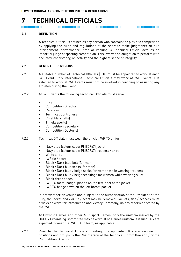# **7 TECHNICAL OFFICIALS**

#### **7.1 DEFINITION**

A Technical Official is defined as any person who controls the play of a competition by applying the rules and regulations of the sport to make judgments on rule infringement, performance, time or ranking. A Technical Official acts as an impartial judge of sporting competition. This involves an obligation to perform with accuracy, consistency, objectivity and the highest sense of integrity.

#### **7.2 GENERAL PROVISIONS**

- 7.2.1 A suitable number of Technical Officials (TOs) must be appointed to work at each IWF Event. Only International Technical Officials may work at IWF Events. TOs selected to work at IWF Events must not be involved in coaching or assisting any athletes during the Event.
- 7.2.2 At IWF Events the following Technical Officials must serve:
	- Jury
	- Competition Director
	- Referees
	- Technical Controllers
	- Chief Marshal(s)
	- Timekeeper(s)
	- Competition Secretary
	- Competition Doctor(s)
- 7.2.3 Technical Officials must wear the official IWF TO uniform:
	- Navy blue (colour code: PMS2767) jacket
	- Navy blue (colour code: PMS2767) trousers / skirt
	- White shirt
	- IWF tie / scarf
	- Black / Dark blue belt (for men)
	- Black / Dark blue socks (for men)
	- Black / Dark blue / beige socks for women while wearing trousers
	- Black / Dark blue / beige stockings for women while wearing skirt
	- Black dress shoes
	- IWF TO metal badge; pinned on the left lapel of the jacket
	- IWF TO badge sewn on the left breast pocket

In hot weather or venues and subject to the authorisation of the President of the Jury, the jacket and / or tie / scarf may be removed. Jackets, ties / scarves must always be worn for introduction and Victory Ceremony, unless otherwise stated by the IWF.

At Olympic Games and other Multisport Games, only the uniform issued by the OCOG / Organising Committee may be worn. If no Games uniform is issued TOs are expected to wear the IWF TO uniform, as applicable.

7.2.4 Prior to the Technical Officials' meeting, the appointed TOs are assigned to positions and groups by the Chairperson of the Technical Committee and / or the Competition Director.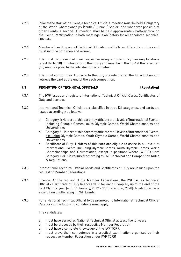- 7.2.5 Prior to the start of the Event, a Technical Officials' meeting must be held. Obligatory at the World Championships (Youth / Junior / Senior) and whenever possible at other Events, a second TO meeting shall be held approximately halfway through the Event. Participation in both meetings is obligatory for all appointed Technical Officials.
- 7.2.6 Members in each group of Technical Officials must be from different countries and must include both men and women.
- 7.2.7 TOs must be present at their respective assigned positions / working locations latest thirty (30) minutes prior to their duty and must be in the FOP at the latest ten (10) minutes prior to the introduction of athletes.
- 7.2.8 TOs must submit their TO cards to the Jury President after the Introduction and retrieve the card at the end of the each competition.

#### **7.3 PROMOTION OF TECHNICAL OFFICIALS (Regulation)**

- 7.3.1 The IWF issues and registers International Technical Official Cards, Certificates of Duty and licences.
- 7.3.2 International Technical Officials are classified in three (3) categories, and cards are issued accordingly as follows:
	- a) Category 1: Holders of this card may officiate at all levels of international Events, including Olympic Games, Youth Olympic Games, World Championships and Universiades
	- b) Category 2: Holders of this card may officiate at all levels of international Events, excluding Olympic Games, Youth Olympic Games, World Championships and Universiades
	- c) Certificate of Duty: Holders of this card are eligible to assist in all levels of international Events, including Olympic Games, Youth Olympic Games, World Championships and Universiades, except in positions where IWF TO Card Category 1 or 2 is required according to IWF Technical and Competition Rules & Regulations.
- 7.3.3 International Technical Official Cards and Certificates of Duty are issued upon the request of Member Federations.
- 7.3.4 Licence: At the request of the Member Federations, the IWF issues Technical Official / Certificate of Duty licences valid for each Olympiad, up to the end of the next Olympic year (e.g.: 1<sup>st</sup> January, 2017 - 31<sup>st</sup> December, 2020). A valid licence is a condition of officiating in IWF Events.
- 7.3.5 For a National Technical Official to be promoted to International Technical Official Category 2, the following conditions must apply.

The candidates:

- a) must have served as National Technical Official at least five (5) years
- b) must be proposed by their respective Member Federation
- c) must have a complete knowledge of the IWF TCRR
- d) must prove their competence in a practical examination organised by their respective Member Federation under IWF TCRR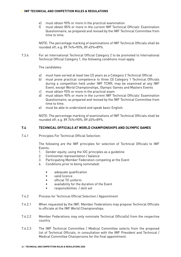- e) must obtain 90% or more in the practical examination
- f) must obtain 85% or more in the current IWF Technical Officials' Examination Questionnaire; as prepared and revised by the IWF Technical Committee from time to time.

NOTE: The percentage marking of examinations of IWF Technical Officials shall be rounded off; e.g. 89.74%=90%, 89.45%=89%.

7.3.6 For an International Technical Official Category 2 to be promoted to International Technical Official Category 1, the following conditions must apply.

The candidates:

- a) must have served at least two (2) years as a Category 2 Technical Official
- b) must prove practical competence to three (3) Category 1 Technical Officials during a competition held under IWF TCRR; may be examined at any IWF Event, except World Championships, Olympic Games and Masters Events
- c) must obtain 95% or more in the practical exam
- d) must obtain 90% or more in the current IWF Technical Officials' Examination Questionnaire; as prepared and revised by the IWF Technical Committee from time to time.
- e) must be able to understand and speak basic English.

NOTE: The percentage marking of examinations of IWF Technical Officials shall be rounded off; e.g. 89.74%=90%, 89.45%=89%.

#### **7.4 TECHNICAL OFFICIALS AT WORLD CHAMPIONSHIPS AND OLYMPIC GAMES**

7.4.1 Principles For Technical Official Selection:

The following are the IWF principles for selection of Technical Officials to IWF Events:

- 1. Gender equity; using the IOC principles as a guideline
- 2. Continental representation / balance
- 3. Participating Member Federation competing at the Event
- 4. Conditions prior to being nominated:
	- adequate qualification
	- valid licence
	- official TO uniform
	- availability for the duration of the Event
	- responsibilities / skill set
- 7.4.2 Process for Technical Official Selection / Appointment
- 7.4.2.1 When requested by the IWF, Member Federations may propose Technical Officials to officiate at the IWF World Championships.
- 7.4.2.2 Member Federations may only nominate Technical Official(s) from the respective country.
- 7.4.2.3 The IWF Technical Committee / Medical Committee selects from the proposed list of Technical Officials, in consultation with the IWF President and Technical / Medical Committee Chairpersons for the final appointment.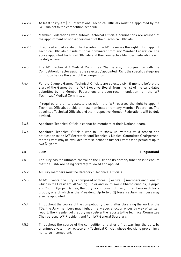- 7.4.2.4 At least thirty-six (36) International Technical Officials must be appointed by the IWF subject to the competition schedule.
- 7.4.2.5 Member Federations who submit Technical Officials nominations are advised of the appointment or non-appointment of their Technical Officials.
- 7.4.2.6 If required and at its absolute discretion, the IWF reserves the right to appoint Technical Officials outside of those nominated from any Member Federation. The above appointed Technical Officials and their respective Member Federations will be duly advised.
- 7.4.3 The IWF Technical / Medical Committee Chairperson, in conjunction with the Competition Director assigns the selected / appointed TOs to the specific categories or groups before the start of the competition.
- 7.4.4 For the Olympic Games, Technical Officials are selected six (6) months before the start of the Games by the IWF Executive Board, from the list of the candidates submitted by the Member Federations and upon recommendation from the IWF Technical / Medical Committee.

If required and at its absolute discretion, the IWF reserves the right to appoint Technical Officials outside of those nominated from any Member Federation. The appointed Technical Officials and their respective Member Federations will be duly advised.

- 7.4.5 Appointed Technical Officials cannot be members of their National team.
- 7.4.6 Appointed Technical Officials who fail to show up, without valid reason and notification to the IWF Secretariat and Technical / Medical Committee Chairperson, for the Event may be excluded from selection to further Events for a period of up to two (2) years.

#### **7.5 JURY (Regulation)**

- 7.5.1 The Jury has the ultimate control on the FOP and its primary function is to ensure that the TCRR are being correctly followed and applied.
- 7.5.2 All Jury members must be Category 1 Technical Officials.
- 7.5.3 At IWF Events, the Jury is composed of three (3) or five (5) members each, one of which is the President. At Senior, Junior and Youth World Championships, Olympic and Youth Olympic Games, the Jury is composed of five (5) members each for 2 groups, one of which is the President. Up to two (2) Reserve Jury members may also be appointed.
- 7.5.4 Throughout the course of the competition / Event, after observing the work of the TOs, the Jury members may highlight any special occurrences by way of written report. The President of the Jury may deliver the reports to the Technical Committee Chairperson, IWF President and / or IWF General Secretary.
- 7.5.5 Throughout the course of the competition and after a first warning, the Jury, by unanimous vote, may replace any Technical Official whose decisions prove him / her to be incompetent.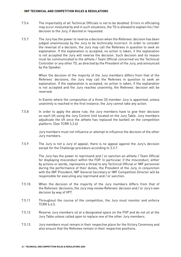- 7.5.6 The impartiality of all Technical Officials is not to be doubted. Errors in officiating may occur involuntarily and in such situations, the TO is allowed to explain his / her decision to the Jury, if desired or requested.
- 7.5.7 The Jury has the power to reverse a decision when the Referees' decision has been judged unanimously by the Jury to be technically incorrect. In order to consider the reversal of a decision, the Jury may call the Referees in question to seek an explanation. If the explanation is accepted, no action is taken, if the explanation is not accepted the Jury will reverse the decision. Such decision and its reason must be communicated to the athlete / Team Official concerned via the Technical Controller or any other TO, as directed by the President of the Jury, and announced by the Speaker.

When the decision of the majority of the Jury members differs from that of the Referees' decisions, the Jury may call the Referees in question to seek an explanation. If the explanation is accepted, no action is taken, if the explanation is not accepted and the Jury reaches unanimity, the Referees' decision will be reversed.

In Events where the composition of a three (3) member Jury is appointed, unless unanimity is reached in the first instance, the Jury cannot take any action.

7.5.8 In order to apply the above rule, the Jury members have to give their decision on each lift using the Jury Control Unit located on the Jury Table. Jury members adjudicate the lift once the athlete has replaced the barbell on the competition platform. (See TCRR 3.3.6)

> Jury members must not influence or attempt to influence the decision of the other Jury members.

7.5.9 The Jury is not a Jury of appeal; there is no appeal against the Jury's decision except for the Challenge procedure according to 3.3.7.

> The Jury has the power to reprimand and / or sanction an athlete / Team Official for displaying misconduct within the FOP. In particular, if the misconduct, either by actions or words, represents a threat to any Technical Official or IWF personnel during the performance of their duties, the President of the Jury, in conjunction with the IWF President, IWF General Secretary or IWF Competition Director will be responsible for executing any reprimand and / or sanction.

- 7.5.10. When the decision of the majority of the Jury members differs from that of the Referees' decisions, the Jury may review Referees' decision and / or Jury's own decision by way of VPT.
- 7.5.11 Throughout the course of the competition, the Jury must monitor and enforce TCRR 6.6.5.
- 7.5.12 Reserve Jury members sit at a designated space on the FOP and do not sit at the Jury Table unless called upon to replace one of the other Jury members.
- 7.5.13 Jury members must remain in their respective place for the Victory Ceremony and also ensure that the Referees remain in their respective positions.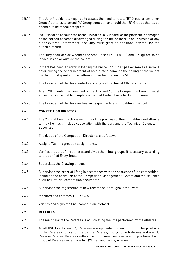- 7.5.14 The Jury President is required to assess the need to recall "B" Group or any other Groups' athletes to attend "A" Group competition should the "B" Group athletes be deemed to be medal prospects.
- 7.5.15 If a lift is failed because the barbell is not equally loaded, or the platform is damaged or the barbell becomes disarranged during the lift; or there is an incursion or any other external interference, the Jury must grant an additional attempt for the affected athlete.
- 7.5.16 The Jury shall decide whether the small discs (2.0, 1.5, 1.0 and 0.5 kg) are to be loaded inside or outside the collars.
- 7.5.17 If there has been an error in loading the barbell or if the Speaker makes a serious error during the announcement of an athlete's name or the calling of the weight the Jury must grant another attempt. (See Regulation to 7.5)
- 7.5.18 The President of the Jury controls and signs all Technical Officials' Cards.
- 7.5.19 At all IWF Events, the President of the Jury and / or the Competition Director must appoint an individual to complete a manual Protocol as a back-up document.
- 7.5.20 The President of the Jury verifies and signs the final competition Protocol.

#### **7.6 COMPETITION DIRECTOR**

7.6.1 The Competition Director is in control of the progress of the competition and attends to his / her task in close cooperation with the Jury and the Technical Delegate (if appointed).

The duties of the Competition Director are as follows:

- 7.6.2 Assigns TOs into groups / assignments.
- 7.6.3 Verifies the lists of the athletes and divide them into groups, if necessary, according to the verified Entry Totals.
- 7.6.4 Supervises the Drawing of Lots.
- 7.6.5 Supervises the order of lifting in accordance with the sequence of the competition, including the operation of the Competition Management System and the issuance of all IWF official competition documents.
- 7.6.6 Supervises the registration of new records set throughout the Event.
- 7.6.7 Monitors and enforces TCRR 6.6.5.
- 7.6.8 Verifies and signs the final competition Protocol.

#### **7.7 REFEREES**

- 7.7.1 The main task of the Referees is adjudicating the lifts performed by the athletes.
- 7.7.2 At all IWF Events four (4) Referees are appointed for each group. The positions of the Referees consist of the Centre Referee, two (2) Side Referees and one (1) Reserve Referee. Referees within one group must serve in rotating positions. Each group of Referees must have two (2) men and two (2) women.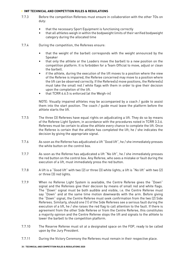- 7.7.3 Before the competition Referees must ensure in collaboration with the other TOs on duty:
	- that the necessary Sport Equipment is functioning correctly
	- that all athletes weigh in within the bodyweight limits of their verified bodyweight category during the allocated time
- 7.7.4 During the competition, the Referees ensure:
	- that the weight of the barbell corresponds with the weight announced by the Speaker
	- that only the athlete or the Loaders move the barbell to a new position on the competition platform. It is forbidden for a Team Official to move, adjust or clean the barbell.
	- if the athlete, during the execution of the lift moves to a position where the view of the Referee is impaired, the Referee concerned may move to a position where the lift can be observed correctly. If the Referee(s) move positions, the Referee(s) must take the small red / white flags with them in order to give their decision upon the completion of the lift.
	- that TCRR 6.6.5 is enforced (at the Weigh-in)

NOTE: Visually impaired athletes may be accompanied by a coach / guide to assist them into the start position. The coach / guide must leave the platform before the athlete starts the lift.

- 7.7.5 The three (3) Referees have equal rights on adjudicating a lift. They do so by means of the Referee Light System, in accordance with the procedures noted in TCRR 3.3.6. Referees must be certain to allow the athlete every chance to complete the lift. Once the Referee is certain that the athlete has completed the lift; he / she indicates the decision by giving the appropriate signal.
- 7.7.6 As soon as the Referee has adjudicated a lift "Good lift", he / she immediately presses the white button on the control box.
- 7.7.7 As soon as the Referee has adjudicated a lift "No lift", he / she immediately presses the red button on the control box. Any Referee, who sees a mistake or fault during the execution of a lift, must immediately press the red button.
- 7.7.8 A lift is a "Good lift" with two (2) or three (3) white lights; a lift is "No lift" with two (2) or three (3) red lights.
- 7.7.9 When no Referee Light System is available, the Centre Referee gives the "Down" signal and the Referees give their decision by means of small red and white flags. The "Down" signal must be both audible and visible, i.e. the Centre Referee must say "Down" and at the same time motion downwards with the arm. Before giving the "Down" signal, the Centre Referee must seek confirmation from the two (2) Side Referees. Similarly, should one (1) of the Side Referees see a serious fault during the execution of a lift, he / she raises the red flag to call attention to the fault. If there is agreement from the other Side Referee or from the Centre Referee, this constitutes a majority opinion and the Centre Referee stops the lift and signals to the athlete to lower the barbell to the competition platform.
- 7.7.10 The Reserve Referee must sit at a designated space on the FOP, ready to be called upon by the Jury President.
- 7.7.11 During the Victory Ceremony the Referees must remain in their respective place.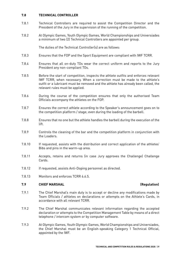#### **7.8 TECHNICAL CONTROLLER**

- 7.8.1 Technical Controllers are required to assist the Competition Director and the President of the Jury in the supervision of the running of the competition.
- 7.8.2 At Olympic Games, Youth Olympic Games, World Championships and Universiades a minimum of two (2) Technical Controllers are appointed per group.

The duties of the Technical Controller(s) are as follows:

- 7.8.3 Ensures that the FOP and the Sport Equipment are compliant with IWF TCRR.
- 7.8.4 Ensures that all on-duty TOs wear the correct uniform and reports to the Jury President any non-compliant TOs.
- 7.8.5 Before the start of competition, inspects the athlete outfits and enforces relevant IWF TCRR, when necessary. When a correction must be made to the athlete's outfit or a lubricant must be removed and the athlete has already been called, the relevant rules must be applied.
- 7.8.6 During the course of the competition ensures that only the authorised Team Officials accompany the athletes on the FOP.
- 7.8.7 Ensures the correct athlete according to the Speaker's announcement goes on to the competition platform / stage; even during the loading of the barbell.
- 7.8.8 Ensures that no one but the athlete handles the barbell during the execution of the lift.
- 7.8.9 Controls the cleaning of the bar and the competition platform in conjunction with the Loaders.
- 7.8.10 If requested, assists with the distribution and correct application of the athletes' Bibs and pins in the warm-up area.
- 7.8.11 Accepts, retains and returns (in case Jury approves the Challenge) Challenge Cards.
- 7.8.12 If requested, assists Anti-Doping personnel as directed.
- 7.8.13 Monitors and enforces TCRR 6.6.5.

#### **7.9 CHIEF MARSHAL (Regulation)**

- 7.9.1 The Chief Marshal's main duty is to accept or decline any modifications made by Team Officials / athletes on declarations or attempts on the Athlete's Cards, in accordance with all relevant TCRR.
- 7.9.2 The Chief Marshal communicates relevant information regarding the accepted declaration or attempts to the Competition Management Table by means of a direct telephone / intercom system or by computer software.
- 7.9.3 At Olympic Games, Youth Olympic Games, World Championships and Universiades, the Chief Marshal must be an English-speaking Category 1 Technical Official, appointed by the IWF.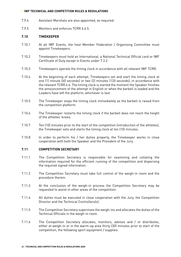- 7.9.4 Assistant Marshals are also appointed, as required.
- 7.9.5 Monitors and enforces TCRR 6.6.5.

#### **7.10 TIMEKEEPER**

- 7.10.1 At all IWF Events, the host Member Federation / Organising Committee must appoint Timekeepers.
- 7.10.2 Timekeepers must hold an International, a National Technical Official card or IWF Certificate of Duty except in Events under 7.3.2.
- 7.10.3 Timekeepers operate the timing clock in accordance with all relevant IWF TCRR.
- 7.10.4 At the beginning of each attempt, Timekeepers set and start the timing clock at one (1) minute (60 seconds) or two (2) minutes (120 seconds), in accordance with the relevant TCRR 6.6. The timing clock is started the moment the Speaker finishes the announcement of the attempt in English or when the barbell is loaded and the Loaders have left the platform, whichever is last.
- 7.10.5 The Timekeeper stops the timing clock immediately as the barbell is raised from the competition platform.
- 7.10.6 The Timekeeper restarts the timing clock if the barbell does not reach the height of the athletes' knees.
- 7.10.7 Ten (10) minutes prior to the start of the competition (introduction of the athletes), the Timekeeper sets and starts the timing clock at ten (10) minutes.
- 7.10.8 In order to perform his / her duties properly, the Timekeeper works in close cooperation with both the Speaker and the President of the Jury.

#### **7.11 COMPETITION SECRETARY**

- 7.11.1 The Competition Secretary is responsible for examining and collating the information required for the efficient running of the competition and dispersing the required signed information.
- 7.11.2 The Competition Secretary must take full control of the weigh-in room and the procedure therein.
- 7.11.3 At the conclusion of the weigh-in process the Competition Secretary may be requested to assist in other areas of the competition.
- 7.11.4 All duties must be executed in close cooperation with the Jury, the Competition Director and the Technical Controllers(s).
- 7.11.5 The Competition Secretary supervises the weigh-ins and allocates the duties of the Technical Officials in the weigh-in room.
- 7.11.6 The Competition Secretary allocates, monitors, advises and / or distributes, either at weigh-in or in the warm-up area thirty (30) minutes prior to start of the competition, the following sport equipment / supplies: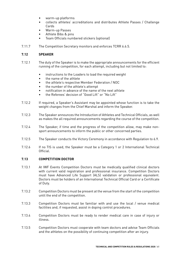- warm-up platforms
- collects athletes' accreditations and distributes Athlete Passes / Challenge Cards
- Warm-up Passes
- Athlete Bibs & pins
- Team Officials numbered stickers (optional)
- 7.11.7 The Competition Secretary monitors and enforces TCRR 6.6.5.

#### **7.12 SPEAKER**

- 7.12.1 The duty of the Speaker is to make the appropriate announcements for the efficient running of the competition, for each attempt, including but not limited to:
	- instructions to the Loaders to load the required weight
	- the name of the athlete
	- the athlete's respective Member Federation / NOC
	- the number of the athlete's attempt
	- notification in advance of the name of the next athlete
	- the Referees' decision of "Good Lift" or "No Lift"
- 7.12.2 If required, a Speaker's Assistant may be appointed whose function is to take the weight changes from the Chief Marshal and inform the Speaker.
- 7.12.3 The Speaker announces the Introduction of Athletes and Technical Officials, as well as makes the all required announcements regarding the course of the competition.
- 7.12.4 The Speaker, if time and the progress of the competition allow, may make nonsport announcements to inform the public or other concerned parties.
- 7.12.5 The Speaker conducts the Victory Ceremony in accordance with Regulation to 6.9.
- 7.12.6 If no TIS is used, the Speaker must be a Category 1 or 2 International Technical Official.

#### **7.13 COMPETITION DOCTOR**

- 7.13.1 At IWF Events Competition Doctors must be medically qualified clinical doctors with current valid registration and professional insurance. Competition Doctors must have Advanced Life Support (ALS) validation or professional equivalent. Doctors must be holders of an International Technical Official Card or a Certificate of Duty.
- 7.13.2 Competition Doctors must be present at the venue from the start of the competition until the end of the competition.
- 7.13.3 Competition Doctors must be familiar with and use the local / venue medical facilities and, if requested, assist in doping control procedures.
- 7.13.4 Competition Doctors must be ready to render medical care in case of injury or illness.
- 7.13.5 Competition Doctors must cooperate with team doctors and advise Team Officials and the athletes on the possibility of continuing competition after an injury.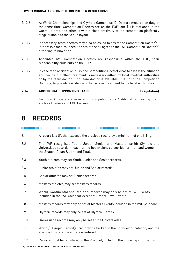- 7.13.6 At World Championships and Olympic Games two (2) Doctors must be on duty at the same time. Competition Doctors are on the FOP; one (1) is stationed in the warm-up area, the other is within close proximity of the competition platform / stage suitable to the venue layout.
- 7.13.7 If necessary, team doctors may also be asked to assist the Competition Doctor(s). If there is a medical need, the athlete shall agree to the IWF Competition Doctor(s) attending to him / her.
- 7.13.8 Appointed IWF Competition Doctors are responsible within the FOP; their responsibility ends outside the FOP.
- 7.13.9 In case of an accident or injury, the Competition Doctor(s) has to assess the situation and decide if further treatment is necessary either by local medical authorities or by the team doctor. If no team doctor is available, it is up to the Competition Doctor(s) to provide assistance or to transfer treatment to the local authorities.

#### **7.14 ADDITIONAL SUPPORTING STAFF (Regulation)**

Technical Officials are assisted in competitions by Additional Supporting Staff, such as Loaders and FOP Liaison.

### **8 RECORDS**

#### 

- 8.1 A record is a lift that exceeds the previous record by a minimum of one (1) kg.
- 8.2 The IWF recognises Youth, Junior, Senior and Masters world; Olympic and Universiade records in each of the bodyweight categories for men and women in the Snatch; Clean & Jerk and Total.
- 8.3 Youth athletes may set Youth, Junior and Senior records.
- 8.4 Junior athletes may set Junior and Senior records.
- 8.5 Senior athletes may set Senior records.
- 8.6 Masters athletes may set Masters records.
- 8.7 World, Continental and Regional records may only be set at IWF Events included in the IWF Calendar except at Bronze Level Events.
- 8.8 Masters records may only be set at Masters Events included in the IWF Calendar.
- 8.9 Olympic records may only be set at Olympic Games.
- 8.10 Universiade records may only be set at the Universiades.
- 8.11 World / Olympic Record(s) can only be broken in the bodyweight category and the age group where the athlete is entered.
- 8.12 Records must be registered in the Protocol, including the following information: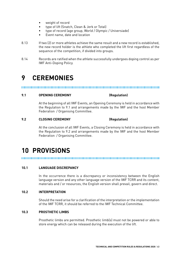- weight of record
- type of lift (Snatch, Clean & Jerk or Total)
- type of record (age group, World / Olympic / Universiade)
- Event name, date and location
- 8.13 If two (2) or more athletes achieve the same result and a new record is established, the new record holder is the athlete who completed the lift first regardless of the sequence of the competition, if divided into groups.
- 8.14 Records are ratified when the athlete successfully undergoes doping control as per IWF Anti-Doping Policy.

### **9 CEREMONIES**

#### **9.1 OPENING CEREMONY (Regulation)**

At the beginning of all IWF Events, an Opening Ceremony is held in accordance with the Regulation to 9.1 and arrangements made by the IWF and the host Member Federation / Organising Committee.

#### **9.2 CLOSING CEREMONY (Regulation)**

At the conclusion of all IWF Events, a Closing Ceremony is held in accordance with the Regulation to 9.2 and arrangements made by the IWF and the host Member Federation / Organising Committee.

## **10 PROVISIONS**

### **10.1 LANGUAGE DISCREPANCY**

In the occurrence there is a discrepancy or inconsistency between the English language version and any other language version of the IWF TCRR and its content, materials and / or resources, the English version shall prevail, govern and direct.

#### **10.2 INTERPRETATION**

Should the need arise for a clarification of the interpretation or the implementation of the IWF TCRR, it should be referred to the IWF Technical Committee.

#### **10.3 PROSTHETIC LIMBS**

Prosthetic limbs are permitted. Prosthetic limb(s) must not be powered or able to store energy which can be released during the execution of the lift.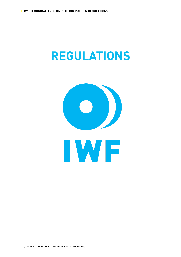# **REGULATIONS**

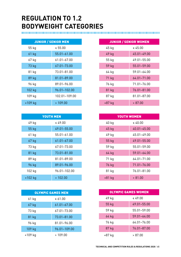## **REGULATION TO 1.2 BODYWEIGHT CATEGORIES**

| <b>JUNIOR / SENIOR MEN</b> |                 |  |
|----------------------------|-----------------|--|
| 55 kg                      | $\le 55.00$     |  |
| 61 kg                      | $55.01 - 61.00$ |  |
| 67 kg                      | 61.01-67.00     |  |
| 73 kg                      | 67.01-73.00     |  |
| 81 kg                      | 73.01-81.00     |  |
| 89 kg                      | 81.01-89.00     |  |
| 96 kg                      | 89.01-96.00     |  |
| 102 kg                     | 96.01-102.00    |  |
| 109 kg                     | 102.01-109.00   |  |
| +109 kg                    | >109.00         |  |

| <b>YOUTH MEN</b> |                 |  |
|------------------|-----------------|--|
| 49 kg            | $\leq 49.00$    |  |
| 55 kg            | 49.01-55.00     |  |
| 61 kg            | $55.01 - 61.00$ |  |
| 67 kg            | $61.01 - 67.00$ |  |
| 73 kg            | 67.01-73.00     |  |
| 81 kg            | 73.01-81.00     |  |
| 89 kg            | 81.01-89.00     |  |
| 96 kg            | 89.01-96.00     |  |
| 102 kg           | 96.01-102.00    |  |
| $+102$ kg        | >102.00         |  |

| <b>OLYMPIC GAMES MEN</b> |                 |  |
|--------------------------|-----------------|--|
| 61 kg                    | $\le 61.00$     |  |
| 67 kg                    | $61.01 - 67.00$ |  |
| 73 kg                    | 67.01-73.00     |  |
| 81 kg                    | 73.01-81.00     |  |
| 96 kg                    | 81.01-96.00     |  |
| 109 kg                   | 96.01-109.00    |  |
| $+109$ kg                | >109.00         |  |

| <b>JUNIOR / SENIOR WOMEN</b> |                 |  |
|------------------------------|-----------------|--|
| 45 kg                        | $\leq 45.00$    |  |
| 49 kg                        | 45.01-49.00     |  |
| 55 kg                        | 49.01-55.00     |  |
| 59 kg                        | 55.01-59.00     |  |
| 64 kg                        | $59.01 - 64.00$ |  |
| 71 kg                        | 64.01-71.00     |  |
| 76 kg                        | 71.01-76.00     |  |
| 81 kg                        | 76.01-81.00     |  |
| 87 kg                        | 81.01-87.00     |  |
| +87 kg                       | > 87.00         |  |

| <b>YOUTH WOMEN</b> |                 |  |
|--------------------|-----------------|--|
| 40 kg              | ≤ 40.00         |  |
| 45 kg              | 40.01-45.00     |  |
| 49 kg              | 45.01-49.00     |  |
| 55 kg              | 49.01-55.00     |  |
| 59 kg              | 55.01-59.00     |  |
| 64 kg              | $59.01 - 64.00$ |  |
| 71 kg              | 64.01-71.00     |  |
| 76 kg              | 71.01-76.00     |  |
| 81 kg              | 76.01-81.00     |  |
| $+81$ kg           | > 81.00         |  |

| <b>OLYMPIC GAMES WOMEN</b> |                 |  |
|----------------------------|-----------------|--|
| 49 kg                      | ≤ 49.00         |  |
| 55 kg                      | 49.01-55.00     |  |
| 59 kg                      | 55.01-59.00     |  |
| 64 kg                      | $59.01 - 64.00$ |  |
| 76 kg                      | 64.01-76.00     |  |
| 87 kg                      | 76.01-87.00     |  |
| +87 kg                     | > 87.00         |  |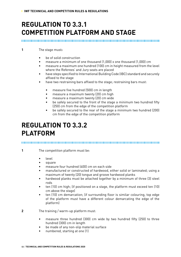## **REGULATION TO 3.3.1 COMPETITION PLATFORM AND STAGE**

**1** The stage must**:**

- be of solid construction
- measure a minimum of one thousand (1,000) x one thousand (1,000) cm
- measure a maximum one hundred (100) cm in height measured from the level where the Referees' and Jury seats are placed
- have steps specified to International Building Code (IBC) standard and securely affixed to the stage
- have two restraining bars affixed to the stage; restraining bars must:
	- measure five hundred (500) cm in length
	- measure a maximum twenty (20) cm high
	- measure a maximum twenty (20) cm wide
	- be safely secured to the front of the stage a minimum two hundred fifty (250) cm from the edge of the competition platform
	- be safely secured to the rear of the stage a minimum two hundred (200) cm from the edge of the competition platform

### **REGULATION TO 3.3.2 PLATFORM**

**1** The competition platform must be:

- level
- square
- measure four hundred (400) cm on each side
- manufactured or constructed of hardwood, either solid or laminated; using a maximum of twenty (20) tongue and groove hardwood planks
- hardwood planks must be attached together by a minimum of three (3) steel rods
- ten (10) cm high; (if positioned on a stage, the platform must exceed ten (10) cm above the stage)
- ten (10) cm demarcation; (if surrounding floor is similar colouring, top edge of the platform must have a different colour demarcating the edge of the platform)

**2** The training / warm-up platform must:

- measure three hundred (300) cm wide by two hundred fifty (250) to three hundred (300) cm in length
- be made of any non-slip material surface
- numbered, starting at one (1)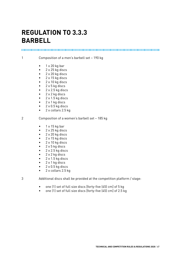### **REGULATION TO 3.3.3 BARBELL**

1 Composition of a men's barbell set – 190 kg

- $1 \times 20$  kg bar
- 2 x 25 kg discs
- 2 x 20 kg discs
- 2 x 15 kg discs
- $2 \times 10$  kg discs
- 2 x 5 kg discs
- $2 \times 2.5$  kg discs
- $2 \times 2$  kg discs
- $\bullet$  2 x 1.5 kg discs
- $\bullet$  2 x 1 kg discs
- $2 \times 0.5$  kg discs
- 2 x collars 2.5 kg

2 Composition of a women's barbell set – 185 kg

- $\bullet$  1 x 15 kg bar
- 2 x 25 kg discs
- 2 x 20 kg discs
- 2 x 15 kg discs
- 2 x 10 kg discs
- 2 x 5 kg discs
- $2 \times 2.5$  kg discs
- 2 x 2 kg discs
- $2 \times 1.5$  kg discs
- 2 x 1 kg discs
- $\bullet$  2 x 0.5 kg discs
- 2 x collars 2.5 kg
- 

3 Additional discs shall be provided at the competition platform / stage:

- one (1) set of full size discs [forty-five (45) cm] of 5 kg
- one (1) set of full size discs [forty-five (45) cm] of 2.5 kg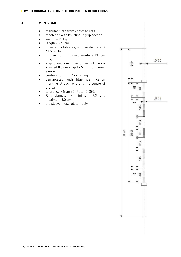#### **4 MEN'S BAR**

- manufactured from chromed steel
- machined with knurling in grip section
- weight  $= 20$  kg
- $length = 220$  cm
- outer ends (sleeves) =  $5 \text{ cm}$  diameter / 41.5 cm long
- grip section =  $2.8$  cm diameter / 131 cm long
- 2 grip sections =  $44.5$  cm with nonknurled 0.5 cm strip 19.5 cm from inner sleeve
- centre knurling = 12 cm long
- demarcated with blue identification marking at each end and the centre of the bar
- tolerance = from  $+0.1\%$  to  $-0.05\%$
- Rim diameter = minimum 7.3 cm, maximum 8.0 cm
- the sleeve must rotate freely

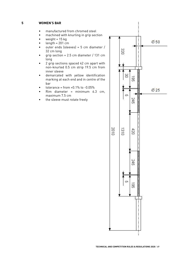### **5 WOMEN'S BAR**

- manufactured from chromed steel
- machined with knurling in grip section
- weight =  $15$  kg
- $length = 201$  cm
- outer ends (sleeves) =  $5 \text{ cm}$  diameter / 32 cm long
- grip section =  $2.5$  cm diameter / 131 cm long
- 2 grip sections spaced 42 cm apart with non-knurled 0.5 cm strip 19.5 cm from inner sleeve
- demarcated with yellow identification marking at each end and in centre of the bar
- tolerance = from  $+0.1\%$  to  $-0.05\%$
- $Rim$  diameter = minimum  $6.3$  cm, maximum 7.5 cm
- the sleeve must rotate freely

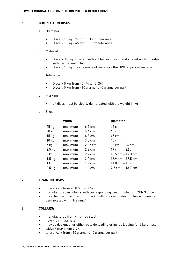#### **6 COMPETITION DISCS:**

- a) Diameter
	- Discs ≥ 10 kg : 45 cm ± 0.1 cm tolerance
	- Discs < 10 kg ≤ 45 cm ± 0.1 cm tolerance

#### b) Material

- Discs ≥ 10 kg: covered with rubber or plastic and coated on both sides with permanent colour
- Discs < 10 kg: may be made of metal or other IWF approved material

#### c) Tolerance

- Discs > 5 kg: from +0.1% to -0.05%
- Discs ≤ 5 kg: from +10 grams to -0 grams per part

#### d) Marking

- all discs must be clearly demarcated with the weight in kg
- e) Sizes

| Width   |                  | <b>Diameter</b>                 |
|---------|------------------|---------------------------------|
| maximum | $6.7 \text{ cm}$ | 45 cm                           |
| maximum | $5.4 \text{ cm}$ | 45 cm                           |
| maximum | 4.3 cm           | 45 cm                           |
| maximum | $3.5 \text{ cm}$ | 45 cm                           |
| maximum | $2.65$ cm        | $23 \text{ cm} - 26 \text{ cm}$ |
| maximum | $2.3 \text{ cm}$ | 19 cm $-22$ cm                  |
| maximum | 2.2 cm           | 15.5 cm – 19.3 cm               |
| maximum | $2.0 \text{ cm}$ | $13.9$ cm $-17.5$ cm            |
| maximum | $1.9 \text{ cm}$ | $11.8$ cm $-16$ cm              |
| maximum | $1.6 \text{ cm}$ | 9.7 cm - 13.7 cm                |
|         |                  |                                 |

#### **7 TRAINING DISCS:**

- $\bullet$  tolerance = from  $+0.8\%$  to  $-0.8\%$
- manufactured in colours with corresponding weight listed in TCRR 3.3.3.6
- may be manufactured in black with corresponding coloured rims and demarcated with "Training"

#### **8 COLLARS:**

- manufactured from chromed steel
- hole = 5 cm diameter
- may be designed for either outside loading or inside loading for 2 kg or less
- width = maximum 7.0 cm
- $to$  tolerance = from  $+10$  grams to  $-0$  grams per part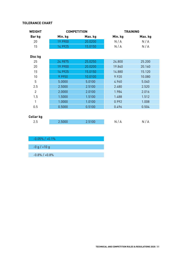### **TOLERANCE CHART**

| <b>WEIGHT</b>    |         | <b>COMPETITION</b> |         | <b>TRAINING</b> |
|------------------|---------|--------------------|---------|-----------------|
| Bar kg           | Min. kg | Max. kg            | Min. kg | Max. kg         |
| 20               | 19.9900 | 20.0200            | N/A     | N/A             |
| 15               | 14.9925 | 15.0150            | N/A     | N/A             |
|                  |         |                    |         |                 |
| Disc kg          |         |                    |         |                 |
| 25               | 24.9875 | 25.0250            | 24.800  | 25.200          |
| 20               | 19.9900 | 20.0200            | 19.840  | 20.160          |
| 15               | 14.9925 | 15.0150            | 14.880  | 15.120          |
| 10               | 9.9950  | 10.0100            | 9.920   | 10.080          |
| 5                | 5.0000  | 5.0100             | 4.960   | 5.040           |
| 2.5              | 2.5000  | 2.5100             | 2.480   | 2.520           |
| $\overline{2}$   | 2.0000  | 2.0100             | 1.984   | 2.016           |
| 1.5              | 1.5000  | 1.5100             | 1.488   | 1.512           |
| 1                | 1.0000  | 1.0100             | 0.992   | 1.008           |
| 0.5              | 0.5000  | 0.5100             | 0.496   | 0.504           |
|                  |         |                    |         |                 |
| <b>Collar kg</b> |         |                    |         |                 |
| 2.5              | 2.5000  | 2.5100             | N/A     | N/A             |
|                  |         |                    |         |                 |

| $-0.05\%$ / $+0.1\%$ |  |
|----------------------|--|
|                      |  |
| $-0$ g $/ + 10$ g    |  |
|                      |  |
| $-0.8\% / +0.8\%$    |  |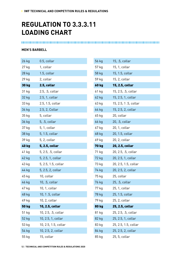## **REGULATION TO 3.3.3.11 LOADING CHART**

### **MEN'S BARBELL**

| 26 kg        | 0.5, collar          |
|--------------|----------------------|
| 27 kg        | 1, collar            |
| 28 kg        | 1.5, collar          |
| 29 kg        | 2, collar            |
| <b>30 kg</b> | 2.5, collar          |
| 31 kg        | 2.5, .5, collar      |
| 32 kg        | 2.5, 1, collar       |
| 33 kg        | 2.5, 1.5, collar     |
| 34 kg        | 2.5, 2, Collar       |
| 35 kg        | 5, collar            |
| 36 kg        | 5, .5, collar        |
| 37 kg        | 5, 1, collar         |
| 38 kg        | 5, 1.5, collar       |
| 39 kg        | 5, 2, collar         |
| <b>40 kg</b> | 5, 2.5, collar       |
| 41 kg        | 5, 2.5, .5, collar   |
| 42 kg        | 5, 2.5, 1, collar    |
| 43 kg        | 5, 2.5, 1.5, collar  |
| 44 kg        | 5, 2.5, 2, collar    |
| 45 kg        | 10, collar           |
| 46 kg        | 10, .5, collar       |
| 47 kg        | 10, 1, collar        |
| 48 kg        | 10, 1 .5, collar     |
| 49 kg        | 10, 2, collar        |
| <b>50 kg</b> | 10, 2.5, collar      |
| 51 kg        | 10, 2.5, .5, collar  |
| 52 kg        | 10, 2.5, 1, collar   |
| 53 kg        | 10, 2.5, 1.5, collar |
| 54 kg        | 10, 2.5, 2, collar   |
| 55 kg        | 15, collar           |

| 56 kg        | 15, .5, collar       |
|--------------|----------------------|
| 57 kg        | 15, 1, collar        |
| 58 kg        | 15, 1.5, collar      |
| 59 kg        | 15, 2, collar        |
| <b>60 kg</b> | 15, 2.5, collar      |
| 61 kg        | 15, 2.5, .5, collar  |
| 62 kg        | 15, 2.5, 1, collar   |
| 63 kg        | 15, 2.5, 1.5, collar |
| 64 kg        | 15, 2.5, 2, collar   |
| 65 kg        | 20, collar           |
| 66 kg        | 20, .5, collar       |
| 67 kg        | 20, 1, collar        |
| 68 kg        | 20, 1.5, collar      |
| 69 kg        | 20, 2, collar        |
| <b>70 kg</b> | 20, 2.5, collar      |
| 71 kg        | 20, 2.5, .5, collar  |
| 72 kg        | 20, 2.5, 1, collar   |
| 73 kg        | 20, 2.5, 1.5, collar |
| 74 kg        | 20, 2.5, 2, collar   |
| 75 kg        | 25, collar           |
| 76 kg        | 25, .5, collar       |
| 77 kg        | 25, 1, collar        |
| 78 kg        | 25, 1.5, collar      |
| 79 kg        | 25, 2, collar        |
| 80 kg        | 25, 2.5, collar      |
| 81 kg        | 25, 2.5, .5, collar  |
| 82 kg        | 25, 2.5, 1, collar   |
| 83 kg        | 25, 2.5, 1.5, collar |
| 84 kg        | 25, 2.5, 2, collar   |
| 85 kg        | 25, 5, collar        |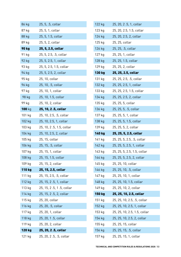| 86 kg        | 25, 5, .5, collar        |
|--------------|--------------------------|
| 87 kg        | 25, 5, 1, collar         |
| 88 kg        | 25, 5, 1.5, collar       |
| 89 kg        | 25, 5, 2, collar         |
| <b>90 kg</b> | 25, 5, 2.5, collar       |
| 91 kg        | 25, 5, 2.5, .5, collar   |
| 92 kg        | 25, 5, 2.5, 1, collar    |
| 93 kg        | 25, 5, 2.5, 1.5, collar  |
| 94 kg        | 25, 5, 2.5, 2, collar    |
| 95 kg        | 25, 10, collar           |
| 96 kg        | 25, 10, .5, collar       |
| 97 kg        | 25, 10, 1, collar        |
| 98 kg        | 25, 10, 1.5, collar      |
| 99 kg        | 25, 10, 2, collar        |
| 100 kg       | 25, 10, 2.5, collar      |
| 101 kg       | 25, 10, 2.5, .5, collar  |
| 102 kg       | 25, 10, 2.5, 1, collar   |
| 103 kg       | 25, 10, 2.5, 1.5, collar |
| 104 kg       | 25, 10, 2.5, 2, collar   |
| 105 kg       | 25, 15, collar           |
| 106 kg       | 25, 15, .5, collar       |
| 107 kg       | 25, 15, 1, collar        |
| 108 kg       | 25, 15, 1.5, collar      |
| 109 kg       | 25, 15, 2, collar        |
| 110 kg       | 25, 15, 2.5, collar      |
| 111 kg       | 25, 15, 2.5, .5, collar  |
| 112 kg       | 25, 15, 2.5, 1, collar   |
| 113 kg       | 25, 15, 2.5, 1.5, collar |
| 114 kg       | 25, 15, 2.5, 2, collar   |
| 115 kg       | 25, 20, collar           |
| 116 kg       | 25, 20, .5, collar       |
| 117 kg       | 25, 20, 1, collar        |
| 118 kg       | 25, 20, 1.5, collar      |
| 119 kg       | 25, 20, 2, collar        |
| 120 kg       | 25, 20, 2.5, collar      |
|              |                          |

| 122 kg        | 25, 20, 2.5, 1, collar       |
|---------------|------------------------------|
| 123 kg        | 25, 20, 2.5, 1.5, collar     |
| 124 kg        | 25, 20, 2.5, 2, collar       |
| 125 kg        | 25, 25, collar               |
| 126 kg        | 25, 25, .5, collar           |
| 127 kg        | 25, 25, 1, collar            |
| 128 kg        | 25, 25, 1.5, collar          |
| 129 kg        | 25, 25, 2, collar            |
| 130 kg        | 25, 25, 2.5, collar          |
| 131 kg        | 25, 25, 2.5, .5, collar      |
| 132 kg        | 25, 25, 2.5, 1, collar       |
| 133 kg        | 25, 25, 2.5, 1.5, collar     |
| 134 kg        | 25, 25, 2.5, 2, collar       |
| 135 kg        | 25, 25, 5, collar            |
| 136 kg        | 25, 25, 5, .5, collar        |
| 137 kg        | 25, 25, 5, 1, collar         |
| 138 kg        | 25, 25, 5, 1.5, collar       |
| 139 kg        | 25, 25, 5, 2, collar         |
|               |                              |
| 140 kg        | 25, 25, 5, 2.5, collar       |
| 141 kg        | 25, 25, 5, 2.5, .5, collar   |
| 142 kg        | 25, 25, 5, 2.5, 1, collar    |
| 143 kg        | 25, 25, 5, 2.5, 1.5, collar  |
| 144 kg        | 25, 25, 5, 2.5, 2, collar    |
| 145 kg        | 25, 25, 10, collar           |
| 146 kg        | 25, 25, 10, .5, collar       |
| 147 kg        | 25, 25, 10, 1, collar        |
| 148 kg        | 25, 25, 10, 1.5, collar      |
| 149 kg        | 25, 25, 10, 2, collar        |
| <b>150 kg</b> | 25, 25, 10, 2.5, collar      |
| 151 kg        | 25, 25, 10, 2.5, .5, collar  |
| 152 kg        | 25, 25, 10, 2.5, 1, collar   |
| 153 kg        | 25, 25, 10, 2.5, 1.5, collar |
| 154 kg        | 25, 25, 10, 2.5, 2, collar   |
| 155 kg        | 25, 25, 15, collar           |
| 156 kg        | 25, 25, 15, .5, collar       |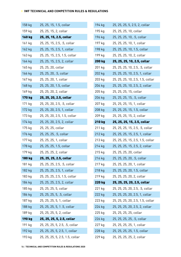| 158 kg        | 25, 25, 15, 1.5, collar         |
|---------------|---------------------------------|
| 159 kg        | 25, 25, 15, 2, collar           |
| <b>160 kg</b> | 25, 25, 15, 2.5, collar         |
| 161 kg        | 25, 25, 15, 2.5, .5, collar     |
| 162 kg        | 25, 25, 15, 2.5, 1, collar      |
| 163 kg        | 25, 25, 15, 2.5, 1.5, collar    |
| 164 kg        | 25, 25, 15, 2.5, 2, collar      |
| 165 kg        | 25, 25, 20, collar              |
| 166 kg        | 25, 25, 20, .5, collar          |
| 167 kg        | 25, 25, 20, 1, collar           |
| 168 kg        | 25, 25, 20, 1.5, collar         |
| 169 kg        | 25, 25, 20, 2, collar           |
| <b>170 kg</b> | 25, 25, 20, 2.5, collar         |
| 171 kg        | 25, 25, 20, 2.5, .5, collar     |
| 172 kg        | 25, 25, 20, 2.5, 1, collar      |
| 173 kg        | 25, 25, 20, 2.5, 1.5, collar    |
| 174 kg        | 25, 25, 20, 2.5, 2, collar      |
| 175 kg        | 25, 25, 25, collar              |
| 176 kg        | 25, 25, 25, .5, collar          |
| 177 kg        | 25, 25, 25, 1, collar           |
| 178 kg        | 25, 25, 25, 1.5, collar         |
| 179 kg        | 25, 25, 25, 2, collar           |
| 180 kg        | 25, 25, 25, 2.5, collar         |
| 181 kg        | 25, 25, 25, 2.5, .5, collar     |
| 182 kg        | 25, 25, 25, 2.5, 1, collar      |
| 183 kg        | 25, 25, 25, 2.5, 1.5, collar    |
| 184 kg        | 25, 25, 25, 2.5, 2, collar      |
| 185 kg        | 25, 25, 25, 5, collar           |
| 186 kg        | 25, 25, 25, 5, .5, collar       |
| 187 kg        | 25, 25, 25, 5, 1, collar        |
| 188 kg        | 25, 25, 25, 5, 1.5, collar      |
| 189 kg        | 25, 25, 25, 5, 2, collar        |
| 190 kg        | 25, 25, 25, 5, 2.5, collar      |
| 191 kg        | 25, 25, 25, 5, 2.5, .5, collar  |
| 192 kg        | 25, 25, 25, 5, 2.5, 1, collar   |
| 193 kg        | 25, 25, 25, 5, 2.5, 1.5, collar |

| 194 kg        | 25, 25, 25, 5, 2.5, 2, collar    |
|---------------|----------------------------------|
| 195 kg        | 25, 25, 25, 10, collar           |
| 196 kg        | 25, 25, 25, 10, .5, collar       |
| 197 kg        | 25, 25, 25, 10, 1, collar        |
| 198 kg        | 25, 25, 25, 10, 1.5, collar      |
| 199 kg        | 25, 25, 25, 10, 2, collar        |
| <b>200 kg</b> | 25, 25, 25, 10, 2.5, collar      |
| 201 kg        | 25, 25, 25, 10, 2.5, .5, collar  |
| 202 kg        | 25, 25, 25, 10, 2.5, 1, collar   |
| 203 kg        | 25, 25, 25, 10, 2.5, 1.5, collar |
| 204 kg        | 25, 25, 25, 10, 2.5, 2, collar   |
| 205 kg        | 25, 25, 25, 15, collar           |
| 206 kg        | 25, 25, 25, 15, .5, collar       |
| 207 kg        | 25, 25, 25, 15, 1, collar        |
| 208 kg        | 25, 25, 25, 15, 1.5, collar      |
| 209 kg        | 25, 25, 25, 15, 2, collar        |
| <b>210 kg</b> | 25, 25, 25, 15, 2.5, collar      |
| 211 kg        | 25, 25, 25, 15, 2.5, .5, collar  |
|               |                                  |
| 212 kg        | 25, 25, 25, 15, 2.5, 1, collar   |
| 213 kg        | 25, 25, 25, 15, 2.5, 1.5, collar |
| 214 kg        | 25, 25, 25, 15, 2.5, 2, collar   |
| 215 kg        | 25, 25, 25, 20, collar           |
| 216 kg        | 25, 25, 25, 20, .5, collar       |
| 217 kg        | 25, 25, 25, 20, 1, collar        |
| 218 kg        | 25, 25, 25, 20, 1.5, collar      |
| 219 kg        | 25, 25, 25, 20, 2, collar        |
| <b>220 kg</b> | 25, 25, 25, 20, 2.5, collar      |
| 221 kg        | 25, 25, 25, 20, 2.5, .5, collar  |
| 222 kg        | 25, 25, 25, 20, 2.5, 1, collar   |
| 223 kg        | 25, 25, 25, 20, 2.5, 1.5, collar |
| 224 kg        | 25, 25, 25, 20, 2.5, 2, collar   |
| 225 kg        | 25, 25, 25, 25, collar           |
| 226 kg        | 25, 25, 25, 25, .5, collar       |
| 227 kg        | 25, 25, 25, 25, 1, collar        |
| 228 kg        | 25, 25, 25, 25, 1.5, collar      |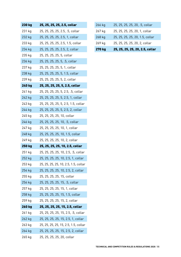| 230 kg        | 25, 25, 25, 25, 2.5, collar          |
|---------------|--------------------------------------|
| 231 kg        | 25, 25, 25, 25, 2.5, .5, collar      |
| 232 kg        | 25, 25, 25, 25, 2.5, 1, collar       |
| 233 kg        | 25, 25, 25, 25, 2.5, 1.5, collar     |
| 234 kg        | 25, 25, 25, 25, 2.5, 2, collar       |
| 235 kg        | 25, 25, 25, 25, 5, collar            |
| 236 kg        | 25, 25, 25, 25, 5, .5, collar        |
| 237 kg        | 25, 25, 25, 25, 5, 1, collar         |
| 238 kg        | 25, 25, 25, 25, 5, 1.5, collar       |
| 239 kg        | 25, 25, 25, 25, 5, 2, collar         |
| <b>240 kg</b> | 25, 25, 25, 25, 5, 2.5, collar       |
| 241 kg        | 25, 25, 25, 25, 5, 2.5, .5, collar   |
| 242 kg        | 25, 25, 25, 25, 5, 2.5, 1, collar    |
| 243 kg        | 25, 25, 25, 25, 5, 2.5, 1.5, collar  |
| 244 kg        | 25, 25, 25, 25, 5, 2.5, 2, collar    |
| 245 kg        | 25, 25, 25, 25, 10, collar           |
| 246 kg        | 25, 25, 25, 25, 10, .5, collar       |
| 247 kg        | 25, 25, 25, 25, 10, 1, collar        |
| 248 kg        | 25, 25, 25, 25, 10, 1.5, collar      |
| 249 kg        | 25, 25, 25, 25, 10, 2, collar        |
| <b>250 kg</b> | 25, 25, 25, 25, 10, 2.5, collar      |
| 251 kg        | 25, 25, 25, 25, 10, 2.5, .5, collar  |
| 252 kg        | 25, 25, 25, 25, 10, 2.5, 1, collar   |
| 253 kg        | 25, 25, 25, 25, 10, 2.5, 1.5, collar |
| 254 kg        | 25, 25, 25, 25, 10, 2.5, 2, collar   |
| 255 kg        | 25, 25, 25, 25, 15, collar           |
| 256 kg        | 25, 25, 25, 25, 15, .5, collar       |
| 257 kg        | 25, 25, 25, 25, 15, 1, collar        |
| 258 kg        | 25, 25, 25, 25, 15, 1.5, collar      |
|               |                                      |
| 259 kg        | 25, 25, 25, 25, 15, 2, collar        |
| 260 kg        | 25, 25, 25, 25, 15, 2.5, collar      |
| 261 kg        | 25, 25, 25, 25, 15, 2.5, .5, collar  |
| 262 kg        | 25, 25, 25, 25, 15, 2.5, 1, collar   |
| 263 kg        | 25, 25, 25, 25, 15, 2.5, 1.5, collar |
| 264 kg        | 25, 25, 25, 25, 15, 2.5, 2, collar   |

| <b>270 kg</b> | 25, 25, 25, 25, 20, 2.5, collar |
|---------------|---------------------------------|
| 269 kg        | 25, 25, 25, 25, 20, 2, collar   |
| 268 kg        | 25, 25, 25, 25, 20, 1.5, collar |
| 267 kg        | 25, 25, 25, 25, 20, 1, collar   |
| 266 kg        | 25, 25, 25, 25, 20, .5, collar  |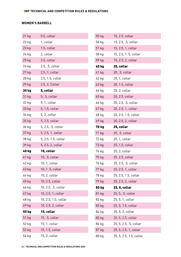### **WOMEN'S BARBELL**

| 21 kg     | 0.5, collar          |
|-----------|----------------------|
| 22 kg     | 1, collar            |
| 23 kg     | 1.5, collar          |
| 24 kg     | 2, collar            |
| $25$ $kg$ | 2.5, collar          |
| 26 kg     | 2.5, .5, collar      |
| 27 kg     | 2.5, 1, collar       |
| 28 kg     | 2.5, 1.5, collar     |
| 29 kg     | 2.5, 2, Collar       |
| 30 kg     | 5, collar            |
| 31 kg     | 5, .5, collar        |
| 32 kg     | 5, 1, collar         |
| 33 kg     | 5, 1.5, collar       |
| 34 kg     | 5, 2, collar         |
| 35 kg     | 5, 2.5, collar       |
| 36 kg     | 5, 2.5, .5, collar   |
| 37 kg     | 5, 2.5, 1, collar    |
| 38 kg     | 5, 2.5, 1.5, collar  |
| 39 kg     | 5, 2.5, 2, collar    |
| 40 kg     | 10, collar           |
| 41 kg     | 10, .5, collar       |
| 42 kg     | 10, 1, collar        |
| 43 kg     | 10, 1.5, collar      |
| 44 kg     | 10, 2, collar        |
| 45 kg     | 10, 2.5, collar      |
| 46 kg     | 10, 2.5, .5, collar  |
| 47 kg     | 10, 2.5, 1, collar   |
| 48 kg     | 10, 2.5, 1.5, collar |
| 49 kg     | 10, 2.5, 2, collar   |
| 50 kg     | 15, collar           |
| 51 kg     | 15, .5, collar       |
| 52 kg     | 15, 1, collar        |
| 53 kg     | 15, 1.5, collar      |
| 54 kg     | 15, 2, collar        |

| 55 kg        | 15, 2.5, collar        |
|--------------|------------------------|
| 56 kg        | 15, 2.5, .5, collar    |
| 57 kg        | 15, 2.5, 1, collar     |
| 58 kg        | 15, 2.5, 1.5, collar   |
| 59 kg        | 15, 2.5, 2, collar     |
| <b>60 kg</b> | 20, collar             |
| 61 kg        | 20, .5, collar         |
| 62 kg        | 20, 1, collar          |
| 63 kg        | 20, 1.5, collar        |
| 64 kg        | 20, 2, collar          |
| 65 kg        | 20, 2.5, collar        |
| 66 kg        | 20, 2.5, .5, collar    |
| 67 kg        | 20, 2.5, 1, collar     |
| 68 kg        | 20, 2.5, 1.5, collar   |
| 69 kg        | 20, 2.5, 2, collar     |
| <b>70 kg</b> | 25, collar             |
| 71 kg        | 25, .5, collar         |
| 72 kg        | 25, 1, collar          |
| 73 kg        | 25, 1.5, collar        |
| 74 kg        | 25, 2, collar          |
| 75 kg        | 25, 2.5, collar        |
| 76 kg        | 25, 2.5, .5, collar    |
| 77 kg        | 25, 2.5, 1, collar     |
| 78 kg        | 25, 2.5, 1.5, collar   |
| 79 kg        | 25, 2.5, 2, collar     |
| <b>80 kg</b> | 25, 5, collar          |
| 81 kg        | 25, 5, .5, collar      |
| 82 kg        | 25, 5, 1, collar       |
| 83 kg        | 25, 5, 1.5, collar     |
| 84 kg        | 25, 5, 2, collar       |
|              |                        |
| 85 kg        | 25, 5, 2.5, collar     |
| 86 kg        | 25, 5, 2.5, .5, collar |
| 87 kg        | 25, 5, 2.5, 1, collar  |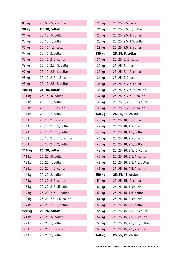| 89 kg  | 25, 5, 2.5, 2, collar    |
|--------|--------------------------|
| 90 kg  | 25, 10, collar           |
| 91 kg  | 25, 10, .5, collar       |
| 92 kg  | 25, 10, 1, collar        |
| 93 kg  | 25, 10, 1.5, collar      |
| 94 kg  | 25, 10, 2, collar        |
| 95 kg  | 25, 10, 2.5, collar      |
| 96 kg  | 25, 10, 2.5, .5, collar  |
| 97 kg  | 25, 10, 2.5, 1, collar   |
| 98 kg  | 25, 10, 2.5, 1.5, collar |
| 99 kg  | 25, 10, 2.5, 2, collar   |
| 100 kg | 25, 15, collar           |
| 101 kg | 25, 15, .5, collar       |
| 102 kg | 25, 15, 1, collar        |
| 103 kg | 25, 15, 1.5, collar      |
| 104 kg | 25, 15, 2, collar        |
| 105 kg | 25, 15, 2.5, collar      |
| 106 kg | 25, 15, 2.5, .5, collar  |
| 107 kg | 25, 15, 2.5, 1, collar   |
|        |                          |
| 108 kg | 25, 15, 2.5, 1.5, collar |
| 109 kg | 25, 15, 2.5, 2, collar   |
| 110 kg | 25, 20, collar           |
| 111 kg | 25, 20, .5, collar       |
| 112 kg | 25, 20, 1, collar        |
| 113 kg | 25, 20, 1.5, collar      |
| 114 kg | 25, 20, 2, collar        |
| 115 kg | 25, 20, 2.5, collar      |
| 116 kg | 25, 20, 2.5, .5, collar  |
| 117 kg | 25, 20, 2.5, 1, collar   |
| 118 kg | 25, 20, 2.5, 1.5, collar |
| 119 kg | 25, 20, 2.5, 2, collar   |
| 120 kg | 25, 25, collar           |
| 121 kg | 25, 25, .5, collar       |
| 122 kg | 25, 25, 1, collar        |
| 123 kg | 25, 25, 1.5, collar      |

| 125 kg | 25, 25, 2.5, collar          |
|--------|------------------------------|
| 126 kg | 25, 25, 2.5, .5, collar      |
| 127 kg | 25, 25, 2.5, 1, collar       |
| 128 kg | 25, 25, 2.5, 1.5, collar     |
| 129 kg | 25, 25, 2.5, 2, collar       |
| 130 kg | 25, 25, 5, collar            |
| 131 kg | 25, 25, 5, .5, collar        |
| 132 kg | 25, 25, 5, 1, collar         |
| 133 kg | 25, 25, 5, 1.5, collar       |
| 134 kg | 25, 25, 5, 2, collar         |
| 135 kg | 25, 25, 5, 2.5, collar       |
| 136 kg | 25, 25, 5, 2.5, .5, collar   |
| 137 kg | 25, 25, 5, 2.5, 1, collar    |
| 138 kg | 25, 25, 5, 2.5, 1.5, collar  |
| 139 kg | 25, 25, 5, 2.5, 2, collar    |
| 140 kg | 25, 25, 10, collar           |
| 141 kg | 25, 25, 10, .5, collar       |
| 142 kg | 25, 25, 10, 1, collar        |
| 143 kg | 25, 25, 10, 1.5, collar      |
| 144 kg | 25, 25, 10, 2, collar        |
| 145 kg | 25, 25, 10, 2.5, collar      |
| 146 kg | 25, 25, 10, 2.5, .5, collar  |
| 147 kg | 25, 25, 10, 2.5, 1, collar   |
| 148 kg | 25, 25, 10, 2.5, 1.5, collar |
| 149 kg | 25, 25, 10, 2.5, 2, collar   |
| 150 kg | 25, 25, 15, collar           |
| 151 kg | 25, 25, 15, .5, collar       |
| 152 kg | 25, 25, 15, 1, collar        |
| 153 kg | 25, 25, 15, 1.5, collar      |
| 154 kg | 25, 25, 15, 2, collar        |
| 155 kg | 25, 25, 15, 2.5, collar      |
| 156 kg | 25, 25, 15, 2.5, .5, collar  |
| 157 kg | 25, 25, 15, 2.5, 1, collar   |
| 158 kg | 25, 25, 15, 2.5, 1.5, collar |
| 159 kg | 25, 25, 15, 2.5, 2, collar   |
| 160 kg | 25, 25, 20, collar           |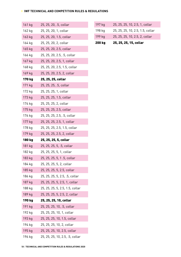| 161 kg | 25, 25, 20, .5, collar          |
|--------|---------------------------------|
| 162 kg | 25, 25, 20, 1, collar           |
| 163 kg | 25, 25, 20, 1.5, collar         |
| 164 kg | 25, 25, 20, 2, collar           |
| 165 kg | 25, 25, 20, 2.5, collar         |
| 166 kg | 25, 25, 20, 2.5, .5, collar     |
| 167 kg | 25, 25, 20, 2.5, 1, collar      |
| 168 kg | 25, 25, 20, 2.5, 1.5, collar    |
| 169 kg | 25, 25, 20, 2.5, 2, collar      |
| 170 kg | 25, 25, 25, collar              |
| 171 kg | 25, 25, 25, .5, collar          |
| 172 kg | 25, 25, 25, 1, collar           |
| 173 kg | 25, 25, 25, 1.5, collar         |
| 174 kg | 25, 25, 25, 2, collar           |
| 175 kg | 25, 25, 25, 2.5, collar         |
| 176 kg | 25, 25, 25, 2.5, .5, collar     |
| 177 kg | 25, 25, 25, 2.5, 1, collar      |
| 178 kg | 25, 25, 25, 2.5, 1.5, collar    |
| 179 kg | 25, 25, 25, 2.5, 2, collar      |
| 180 kg | 25, 25, 25, 5, collar           |
| 181 kg | 25, 25, 25, 5, .5, collar       |
| 182 kg | 25, 25, 25, 5, 1, collar        |
| 183 kg | 25, 25, 25, 5, 1.5, collar      |
| 184 kg | 25, 25, 25, 5, 2, collar        |
| 185 kg | 25, 25, 25, 5, 2.5, collar      |
| 186 kg | 25, 25, 25, 5, 2.5, .5, collar  |
| 187 kg | 25, 25, 25, 5, 2.5, 1, collar   |
| 188 kg | 25, 25, 25, 5, 2.5, 1.5, collar |
| 189 kg | 25, 25, 25, 5, 2.5, 2, collar   |
| 190 kg | 25, 25, 25, 10, collar          |
| 191 kg | 25, 25, 25, 10, .5, collar      |
| 192 kg | 25, 25, 25, 10, 1, collar       |
| 193 kg | 25, 25, 25, 10, 1.5, collar     |
| 194 kg | 25, 25, 25, 10, 2, collar       |
| 195 kg | 25, 25, 25, 10, 2.5, collar     |
| 196 kg | 25, 25, 25, 10, 2.5, .5, collar |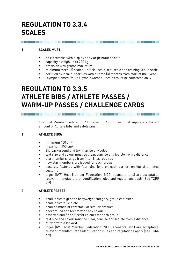## **REGULATION TO 3.3.4 SCALES**

### **1 SCALES MUST:**

- be electronic; with display and / or printout or both
- capacity = weigh up to 200 kg
- precision = 50 grams maximum
- minimum three (3) scales official scale, test scale and training venue scale
- certified by local authorities within three (3) months from start of the Event
- Olympic Games, Youth Olympic Games scales must be calibrated daily

### **REGULATION TO 3.3.5 ATHLETE BIBS / ATHLETE PASSES / WARM-UP PASSES / CHALLENGE CARDS**

The host Member Federation / Organising Committee must supply a sufficient amount of Athlete Bibs and safety pins:

### **1 ATHLETE BIBS:**

- $\bullet$  minimum 100 cm<sup>2</sup>
- maximum 150 cm²
- Bib background and text may be any colour
- text size and colour must be clear, concise and legible from a distance
- start numbers range from 1 to 18, as required
- new start numbers are issued for each group
- securely fastened with four pins (one on each corner) on leg of athletes' costume
- logos (IWF, Host Member Federation, NOC, sponsors, etc.) are acceptable; relevant manufacturers identification rules and regulations apply (See TCRR 4.9)

#### **2 ATHLETE PASSES:**

- shall indicate gender, bodyweight category, group contested
- shall indicate "Athlete"
- shall be made of cardstock or similar product
- background and text may be any colour
- assorted and / or different colours for each group
- text size and colour must be clear, concise and legible from a distance
- affixed with a lanyard
- logos (IWF, host Member Federation, NOC, sponsors, etc.) are acceptable; relevant manufacturer's identification rules and regulations apply (see TCRR 4.9)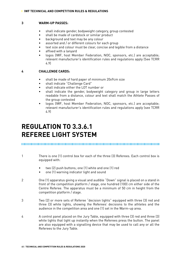#### **3 WARM-UP PASSES:**

- shall indicate gender, bodyweight category, group contested
- shall be made of cardstock or similar product
- background and text may be any colour
- assorted and / or different colours for each group
- text size and colour must be clear, concise and legible from a distance
- affixed with a lanyard
- logos (IWF, host Member Federation, NOC, sponsors, etc.) are acceptable; relevant manufacturer's identification rules and regulations apply (See TCRR 4.9)

#### **4 CHALLENGE CARDS:**

- shall be made of hard paper of minimum 20x9cm size
- shall indicate "Challenge Card"
- shall indicate either the LOT number or
- shall indicate the gender, bodyweight category and group in large letters readable from a distance, colour and text shall match the Athlete Passes of the group contested
- logos (IWF, host Member Federation, NOC, sponsors, etc.) are acceptable; relevant manufacturer's identification rules and regulations apply (see TCRR 4.9)

### **REGULATION TO 3.3.6.1 REFEREE LIGHT SYSTEM**

- 1 There is one (1) control box for each of the three (3) Referees. Each control box is equipped with:
	- two (2) push buttons; one (1) white and one (1) red
	- one (1) warning indicator light and sound
- 2 One (1) apparatus giving a visual and audible "Down" signal is placed on a stand in front of the competition platform / stage, one hundred (100) cm either side of the Centre Referee. The apparatus must be a minimum of 50 cm in height from the competition platform / stage.
- 3 Two (2) or more sets of Referee "decision lights" equipped with three (3) red and three (3) white lights, showing the Referees' decisions to the athletes and the audience in the competition area and one (1) set in the Warm-up area.
- 4 A control panel placed on the Jury Table, equipped with three (3) red and three (3) white lights that light up instantly when the Referees press the button. The panel are also equipped with a signalling device that may be used to call any or all the Referees to the Jury Table.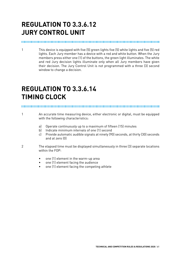## **REGULATION TO 3.3.6.12 JURY CONTROL UNIT**

#### 

1 This device is equipped with five (5) green lights five (5) white lights and five (5) red lights. Each Jury member has a device with a red and white button. When the Jury members press either one (1) of the buttons, the green light illuminates. The white and red Jury decision lights illuminate only when all Jury members have given their decision. The Jury Control Unit is not programmed with a three (3) second window to change a decision.

### **REGULATION TO 3.3.6.14 TIMING CLOCK**

- 1 An accurate time measuring device, either electronic or digital, must be equipped with the following characteristics:
	- a) Operate continuously up to a maximum of fifteen (15) minutes
	- b) Indicate minimum intervals of one (1) second
	- c) Provide automatic audible signals at ninety (90) seconds, at thirty (30) seconds and at zero (0)
- 2 The elapsed time must be displayed simultaneously in three (3) separate locations within the FOP:
	- one (1) element in the warm-up area
	- one (1) element facing the audience
	- one (1) element facing the competing athlete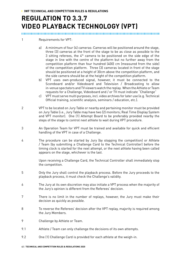## **REGULATION TO 3.3.7 VIDEO PLAYBACK TECHNOLOGY (VPT)**

- 1 Requirements for VPT:
	- a) A minimum of four (4) cameras: Cameras will be positioned around the stage, three (3) cameras at the front of the stage to be as close as possible to the 3 sitting referees, the  $4<sup>th</sup>$  camera to be positioned on the side edge of the stage in line with the centre of the platform but no further away from the competition platform than four hundred (400) cm (measured from the side) of the competition platform. Three (3) cameras located in front of the stage should be positioned at a height of 30cm above the competition platform, and the side camera should be at the height of the competition platform.
	- b) VPT uses own-produced signal, however, it must be connected to the Scoreboard and/or Videoboard and Television / Broadcasting to allow in-venue spectators and TV viewers watch the replay. When the Athlete or Team requests for a Challenge, Videoboard and / or TV must indicate "Challenge"
	- c) VPT must serve multi purposes, incl. video archives for later use (e.g. Technical Official training, scientific analysis, seminars / education, etc.).
- 2 VPT to be located on Jury Table or nearby and pertaining monitor must be provided on Jury Table (i.e., Jury Table may have two (2) monitors; Real Time Display System and VPT monitor). One (1) Attempt Board to be preferably provided nearby the steps of the stage to control next athlete to wait during VPT procedure.
- 3 An Operation Team for VPT must be trained and available for quick and efficient handling of the VPT in case of a Challenge.
- 4 The procedure can be started by Jury (by stopping the competition) or Athlete / Team (by submitting a Challenge Card to the Technical Controller) before the timing clock is started for the next attempt, or the next athlete having been called appears on the stage, whichever is the last.

Upon receiving a Challenge Card, the Technical Controller shall immediately stop the competition.

- 5 Only the Jury shall control the playback process. Before the Jury proceeds to the playback process, it must check the Challenge's validity.
- 6 The Jury at its own discretion may also initiate a VPT process when the majority of the Jury's opinion is different from the Referees' decision.
- 7 There is no limit in the number of replays, however, the Jury must make their decision as quickly as possible.
- 8 To reverse the Referees' decision after the VPT replay, majority is required among the Jury Members.
- 9 Challenge by Athlete or Team.
- 9.1 Athlete / Team can only challenge the decisions of its own attempts.
- 9.2 One (1) Challenge Card is provided for each athlete at the weigh-in.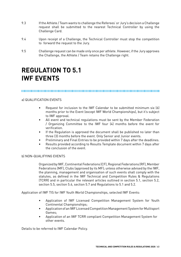- 9.3 If the Athlete / Team wants to challenge the Referees' or Jury's decision a Challenge request shall be submitted to the nearest Technical Controller by using the Challenge Card.
- 9.4 Upon receipt of a Challenge, the Technical Controller must stop the competition to forward the request to the Jury.
- 9.5 Challenge request can be made only once per athlete. However, if the Jury approves the Challenge, the Athlete / Team retains the Challenge right.

### **REGULATION TO 5.1 IWF EVENTS**

#### 

#### a) QUALIFICATION EVENTS

- Request for inclusion to the IWF Calendar to be submitted minimum six (6) months prior to the Event (except IWF World Championships), but it's subject to IWF approval.
- All event and technical regulations must be sent by the Member Federation / Organizing Committee to the IWF four (4) months before the event for verification.
- If the Regulation is approved the document shall be published no later than three (3) months before the event. Only Senior and Junior events.
- Preliminary and Final Entries to be provided within 7 days after the deadlines.
- Results provided according to Results Template document within 7 days after the conclusion of the event.

#### b) NON-QUALIFYING EVENTS

Organized by IWF, Continental Federations (CF), Regional Federations (RF), Member Federations (MF), Clubs (approved by its MF); unless otherwise advised by the IWF, the planning, management and organisation of such events shall comply with the statutes, as defined in the IWF Technical and Competition Rules & Regulations (TCRR) and in particular the relevant articles outlined in section 5.1, section 5.2, section 5.5, section 5.6, section 5.7 and Regulations to 5.1 and 5.2.

Application of IWF TIS for IWF Youth World Championships, selected IWF Events:

- Application of IWF Licensed Competition Management System for Youth Continental Championships;
- Application of an IWF Licensed Competition Management System for Multisport Games;
- Application of an IWF TCRR compliant Competition Management System for other events.

Details to be referred to IWF Calendar Policy.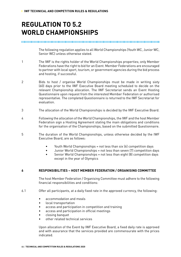### **REGULATION TO 5.2 WORLD CHAMPIONSHIPS**

The following regulation applies to all World Championships (Youth WC, Junior WC, Senior WC) unless otherwise stated.

- 1 The IWF is the rights holder of the World Championships properties; only Member Federations have the right to bid for an Event. Member Federations are encouraged to partner with local sport, tourism, or government agencies during the bid process and hosting, if successful.
- 2 Bids to host / organise World Championships must be made in writing sixty (60) days prior to the IWF Executive Board meeting scheduled to decide on the relevant Championship allocation. The IWF Secretariat sends an Event Hosting Questionnaire upon request from the interested Member Federation or authorised representative. The completed Questionnaire is returned to the IWF Secretariat for evaluation.
- 3 The allocation of the World Championships is decided by the IWF Executive Board.
- 4 Following the allocation of the World Championships, the IWF and the host Member Federation sign a Hosting Agreement stating the main obligations and conditions for the organisation of the Championships, based on the submitted Questionnaire.
- 5 The duration of the World Championships, unless otherwise decided by the IWF Executive Board, are as follows:
	- Youth World Championships = not less than six (6) competition days
	- Junior World Championships = not less than seven (7) competition days
	- Senior World Championships = not less than eight (8) competition days except in the year of Olympics

#### **6 RESPONSIBILITIES – HOST MEMBER FEDERATION / ORGANISING COMMITTEE**

The host Member Federation / Organising Committee must adhere to the following financial responsibilities and conditions:

- 6.1 Offer all participants, at a daily fixed rate in the approved currency, the following:
	- accommodation and meals
	- local transportation
	- access and participation in competition and training
	- access and participation in official meetings
	- closing banquet
	- other related technical services

Upon allocation of the Event by IWF Executive Board, a fixed daily rate is approved and with assurance that the services provided are commensurate with the prices indicated.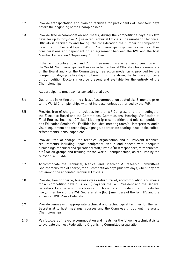- 6.2 Provide transportation and training facilities for participants at least four days before the beginning of the Championships.
- 6.3 Provide free accommodation and meals, during the competitions days plus two days, for up to forty-five (45) selected Technical Officials. The number of Technical Officials is decided by and taking into consideration the number of competition days, the number and type of World Championships organised as well as other considerations and dependant on an agreement between the IWF and the host Member Federation / Organising Committee.

If the IWF Executive Board and Committee meetings are held in conjunction with the World Championships, for those selected Technical Officials who are members of the Board and / or the Committees, free accommodation is provided for the competition days plus five days. To benefit from the above, the Technical Officials or Competition Doctors must be present and available for the entirety of the Championships.

All participants must pay for any additional days.

- 6.4 Guarantee in writing that the prices of accommodation quoted six (6) months prior to the World Championships will not increase, unless authorised by the IWF.
- 6.5 Provide, free of charge, the facilities for the IWF Congress and the meetings of the Executive Board and the Committees, Commissions, Hearing, Verification of Final Entries, Technical Officials' Meeting (pre-competition and mid-competition), and Education Seminar(s). Facilities includes: meeting room(s), interpreters, audio visual equipment and technology, signage, appropriate seating, head table, coffee, refreshments, pens, paper, etc.
- 6.6 Provide, free of charge, the technical organisation and all relevant technical requirements including; sport equipment, venue and spaces with adequate furnishings, technical and operational staff, first aid / first responders, refreshments, etc.) for all groups and training for the World Championships, as required by the relevant IWF TCRR.
- 6.7 Accommodate the Technical, Medical and Coaching & Research Committees Chairpersons free of charge, for all competition days plus five days, when they are not among the appointed Technical Officials.
- 6.8 Provide, free of charge, business class return travel, accommodation and meals for all competition days plus six (6) days for the IWF President and the General Secretary. Provide economy class return travel, accommodation and meals for five (5) members of the IWF Secretariat, 4 (four) members of the IWF TIS and the appointed IWF Press Delegate.
- 6.9 Provide venues with appropriate technical and technological facilities for the IWF Secretariat to host meetings, courses and the Congress throughout the World Championships.
- 6.10 Pay full costs of travel, accommodation and meals, for the following technical visits to evaluate the host Federation / Organising Committee preparation: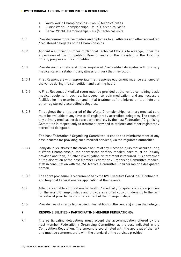- Youth World Championships two (2) technical visits
- Junior World Championships four (4) technical visits
- Senior World Championships six (6) technical visits
- 6.11 Provide commemorative medals and diplomas to all athletes and other accredited / registered delegates of the Championships.
- 6.12 Appoint a sufficient number of National Technical Officials to arrange, under the supervision of the Competition Director and / or the President of the Jury, the orderly progress of the competition.
- 6.13 Provide each athlete and other registered / accredited delegates with primary medical care in relation to any illness or injury that may occur.
- 6.13.1 First Responders with appropriate first response equipment must be stationed at the venue during the competition and training hours.
- 6.13.2 A First Response / Medical room must be provided at the venue containing basic medical equipment; such as, bandages, ice, pain medication, and any necessary facilities for the examination and initial treatment of the injured or ill athlete and other registered / accredited delegates.
- 6.13.3 Throughout the entire period of the World Championships, primary medical care must be available at any time to all registered / accredited delegates. The costs of any primary medical service are borne entirely by the host Federation / Organising Committee in respect only to treatment provided to athletes and other registered / accredited delegates.

The host Federation / Organising Committee is entitled to reimbursement of any cost incurred for providing such medical services, via the regulated authorities.

- 6.13.4 If any doubt exists as to the chronic nature of any illness or injury that occurs during a World Championship, the appropriate primary medical care must be initially provided and then, if further investigation or treatment is required, it is performed at the discretion of the host Member Federation / Organising Committee medical staff in consultation with the IWF Medical Committee Chairperson or a designated person.
- 6.13.5 The above procedure is recommended by the IWF Executive Board to all Continental and Regional Federations for application at their events.
- 6.14 Attain acceptable comprehensive health / medical / hospital insurance policies for the World Championships and provide a certified copy of indemnity to the IWF Secretariat prior to the commencement of the Championships.
- 6.15 Provide free of charge high-speed internet both in the venue(s) and in the hotel(s).

### **7 RESPONSIBILITIES – PARTICIPATING MEMBER FEDERATIONS:**

7.1 The participating delegations must accept the accommodation offered by the host Member Federation / Organising Committee, at the cost indicated in the Competition Regulation. The amount is coordinated with the approval of the IWF and must be commensurate with the standard of the services provided.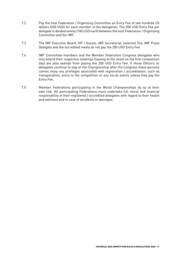- 7.2 Pay the host Federation / Organising Committee an Entry Fee of two hundred US dollars (200 USD) for each member of the delegation. The 200 USD Entry Fee per delegate is divided evenly (100 USD each) between the host Federation / Organising Committee and the IWF.
- 7.3 The IWF Executive Board, VIP / Guests, IWF Secretariat, selected TOs, IWF Press Delegate and the accredited media do not pay the 200 USD Entry Fee.
- 7.4 IWF Committee members and the Member Federation Congress delegates who only attend their respective meetings (leaving at the latest on the first competition day) are also exempt from paying the 200 USD Entry Fee. If those Officers or delegates continue to stay at the Championship after the Congress these persons cannot enjoy any privileges associated with registration / accreditation; such as transportation, entry to the competition or any social events unless they pay the Entry Fee.
- 7.5 Member Federations participating in the World Championships do so at their own risk. All participating Federations must undertake full moral and financial responsibility of their registered / accredited delegates with regard to their health and wellness and in case of accidents or damages.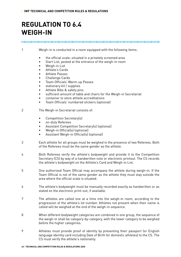### **REGULATION TO 6.4 WEIGH-IN**

#### 

1 Weigh-in is conducted in a room equipped with the following items:

- the official scale; situated in a privately screened area
- Start List, posted at the entrance of the weigh-in room
- Weigh-in List
- Athlete's Cards
- Athlete Passes
- Challenge Cards
- Team Officials' Warm-up Passes
- stationary kit / supplies
- Athlete Bibs & safety pins
- sufficient amount of table and chairs for the Weigh-in Secretariat
- container to store athlete accreditations
- Team Officials' numbered stickers (optional)
- 2 The Weigh-in Secretariat consists of:
	- Competition Secretary(s)
	- on-duty Referees
	- Assistant Competition Secretary(s) (optional)
	- Weigh-in Official(s) (optional)
	- Assistant Weigh-in Official(s) (optional)
- 3 Each athlete for all groups must be weighed in the presence of two Referees. Both of the Referees must be the same gender as the athlete.
- 4 Both Referees verify the athlete's bodyweight and provide it to the Competition Secretary (CS) by way of a handwritten note or electronic printout. The CS records the athlete's bodyweight on the Athlete's Card and Weigh-in List.
- 5 One authorised Team Official may accompany the athlete during weigh-in. If the Team Official is not of the same gender as the athlete they must stay outside the area where the official scale is situated.
- 6 The athlete's bodyweight must be manually recorded exactly as handwritten or as stated on the electronic print-out, if available.
- 7 The athletes are called one at a time into the weigh-in room, according to the progression of the athlete's lot number. Athletes not present when their name is called will be weighed at the end of the weigh-in sequence.
- 8 When different bodyweight categories are combined in one group, the sequence of the weigh-in shall be category-by-category, with the lower category to be weighed before the higher categories.
- 9 Athletes must provide proof of identity by presenting their passport (or English language identity card including Date of Birth for domestic athletes) to the CS. The CS must verify the athlete's nationality.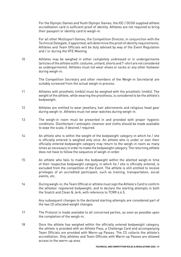For the Olympic Games and Youth Olympic Games, the IOC / OCOG supplied athlete accreditation card is sufficient proof of identity. Athletes are not required to bring their passport or identity card to weigh-in.

For all other Multisport Games, the Competition Director, in conjunction with the Technical Delegate, if appointed, will determine the proof of identity requirements. Athletes and Team Officials will be duly advised by way of the Event Regulation and / or during the VFE Meeting.

10 Athletes may be weighed in either completely undressed or in undergarments (articles of the athlete outfit: costume, unitard, shorts and T-shirt are not considered as undergarments). Athletes must not wear shoes or socks or any other footwear during weigh-in.

> The Competition Secretary and other members of the Weigh-in Secretariat are suitably screened from the actual weigh-in process.

- 11 Athletes with prosthetic limb(s) must be weighed with the prosthetic limb(s). The weight of the athlete, while wearing the prosthesis, is considered to be the athlete's bodyweight.
- 12 Athletes are entitled to wear jewellery, hair adornments and religious head gear during weigh-in. Athletes must not wear watches during weigh-in.
- 13 The weigh-in room must be presented in and provided with proper hygienic conditions. Disinfectant / antiseptic cleanser and cloths should be made available to wipe the scale, if desired / required.
- 14 An athlete who is within the weight of the bodyweight category in which he / she is officially entered is weighed only once. An athlete who is under or over their officially entered bodyweight category may return to the weigh-in room as many times as necessary in order to make the bodyweight category. The returning athlete does not have to follow the sequence of weigh-in order.
- 15 An athlete who fails to make the bodyweight within the allotted weigh-in time of their respective bodyweight category, in which he / she is officially entered, is excluded from the competition of the Event. The athlete is still entitled to receive privileges of an accredited participant; such as training, transportation, social events, etc.
- 16 During weigh-in, the Team Official or athlete must sign the Athlete's Card to confirm the athletes' registered bodyweight; and to declare the starting attempts in both the Snatch and Clean & Jerk, with reference to TCRR 6.6.5.

Any subsequent changes to the declared starting attempts are considered part of the two (2) allocated weight changes.

- 17 The Protocol is made available to all concerned parties, as soon as possible upon the completion of the weigh-in.
- 18 Once the athlete has weighed within the officially entered bodyweight category, the athlete is provided with an Athlete Pass, a Challenge Card and accompanying Team Officials are provided with Warm-up Passes. The CS collects the athlete's accreditation. Only athletes and Team Officials with Warm-up Passes are allowed access to the warm-up area.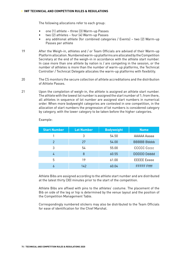The following allocations refer to each group:

- one (1) athlete three (3) Warm-up Passes
- two (2) athletes four (4) Warm-up Passes
- any additional athlete (for combined categories / Events) two (2) Warm-up Passes per athlete
- 19 After the Weigh-in, athletes and / or Team Officials are advised of their Warm-up Platform allocation. Numbered warm-up platforms are allocated by the Competition Secretary at the end of the weigh-in in accordance with the athlete start number. In case more than one athlete by nation is / are competing in the session, or the number of athletes is more than the number of warm-up platforms, the Technical Controller / Technical Delegate allocates the warm-up platforms with flexibility.
- 20 The CS monitors the secure collection of athlete accreditations and the distribution of Athlete Passes.
- 21 Upon the completion of weigh-in, the athlete is assigned an athlete start number. The athlete with the lowest lot number is assigned the start number of 1; from there, all athletes in sequence of lot number are assigned start numbers in numerical order. When more bodyweight categories are contested in one competition, in the allocation of start numbers the progression of lot numbers is considered category by category, with the lower category to be taken before the higher categories.

| <b>Start Number</b> | <b>Lot Number</b> | <b>Bodyweight</b> | <b>Name</b>         |
|---------------------|-------------------|-------------------|---------------------|
|                     | 3                 | 54.50             | AAAAA Aaaaa         |
| $\mathcal{P}$       | 27                | 54.00             | <b>BBBBB Bbbbb</b>  |
| 3                   | 54                | 55.00             | <b>CCCCC</b> Ccccc  |
|                     | 8                 | 60.55             | <b>DDDDD Ddddd</b>  |
| 5                   | 19                | 61.00             | <b>EEEEE</b> Eeeee  |
|                     | 142               | 60.04             | <b>FFFFFF</b> Fffff |

Example:

Athlete Bibs are assigned according to the athlete start number and are distributed at the latest thirty (30) minutes prior to the start of the competition.

Athlete Bibs are affixed with pins to the athletes' costume. The placement of the Bib on side of the leg or hip is determined by the venue layout and the position of the Competition Management Table.

Correspondingly numbered stickers may also be distributed to the Team Officials for ease of identification for the Chief Marshal.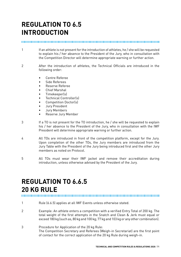# **REGULATION TO 6.5 INTRODUCTION**

#### 

- 1 If an athlete is not present for the introduction of athletes, he / she will be requested to explain his / her absence to the President of the Jury, who in consultation with the Competition Director will determine appropriate warning or further action.
- 2 After the introduction of athletes, the Technical Officials are introduced in the following order:
	- Centre Referee
	- Side Referees
	- Reserve Referee
	- Chief Marshal
	- Timekeeper(s)
	- Technical Controller(s)
	- Competition Doctor(s)
	- Jury President
	- Jury Members
	- Reserve Jury Member
- 3 If a TO is not present for the TO introduction, he / she will be requested to explain his / her absence to the President of the Jury, who in consultation with the IWF President will determine appropriate warning or further action.
- 4 All TOs are introduced in front of the competition platform, except for the Jury. Upon completion of the other TOs, the Jury members are introduced from the Jury Table with the President of the Jury being introduced first and the other Jury members as noted on Protocol.
- 5 All TOs must wear their IWF jacket and remove their accreditation during introduction, unless otherwise advised by the President of the Jury.

## **REGULATION TO 6.6.5 20 KG RULE**

- 1 Rule (6.6.5) applies at all IWF Events unless otherwise stated.
- 2 Example: An athlete enters a competition with a verified Entry Total of 200 kg. The total weight of the first attempts in the Snatch and Clean & Jerk must equal or exceed 180 kg (such as, 80 kg and 100 kg; 77 kg and 103 kg or any other combination).
- 3 Procedure for Application of the 20 kg Rule: The Competition Secretary and Referees (Weigh-in Secretariat) are the first point of contact for the correct application of the 20 kg Rule during weigh-in.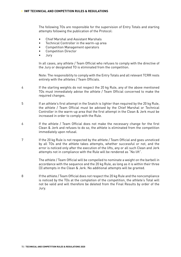The following TOs are responsible for the supervision of Entry Totals and starting attempts following the publication of the Protocol:

- Chief Marshal and Assistant Marshals
- Technical Controller in the warm-up area
- Competition Management operators
- Competition Director
- Jury

In all cases, any athlete / Team Official who refuses to comply with the directive of the Jury or designated TO is eliminated from the competition.

Note: The responsibility to comply with the Entry Totals and all relevant TCRR rests entirely with the athletes / Team Officials.

- 4 If the starting weights do not respect the 20 kg Rule, any of the above mentioned TOs must immediately advise the athlete / Team Official concerned to make the required changes.
- 5 If an athlete's first attempt in the Snatch is lighter than required by the 20 kg Rule, the athlete / Team Official must be advised by the Chief Marshal or Technical Controller in the warm-up area that the first attempt in the Clean & Jerk must be increased in order to comply with the Rule.
- 6 If the athlete / Team Official does not make the necessary change for the first Clean & Jerk and refuses to do so, the athlete is eliminated from the competition immediately upon refusal.
- 7 If the 20 kg Rule is not respected by the athlete / Team Official and goes unnoticed by all TOs and the athlete takes attempts, whether successful or not, and the error is noticed only after the execution of the lifts, any or all such Clean and Jerk attempts not in compliance with the Rule will be rendered as "No lift".

The athlete / Team Official will be compelled to nominate a weight on the barbell in accordance with the sequence and the 20 kg Rule, as long as it is within their three (3) attempts in the Clean & Jerk. No additional attempts will be granted.

8 If the athlete / Team Official does not respect the 20 kg Rule and the noncompliance is noticed by the TOs at the completion of the competition, the athlete's Total will not be valid and will therefore be deleted from the Final Results by order of the Jury.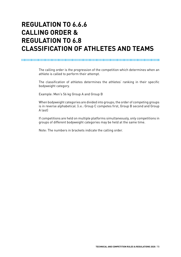# **REGULATION TO 6.6.6 CALLING ORDER & REGULATION TO 6.8 CLASSIFICATION OF ATHLETES AND TEAMS**

#### 

The calling order is the progression of the competition which determines when an athlete is called to perform their attempt.

The classification of athletes determines the athletes' ranking in their specific bodyweight category.

Example: Men's 56 kg Group A and Group B

When bodyweight categories are divided into groups; the order of competing groups is in reverse alphabetical. (i.e.: Group C competes first, Group B second and Group A last)

If competitions are held on multiple platforms simultaneously, only competitions in groups of different bodyweight categories may be held at the same time.

Note: The numbers in brackets indicate the calling order.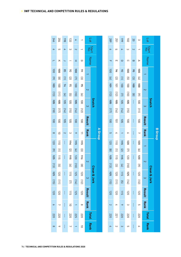| 589                                                            | 251                        | 66l                  | <b>102</b>                                | $\overline{0}$          | $\omega$                                                                                  | $\mathop{\rm loc}\nolimits$ |                         |         |
|----------------------------------------------------------------|----------------------------|----------------------|-------------------------------------------|-------------------------|-------------------------------------------------------------------------------------------|-----------------------------|-------------------------|---------|
| $\sim$                                                         | CП                         |                      | $\omega$                                  | $\overline{\mathsf{c}}$ |                                                                                           | Start<br>No                 |                         |         |
| $\mathbb{L}$                                                   | m                          |                      | $\bigcirc$                                | $\infty$                | $\triangleright$                                                                          | Name                        |                         |         |
| 1001                                                           | $\mathcal{H}_{\mathbf{t}}$ | 66                   | $\frac{1}{\theta}$                        | \$                      | $\frac{1}{2}$                                                                             |                             |                         |         |
| $\boxed{9}$                                                    | $\overline{2}$             | $\Xi$                | $\overline{\Xi}$                          | $\Xi$                   | $\overline{E}$                                                                            |                             |                         |         |
| $\begin{array}{c}\n\bullet \\ \bullet \\ \bullet\n\end{array}$ | 101                        | $\overrightarrow{5}$ | $\vec{B}$                                 | $\ddot{\Phi}$           | $\begin{array}{c}\n\Rightarrow \\ \Rightarrow \\ \Rightarrow \\ \Rightarrow\n\end{array}$ |                             |                         |         |
| [13] <del>105</del>                                            | $[12]$                     | (7) 105              | $\begin{bmatrix} 1 \\ 0 \end{bmatrix}$    | $\circledR$             |                                                                                           |                             |                         |         |
|                                                                | $\overline{90}$            |                      | $\frac{1}{2}$                             | $\frac{1}{4}$           | 111 001 161                                                                               | $\omega$                    | <b>Snatch</b>           |         |
| $[2]$                                                          | $\boxed{91}$               | $[14]$               | $\begin{bmatrix} 151 \\ -1 \end{bmatrix}$ |                         |                                                                                           |                             |                         |         |
| $\frac{1}{100}$                                                | 101                        | 105                  | 100                                       | $\frac{1}{4}$           | $\overline{100}$                                                                          | Result                      |                         |         |
| CΠ                                                             |                            |                      | $\circ$                                   | $\frac{1}{4}$           | $\overline{a}$                                                                            | <b>Rank</b>                 |                         | B Group |
| 120                                                            | $\overline{a}$             | $\sharp$             | 49                                        | ł                       | $rac{1}{2}$                                                                               |                             |                         |         |
| $\frac{1}{8}$                                                  |                            | $\overline{2}$       | $\Xi$                                     |                         | $\overline{6}$                                                                            |                             |                         |         |
| <b>125</b>                                                     | $[1] 112$                  | $\ddagger$           | 120                                       | ł                       | $65+$                                                                                     | $\overline{\mathsf{c}}$     |                         |         |
| (13)                                                           | $\Xi$                      | $\boxed{4}$          | $\Xi$                                     |                         | $\overline{6}$                                                                            |                             |                         |         |
|                                                                | 120                        | $\frac{1}{5}$        | $141$ $93$                                | ł                       |                                                                                           |                             | <b>Clean &amp; Jerk</b> |         |
| 125 (15)                                                       | $\Xi$                      | $\overline{\Xi}$     |                                           |                         | 120 [12]                                                                                  | $\infty$                    |                         |         |
| 120                                                            | 021                        | 112                  | 120                                       | Ì                       | 120                                                                                       | Result                      |                         |         |
| $\sim$                                                         |                            | ∾                    | ယ                                         | ł                       | ဟ                                                                                         | <b>Rank</b>                 |                         |         |
| 220                                                            | 172                        | 0ZZ                  | 0ZZ                                       | $\frac{1}{4}$           | 027                                                                                       |                             |                         |         |
|                                                                |                            | $\omega$             | c                                         | Ì                       | $\sim$                                                                                    | <b>Rank</b>                 |                         |         |

| 977                                | 204                                            | 861           | 133                                | 4                                      |                                   | <b>Lot</b>  |           |         |
|------------------------------------|------------------------------------------------|---------------|------------------------------------|----------------------------------------|-----------------------------------|-------------|-----------|---------|
| $\circ$                            | CΠ                                             |               | $\omega$                           |                                        |                                   | Start<br>No |           |         |
| $\overline{a}$                     | ㅈ                                              |               |                                    | 工                                      | G                                 | Name        |           |         |
| <del>1</del> 00 (9) <del>100</del> | $\ddot{\texttt{B}}$                            | 85            | $\delta$                           | $\frac{1}{2}$                          | $\downarrow$                      |             |           |         |
|                                    | $\circledR$                                    | $\equiv$      | $\overline{c}$                     | $\boxed{2}$                            | $\Xi$                             |             |           |         |
|                                    | $\overline{001}$                               | 76            | 36                                 | 1001                                   | ቆ                                 |             |           |         |
| (13)                               | $\begin{bmatrix} 1 & 1 \\ 1 & 1 \end{bmatrix}$ | (7)           | <u>ය</u>                           | $\begin{bmatrix} 1 \\ 0 \end{bmatrix}$ | $\begin{bmatrix} 9 \end{bmatrix}$ |             |           |         |
| $181$ $90 +$                       | $\frac{1}{2}$                                  | $-105$        | $\overrightarrow{5}$               | $\frac{1}{2}$                          | $\overrightarrow{5}$              | $\omega$    | Snatch    |         |
|                                    | $[11]$                                         | $[14]$        | $\begin{bmatrix} 15 \end{bmatrix}$ | (91)                                   | (12)                              |             |           |         |
| $\frac{1}{2}$                      | $\overline{5}$                                 | $\frac{1}{2}$ | $\overline{5}$                     | 100                                    | $\overrightarrow{00}$             | Result      |           |         |
| $\infty$                           | $\vec{0}$                                      |               | $\omega$                           | ∾                                      | $\equiv$                          | <b>Rank</b> |           | A Group |
| 120 [6]                            | $\frac{1}{10}$                                 | ł             | #                                  | $\frac{1}{2}$                          | $\sharp$                          |             |           |         |
|                                    | $\equiv$                                       |               | $\overline{2}$                     | $\boxed{5}$                            | $\Xi$                             |             |           |         |
| $57+$                              | $\frac{1}{2}$                                  | ţ             | $\frac{1}{2}$                      | 120                                    | #                                 |             |           |         |
| (13)                               | $\overline{\Xi}$                               |               | $\begin{bmatrix} 9 \end{bmatrix}$  | $\begin{bmatrix} 0 & 1 \end{bmatrix}$  | $\frac{1}{2}$                     |             | Clea      |         |
|                                    | 120 [11]                                       | $\frac{1}{4}$ | $\frac{1}{15}$                     | 125                                    | 120 [12]                          | $\omega$    | an & Jerk |         |
|                                    |                                                |               | (L)                                | $[14]$                                 |                                   |             |           |         |
| 425 (15) 120                       | 021                                            | $\frac{1}{4}$ | $\frac{1}{2}$                      | 125                                    | 120                               | Result      |           |         |
| $\theta$                           | $\overline{ }$                                 | ł             | $\vec{0}$                          |                                        | $\infty$                          | <b>Rank</b> |           |         |
| 0ZZ                                | 220                                            | $\frac{1}{4}$ | 220                                | 225                                    | 0ZZ                               | Total       |           |         |
| $\infty$                           | ∘                                              | ł             | $\overline{ }$                     |                                        | $\overrightarrow{0}$              | Rank        |           |         |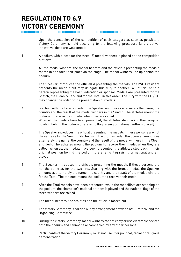# **REGULATION TO 6.9 VICTORY CEREMONY**

Upon the conclusion of the competition of each category as soon as possible a Victory Ceremony is held according to the following procedure (any creative, innovative ideas are welcomed):

- 1 A podium with places for the three (3) medal winners is placed on the competition platform.
- 2 All the medal winners, the medal bearers and the officials presenting the medals march in and take their place on the stage. The medal winners line up behind the podium.
- 3 The Speaker introduces the official(s) presenting the medals. The IWF President presents the medals but may delegate this duty to another IWF official or to a person representing the host Federation or sponsor. Medals are presented for the Snatch, the Clean & Jerk and for the Total, in this order. The Jury with the CD / TD may change the order of the presentation of medals.
- 4 Starting with the bronze medal, the Speaker announces alternately the name, the country and the result of the medal winners in the Snatch. The athletes mount the podium to receive their medal when they are called. When all the medals have been presented, the athletes step back in their original position behind the podium (there is no flag raising or national anthem played).
- 5 The Speaker introduces the official presenting the medals if these persons are not the same as for the Snatch. Starting with the bronze medal, the Speaker announces alternately the name, the country and the result of the medal winners in the Clean and Jerk. The athletes mount the podium to receive their medal when they are called. When all the medals have been presented, the athletes step back in their original position behind the podium (there is no flag raising or national anthem played).
- 6 The Speaker introduces the officials presenting the medals if these persons are not the same as for the two lifts. Starting with the bronze medal, the Speaker announces alternately the name, the country and the result of the medal winners for the Total. The athletes mount the podium to receive their medal.
- 7 After the Total medals have been presented, while the medallists are standing on the podium, the champion's national anthem is played and the national flags of the three winners are raised.
- 8 The medal bearers, the athletes and the officials march out.
- 9 The Victory Ceremony is carried out by arrangement between IWF Protocol and the Organising Committee.
- 10 During the Victory Ceremony, medal winners cannot carry or use electronic devices onto the podium and cannot be accompanied by any other persons.
- 11 Participants of the Victory Ceremony must not use it for political, racial or religious demonstration.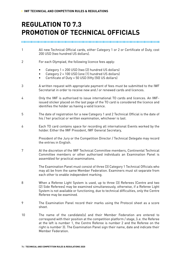# **REGULATION TO 7.3 PROMOTION OF TECHNICAL OFFICIALS**

- 1 All new Technical Official cards, either Category 1 or 2 or Certificate of Duty, cost 200 USD (two hundred US dollars).
- 2 For each Olympiad, the following licence fees apply:
	- Category 1 = 200 USD (two (2) hundred US dollars)
	- Category 2 = 100 USD (one (1) hundred US dollars)
	- Certificate of Duty = 50 USD (fifty (50) US dollars)
- 3 A written request with appropriate payment of fees must be submitted to the IWF Secretariat in order to receive new and / or renewed cards and licences.
- 4 Only the IWF is authorised to issue international TO cards and licences. An IWFissued sticker placed on the last page of the TO card is considered the licence and identifies the holder as having a valid licence.
- 5 The date of registration for a new Category 1 and 2 Technical Official is the date of his / her practical or written examination, whichever is last.
- 6 Each TO card contains space for recording all international Events worked by the holder. Either the IWF President, IWF General Secretary,

President of the Jury or the Competition Director / Technical Delegate may record the entries in English.

7 At the discretion of the IWF Technical Committee members, Continental Technical Committee members or other authorised individuals an Examination Panel is assembled for practical examinations.

> The Examination Panel must consist of three (3) Category 1 Technical Officials who may all be from the same Member Federation. Examiners must sit separate from each other to enable independent marking.

- 8 When a Referee Light System is used, up to three (3) Referees (Centre and two (2) Side Referees) may be examined simultaneously, otherwise, if a Referee Light System is not available or functioning, due to technical difficulties, only the Centre Referee may be examined.
- 9 The Examination Panel record their marks using the Protocol sheet as a score sheet.
- 10 The name of the candidate(s) and their Member Federation are entered to correspond with their position at the competition platform / stage, (i.e. the Referee at the left is number 1, the Centre Referee is number 2 and the Referee on the right is number 3). The Examination Panel sign their name, date and indicate their Member Federation.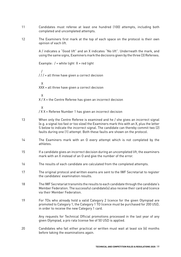- 11 Candidates must referee at least one hundred (100) attempts, including both completed and uncompleted attempts.
- 12 The Examiners first mark at the top of each space on the protocol is their own opinion of each lift.

A / indicates a "Good lift" and an X indicates "No lift". Underneath the mark, and using the same signs, Examiners mark the decisions given by the three (3) Referees.

Example:  $/$  = white light  $X$  = red light

 /  $1/1$  = all three have given a correct decision

 X XXX = all three have given a correct decision

X

 $X/X =$  the Centre Referee has given an incorrect decision

 X / X X = Referee Number 1 has given an incorrect decision

- 13 When only the Centre Referee is examined and he / she gives an incorrect signal (e.g. a signal too fast or too slow) the Examiners mark this with an X, plus the letter S below to indicate the incorrect signal. The candidate can thereby commit two (2) faults during one (1) attempt. Both these faults are shown on the protocol.
- 14 The Examiners mark with an O every attempt which is not completed by the athletes.
- 15 If a candidate gives an incorrect decision during an uncompleted lift, the examiners mark with an X instead of an O and give the number of the error.
- 16 The results of each candidate are calculated from the completed attempts.
- 17 The original protocol and written exams are sent to the IWF Secretariat to register the candidates' examination results.
- 18 The IWF Secretariat transmits the results to each candidate through the candidate's Member Federation. The successful candidate(s) also receive their card and licence via their Member Federation.
- 19 For TOs who already hold a valid Category 2 licence for the given Olympiad are promoted to Category 1, the Category 1 TO licence must be purchased for 200 USD, in order to receive the new Category 1 card.

Any requests for Technical Official promotions processed in the last year of any given Olympiad, a pro rata license fee of 50 USD is applied.

20 Candidates who fail either practical or written must wait at least six (6) months before taking the examinations again.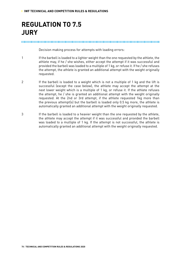# **REGULATION TO 7.5 JURY**

#### 

Decision making process for attempts with loading errors:

- 1 If the barbell is loaded to a lighter weight than the one requested by the athlete, the athlete may, if he / she wishes, either accept the attempt if it was successful and provided the barbell was loaded to a multiple of 1 kg, or refuse it. If he / she refuses the attempt, the athlete is granted an additional attempt with the weight originally requested.
- 2 If the barbell is loaded to a weight which is not a multiple of 1 kg and the lift is successful (except the case below), the athlete may accept the attempt at the next lower weight which is a multiple of 1 kg, or refuse it. If the athlete refuses the attempt, he / she is granted an additional attempt with the weight originally requested. At the 2nd or 3rd attempt, if the athlete requested 1kg more than the previous attempt(s) but the barbell is loaded only 0.5 kg more, the athlete is automatically granted an additional attempt with the weight originally requested.
- 3 If the barbell is loaded to a heavier weight than the one requested by the athlete, the athlete may accept the attempt if it was successful and provided the barbell was loaded to a multiple of 1 kg. If the attempt is not successful, the athlete is automatically granted an additional attempt with the weight originally requested.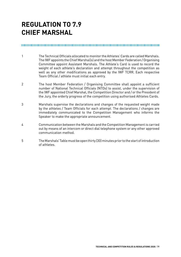# **REGULATION TO 7.9 CHIEF MARSHAL**

#### 

- 1 The Technical Officials allocated to monitor the Athletes' Cards are called Marshals. The IWF appoints the Chief Marshal(s) and the host Member Federation / Organising Committee appoint Assistant Marshals. The Athlete's Card is used to record the weight of each athlete's declaration and attempt throughout the competition as well as any other modifications as approved by the IWF TCRR. Each respective Team Official / athlete must initial each entry.
- 2 The host Member Federation / Organising Committee shall appoint a sufficient number of National Technical Officials (NTOs) to assist, under the supervision of the IWF appointed Chief Marshal, the Competition Director and / or the President of the Jury, the orderly progress of the competition using authorised Athletes Cards.
- 3 Marshals supervise the declarations and changes of the requested weight made by the athletes / Team Officials for each attempt. The declarations / changes are immediately communicated to the Competition Management who informs the Speaker to make the appropriate announcement.
- 4 Communication between the Marshals and the Competition Management is carried out by means of an intercom or direct dial telephone system or any other approved communication method.
- 5 The Marshals' Table must be open thirty (30) minutes prior to the start of introduction of athletes.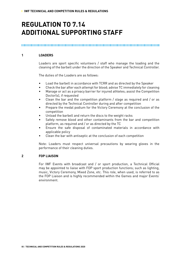# **REGULATION TO 7.14 ADDITIONAL SUPPORTING STAFF**

#### **1 LOADERS**

Loaders are sport specific volunteers / staff who manage the loading and the cleaning of the barbell under the direction of the Speaker and Technical Controller.

The duties of the Loaders are as follows:

- Load the barbell in accordance with TCRR and as directed by the Speaker
- Check the bar after each attempt for blood; advise TC immediately for cleaning
- Manage or act as a privacy barrier for injured athletes; assist the Competition Doctor(s), if requested
- Clean the bar and the competition platform / stage as required and / or as directed by the Technical Controller during and after competition
- Prepare the medal podium for the Victory Ceremony at the conclusion of the competition
- Unload the barbell and return the discs to the weight racks
- Safely remove blood and other contaminants from the bar and competition platform, as required and / or as directed by the TC
- Ensure the safe disposal of contaminated materials in accordance with applicable policy
- Clean the bar with antiseptic at the conclusion of each competition

Note: Loaders must respect universal precautions by wearing gloves in the performance of their cleaning duties.

#### **2 FOP LIAISON**

For IWF Events with broadcast and / or sport production, a Technical Official may be appointed to liaise with FOP sport production functions; such as lighting, music, Victory Ceremony, Mixed Zone, etc. This role, when used, is referred to as the FOP Liaison and is highly recommended within the Games and major Events' environment.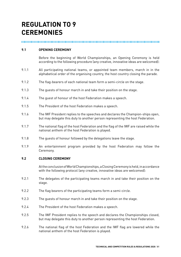# **REGULATION TO 9 CEREMONIES**

#### 

#### **9.1 OPENING CEREMONY**

Before the beginning of World Championships, an Opening Ceremony is held according to the following procedure (any creative, innovative ideas are welcomed):

- 9.1.1 All participating national teams, or appointed team members, march in in the alphabetical order of the organising country, the host country closing the parade.
- 9.1.2 The flag-bearers of each national team form a semi-circle on the stage.
- 9.1.3 The guests of honour march in and take their position on the stage.
- 9.1.4 The guest of honour of the host Federation makes a speech.
- 9.1.5 The President of the host Federation makes a speech.
- 9.1.6 The IWF President replies to the speeches and declares the Champion-ships open, but may delegate this duty to another person representing the host Federation.
- 9.1.7 The national flag of the host Federation and the flag of the IWF are raised while the national anthem of the host Federation is played.
- 9.1.8 The guests of honour followed by the delegations leave the stage.
- 9.1.9 An entertainment program provided by the host Federation may follow the Ceremony.

#### **9.2 CLOSING CEREMONY**

At the conclusion of World Championships, a Closing Ceremony is held, in accordance with the following protocol (any creative, innovative ideas are welcomed):

- 9.2.1 The delegates of the participating teams march in and take their position on the stage.
- 9.2.2 The flag bearers of the participating teams form a semi-circle.
- 9.2.3 The guests of honour march in and take their position on the stage.
- 9.2.4 The President of the host Federation makes a speech.
- 9.2.5 The IWF President replies to the speech and declares the Championships closed, but may delegate this duty to another person representing the host Federation.
- 9.2.6 The national flag of the host Federation and the IWF flag are lowered while the national anthem of the host Federation is played.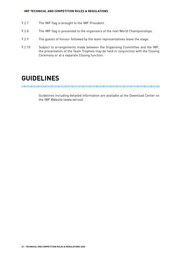#### **› IWF TECHNICAL AND COMPETITION RULES & REGULATIONS**

- 9.2.7 The IWF flag is brought to the IWF President.
- 9.2.8 The IWF flag is presented to the organisers of the next World Championships.
- 9.2.9 The guests of honour followed by the team representatives leave the stage.
- 9.2.10 Subject to arrangements made between the Organising Committee and the IWF, the presentation of the Team Trophies may be held in conjunction with the Closing Ceremony or at a separate Closing function.

### **GUIDELINES**

Guidelines including detailed information are available at the Download Center on the IWF Website (www.iwf.net)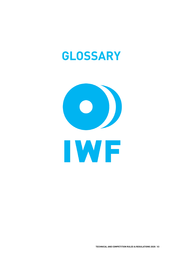# **GLOSSARY**

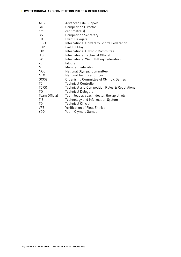#### **› IWF TECHNICAL AND COMPETITION RULES & REGULATIONS**

| <b>Advanced Life Support</b>                      |
|---------------------------------------------------|
| <b>Competition Director</b>                       |
| centimetre(s)                                     |
| <b>Competition Secretary</b>                      |
| Event Delegate                                    |
| <b>International University Sports Federation</b> |
| Field of Play                                     |
| International Olympic Committee                   |
| International Technical Official                  |
| International Weightlifting Federation            |
| kilogram                                          |
| <b>Member Federation</b>                          |
| National Olympic Committee                        |
| National Technical Official                       |
| Organising Committee of Olympic Games             |
| <b>Technical Controller</b>                       |
| Technical and Competition Rules & Regulations     |
| <b>Technical Delegate</b>                         |
| Team leader, coach, doctor, therapist, etc.       |
| <b>Technology and Information System</b>          |
| <b>Technical Official</b>                         |
| <b>Verification of Final Entries</b>              |
| Youth Olympic Games                               |
|                                                   |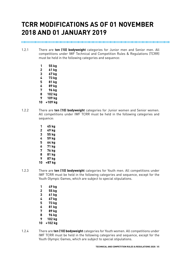# **TCRR MODIFICATIONS AS OF 01 NOVEMBER 2018 AND 01 JANUARY 2019**

#### 

- 1.2.1 There are **ten (10) bodyweight** categories for Junior men and Senior men. All competitions under IWF Technical and Competition Rules & Regulations (TCRR) must be held in the following categories and sequence:
	- **1 55 kg 2 61 kg**
	- **3 67 kg**
	- **4 73 kg**
	- **5 81 kg**
	- **6 89 kg**
	- **7 96 kg**
	- **8 102 kg**
	- **9 109 kg**
	- **10 +109 kg**
- 1.2.2 There are **ten (10) bodyweight** categories for Junior women and Senior women. All competitions under IWF TCRR must be held in the following categories and sequence:
	- **1 45 kg 2 49 kg 3 55 kg**
	- **4 59 kg**
	- **5 64 kg**
	- **6 71 kg**
	- **7 76 kg**
	- **8 81 kg**
	- **9 87 kg**
	- **10 +87 kg**
- 1.2.3 There are **ten (10) bodyweight** categories for Youth men. All competitions under IWF TCRR must be held in the following categories and sequence, except for the Youth Olympic Games, which are subject to special stipulations.
	- **1 49 kg 2 55 kg 3 61 kg 4 67 kg 5 73 kg 6 81 kg 7 89 kg 8 96 kg 9 102 kg**
	- **10 +102 kg**
- 1.2.4 There are **ten (10) bodyweight** categories for Youth women. All competitions under IWF TCRR must be held in the following categories and sequence, except for the Youth Olympic Games, which are subject to special stipulations.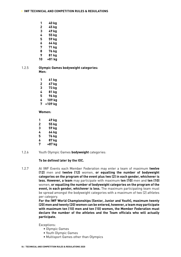- **1 40 kg**
- **2 45 kg**
- **3 49 kg**
- **4 55 kg 5 59 kg**
- 
- **6 64 kg 7 71 kg**
- **8 76 kg**
- **9 81 kg**
- **10 +81 kg**

#### 1.2.5 **Olympic Games bodyweight categories: Men:**

- **1 61 kg 2 67 kg 3 73 kg 4 81 kg 5 96 kg**
- **6 109 kg**
- **7 +109 kg**

#### **Women:**

| 1 | 49 kg  |
|---|--------|
| 2 | 55 kg  |
| 3 | 59 kg  |
| 4 | 64 kg  |
| 5 | 76 kg  |
| 6 | 87 kg  |
| 7 | +87 kg |

1.2.6 Youth Olympic Games **bodyweight** categories:

#### **To be defined later by the IOC.**

1.2.7 At IWF Events each Member Federation may enter a team of maximum **twelve (12)** men and **twelve (12)** women, **or equalling the number of bodyweight categories on the program of the event plus two (2) in each gender, whichever is less. However, a team** may participate with maximum **ten (10)** men and **ten (10)**  women, **or equalling the number of bodyweight categories on the program of the event, in each gender, whichever is less.** The maximum participating team must be spread amongst the bodyweight categories with a maximum of two (2) athletes per category.

**For the IWF World Championships (Senior, Junior and Youth), maximum twenty (20) men and twenty (20) women can be entered, however, a team may participate with maximum ten (10) men and ten (10) women, the Member Federation must declare the number of the athletes and the Team officials who will actually participate.**

Exceptions:

- Olympic Games
- Youth Olympic Games
- Multisport Games other than Olympics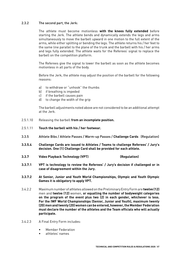#### 2.3.2 The second part, the Jerk:

The athlete must become motionless **with the knees fully extended** before starting the Jerk. The athlete bends and dynamically extends the legs and arms simultaneously to move the barbell upward in one motion to the full extent of the arms, while either splitting or bending the legs. The athlete returns his / her feet to the same line parallel to the plane of the trunk and the barbell with his / her arms and legs fully extended. The athlete waits for the Referees' signal to replace the barbell on the competition platform.

The Referees give the signal to lower the barbell as soon as the athlete becomes motionless in all parts of the body.

Before the Jerk, the athlete may adjust the position of the barbell for the following reasons:

- a) to withdraw or "unhook" the thumbs
- b) if breathing is impeded
- c) if the barbell causes pain
- d) to change the width of the grip

The barbell adjustments noted above are not considered to be an additional attempt at the Jerk.

- 2.5.1.10 Releasing the barbell **from an incomplete position.**
- 2.5.1.11 **Touch the barbell with his / her footwear.**
- 3.3.5 Athlete Bibs / Athlete Passes / Warm-up Passes / **Challenge Cards** (Regulation)
- **3.3.5.4 Challenge Cards are issued to Athletes / Teams to challenge Referees' / Jury's decision. One (1) Challenge Card shall be provided for each athlete.**
- **3.3.7 Video Playback Technology (VPT) (Regulation)**
- **3.3.7.1 VPT is technology to review the Referees' / Jury's decision if challenged or in case of disagreement within the Jury.**
- **3.3.7.2 At Senior, Junior and Youth World Championships, Olympic and Youth Olympic Games it is obligatory to apply VPT.**
- 3.4.2.2 Maximum number of athletes allowed on the Preliminary Entry Form are **twelve (12)**  men and **twelve (12)** women, **or equalling the number of bodyweight categories on the program of the event plus two (2) in each gender, whichever is less. For the IWF World Championships (Senior, Junior and Youth), maximum twenty (20) men and twenty (20) women can be entered, however, the Member Federation must declare the number of the athletes and the Team officials who will actually participate.**
- 3.4.2.3 A Final Entry Form includes:
	- Member Federation
	- athletes' names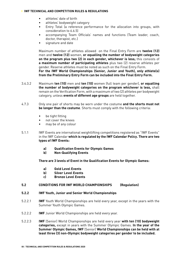#### **› IWF TECHNICAL AND COMPETITION RULES & REGULATIONS**

- athletes' date of birth
- athletes' bodyweight category
- Entry Total (a reference performance for the allocation into groups, with consideration to 6.6.5)
- accompanying Team Officials' names and functions (Team leader, coach, doctor, therapist, etc.)
- signature and date

Maximum number of athletes allowed on the Final Entry Form are **twelve (12)**  men and **twelve (12)** women, **or equalling the number of bodyweight categories on the program plus two (2) in each gender, whichever is less;** this consists of **a maximum number of participating athletes** plus two (2) reserve athletes per gender. Reserve athletes must be noted as such on the Final Entry Form. **For the IWF World Championships (Senior, Junior and Youth), only athlete(s) from the Preliminary Entry Form can be included into the Final Entry Form.**

- 3.4.3.2 Maximum **ten (10)** men and **ten (10)** women (full team per gender), **or equalling the number of bodyweight categories on the program whichever is less,** shall remain on the Verification Form, with a maximum of two (2) athletes per bodyweight category, unless **events of different age groups** are held together.
- 4.7.3 Only one pair of shorts may be worn under the costume **and the shorts must not be longer than the costume**. Shorts must comply with the following criteria:
	- be tight fitting
	- not cover the knees
	- may be of any colour
- 5.1.1 IWF Events are international weightlifting competitions registered as "IWF Events" in the IWF Calendar **which is regulated by the IWF Calendar Policy. There are two types of IWF Events:**
	- **a) Qualification Events for Olympic Games**
	- **b) Non-Qualifying Events**

#### **There are 3 levels of Event in the Qualification Events for Olympic Games:**

- **a) Gold Level Events**
- **b) Silver Level Events**
- **c) Bronze Level Events**

#### **5.2 CONDITIONS FOR IWF WORLD CHAMPIONSHIPS (Regulation)**

#### **5.2.2 IWF Youth, Junior and Senior World Championships**

- 5.2.2.1 **IWF** Youth World Championships are held every year, except in the years with the Summer Youth Olympic Games.
- 5.2.2.2 **IWF** Junior World Championships are held every year.
- 5.2.2.3 **IWF** (Senior) World Championships are held every year **with ten (10) bodyweight categories,** except in years with the Summer Olympic Games. **In the year of the Summer Olympic Games, IWF** (Senior) **World Championships can be held with at least three (3) non-Olympic bodyweight categories per gender to be included.**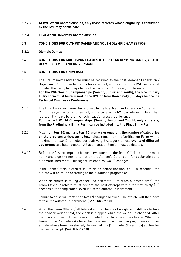- 5.2.2.4 **At IWF World Championships, only those athletes whose eligibility is confirmed by the IWF may participate.**
- **5.2.3 FISU World University Championships**

#### **5.3 CONDITIONS FOR OLYMPIC GAMES AND YOUTH OLYMPIC GAMES (YOG)**

**5.3.2 Olympic Games**

#### **5.4 CONDITIONS FOR MULTISPORT GAMES OTHER THAN OLYMPIC GAMES, YOUTH OLYMPIC GAMES AND UNIVERSIADE**

#### **5.5 CONDITIONS FOR UNIVERSIADE**

- 6.1.3 The Preliminary Entry Form must be returned to the host Member Federation / Organising Committee (either by fax or e-mail) with a copy to the IWF Secretariat no later than sixty (60) days before the Technical Congress / Conference. **For the IWF World Championships (Senior, Junior and Youth), the Preliminary Entry Form must be returned to the IWF no later than ninety (90) days before the Technical Congress / Conference.**
- 6.1.4 The Final Entry Form must be returned to the host Member Federation / Organising Committee (either by fax or e-mail) with a copy to the IWF Secretariat no later than fourteen (14) days before the Technical Congress / Conference. **For the IWF World Championships (Senior, Junior and Youth), only athlete(s) from the Preliminary Entry Form can be included into the Final Entry Form.**
- 6.2.5 Maximum **ten (10)** men and **ten (10)** women, **or equalling the number of categories on the program whichever is less,** shall remain on the Verification Form with a maximum of two (2) athletes per bodyweight category, unless **events of different age groups** are held together. All additional athlete(s) must be deleted.
- 6.6.12 Before the first attempt and between two attempts the Team Official / athlete must notify and sign the next attempt on the Athlete's Card; both for declaration and automatic increment. This signature enables two (2) changes.

If the Team Official / athlete fail to do so before the final call (30 seconds), the athlete will be called according to the automatic progression.

When an athlete is taking consecutive attempts (2 minutes allocated time), the Team Official / athlete must declare the next attempt within the first thirty (30) seconds after being called, even if it is the automatic increment.

Failure to do so will forfeit the two (2) changes allowed. The athlete will then have to take the automatic increment. **(See TCRR 7.10)**

6.6.13 When the Team Official / athlete asks for a change of weight and still has to take the heavier weight next, the clock is stopped while the weight is changed. After the change of weight has been completed, the clock continues to run. When the Team Official / athlete asks for a change of weight and, in doing so, follows another athlete whose time has started, the normal one (1) minute (60 seconds) applies for the next attempt. **(See TCRR 7.10)**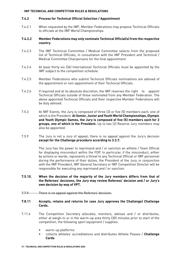#### **› IWF TECHNICAL AND COMPETITION RULES & REGULATIONS**

#### **7.4.2 Process for Technical Official Selection / Appointment**

7.4.2.1 When requested by the IWF, Member Federations may propose Technical Officials to officiate at the IWF World Championships.

#### **7.4.2.2 Member Federations may only nominate Technical Official(s) from the respective country.**

- 7.4.2.3 The IWF Technical Committee / Medical Committee selects from the proposed list of Technical Officials, in consultation with the IWF President and Technical / Medical Committee Chairpersons for the final appointment.
- 7.4.2.4 At least thirty-six (36) International Technical Officials must be appointed by the IWF subject to the competition schedule.
- 7.4.2.5 Member Federations who submit Technical Officials nominations are advised of the appointment or non-appointment of their Technical Officials.
- 7.4.2.6 If required and at its absolute discretion, the IWF reserves the right to appoint Technical Officials outside of those nominated from any Member Federation. The above appointed Technical Officials and their respective Member Federations will be duly advised.
- 7.5.3 At IWF Events, the Jury is composed of three (3) or five (5) members each, one of which is the President. **At Senior, Junior and Youth World Championships, Olympic and Youth Olympic Games, the Jury is composed of five (5) members each for 2 groups, one of which is the President.** Up to two (2) Reserve Jury members may also be appointed.
- 7.5.9 The Jury is not a Jury of appeal; there is no appeal against the Jury's decision **except for the Challenge procedure according to 3.3.7.**

The Jury has the power to reprimand and / or sanction an athlete / Team Official for displaying misconduct within the FOP. In particular, if the misconduct, either by actions or words, represents a threat to any Technical Official or IWF personnel during the performance of their duties, the President of the Jury, in conjunction with the IWF President, IWF General Secretary or IWF Competition Director will be responsible for executing any reprimand and / or sanction.

#### **7.5.10. When the decision of the majority of the Jury members differs from that of the Referees' decisions, the Jury may review Referees' decision and / or Jury's own decision by way of VPT.**

7.7.9 There is no appeal against the Referees' decision.

#### **7.8.11 Accepts, retains and returns (in case Jury approves the Challenge) Challenge Cards.**

- 7.11.6 The Competition Secretary allocates, monitors, advises and / or distributes, either at weigh-in or in the warm-up area thirty (30) minutes prior to start of the competition, the following sport equipment / supplies:
	- warm-up platforms
	- collects athletes' accreditations and distributes Athlete Passes / **Challenge Cards**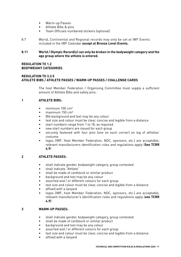- Warm-up Passes
- Athlete Bibs & pins
- Team Officials numbered stickers (optional)
- 8.7 World, Continental and Regional records may only be set at IWF Events included in the IWF Calendar **except at Bronze Level Events.**

#### **8.11 World / Olympic Record(s) can only be broken in the bodyweight category and the age group where the athlete is entered.**

#### **REGULATION TO 1.2 BODYWEIGHT CATEGORIES**

#### **REGULATION TO 3.3.5 ATHLETE BIBS / ATHLETE PASSES / WARM-UP PASSES / CHALLENGE CARDS**

The host Member Federation / Organising Committee must supply a sufficient amount of Athlete Bibs and safety pins:

#### **1 ATHLETE BIBS:**

- minimum 100 cm<sup>2</sup>
- maximum 150 cm²
- Bib background and text may be any colour
- text size and colour must be clear, concise and legible from a distance
- start numbers range from 1 to 18, as required
- new start numbers are issued for each group
- securely fastened with four pins (one on each corner) on leg of athletes' costume
- logos (IWF, Host Member Federation, NOC, sponsors, etc.) are acceptable; relevant manufacturers identification rules and regulations apply (**See TCRR 4.9**)

#### **2 ATHLETE PASSES:**

- shall indicate gender, bodyweight category, group contested
- shall indicate "Athlete"
- shall be made of cardstock or similar product
- background and text may be any colour
- assorted and / or different colours for each group
- text size and colour must be clear, concise and legible from a distance
- affixed with a lanyard
- logos (IWF, host Member Federation, NOC, sponsors, etc.) are acceptable; relevant manufacturer's identification rules and regulations apply (**see TCRR 4.9)**

#### **3 WARM-UP PASSES:**

- shall indicate gender, bodyweight category, group contested
- shall be made of cardstock or similar product
- background and text may be any colour
- assorted and / or different colours for each group
- text size and colour must be clear, concise and legible from a distance
- affixed with a lanyard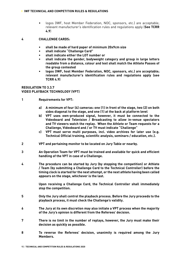#### **› IWF TECHNICAL AND COMPETITION RULES & REGULATIONS**

• logos (IWF, host Member Federation, NOC, sponsors, etc.) are acceptable; relevant manufacturer's identification rules and regulations apply (**See TCRR 4.9**)

#### **4 CHALLENGE CARDS:**

- **shall be made of hard paper of minimum 20x9cm size**
- **shall indicate "Challenge Card"**
- **shall indicate either the LOT number or**
- **shall indicate the gender, bodyweight category and group in large letters readable from a distance, colour and text shall match the Athlete Passes of the group contested**
- **logos (IWF, host Member Federation, NOC, sponsors, etc.) are acceptable; relevant manufacturer's identification rules and regulations apply (see TCRR 4.9)**

#### **REGULATION TO 3.3.7 VIDEO PLAYBACK TECHNOLOGY (VPT)**

- **1 Requirements for VPT:**
	- **a) A minimum of four (4) cameras: one (1) in front of the stage, two (2) on both sides diagonal to the stage, and one (1) at the back at platform level**
	- **b) VPT uses own-produced signal, however, it must be connected to the Videoboard and Television / Broadcasting to allow in-venue spectators and TV viewers watch the replay. When the Athlete or Team requests for a Challenge, Videoboard and / or TV must indicate "Challenge"**
	- **c) VPT must serve multi purposes, incl. video archives for later use (e.g. Technical Official training, scientific analysis, seminars / education, etc.).**
- **2 VPT and pertaining monitor to be located on Jury Table or nearby.**
- **3 An Operation Team for VPT must be trained and available for quick and efficient handling of the VPT in case of a Challenge.**
- **4 The procedure can be started by Jury (by stopping the competition) or Athlete / Team (by submitting a Challenge Card to the Technical Controller) before the timing clock is started for the next attempt, or the next athlete having been called appears on the stage, whichever is the last.**

**Upon receiving a Challenge Card, the Technical Controller shall immediately stop the competition.**

- **5 Only the Jury shall control the playback process. Before the Jury proceeds to the playback process, it must check the Challenge's validity.**
- **6 The Jury at its own discretion may also initiate a VPT process when the majority of the Jury's opinion is different from the Referees' decision.**
- **7 There is no limit in the number of replays, however, the Jury must make their decision as quickly as possible.**
- **8 To reverse the Referees' decision, unanimity is required among the Jury Members.**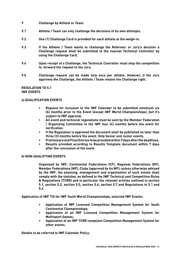- **9 Challenge by Athlete or Team.**
- **9.1 Athlete / Team can only challenge the decisions of its own attempts.**
- **9.2 One (1) Challenge Card is provided for each athlete at the weigh-in.**
- **9.3 If the Athlete / Team wants to challenge the Referees' or Jury's decision a Challenge request shall be submitted to the nearest Technical Controller by using the Challenge Card.**
- **9.4 Upon receipt of a Challenge, the Technical Controller must stop the competition to forward the request to the Jury.**
- **9.5 Challenge request can be made only once per athlete. However, if the Jury approves the Challenge, the Athlete / Team retains the Challenge right.**

#### **REGULATION TO 5.1 IWF EVENTS**

#### **a) QUALIFICATION EVENTS**

- **Request for inclusion to the IWF Calendar to be submitted minimum six (6) months prior to the Event (except IWF World Championships), but it's subject to IWF approval.**
- **All event and technical regulations must be sent by the Member Federation / Organizing Committee to the IWF four (4) months before the event for verification.**
- **If the Regulation is approved the document shall be published no later than three (3) months before the event. Only Senior and Junior events.**
- **Preliminary and Final Entries to be provided within 7 days after the deadlines.**
- **Results provided according to Results Template document within 7 days after the conclusion of the event.**

#### **b) NON-QUALIFYING EVENTS**

**Organized by IWF, Continental Federations (CF), Regional Federations (RF), Member Federations (MF), Clubs (approved by its MF); unless otherwise advised by the IWF, the planning, management and organisation of such events shall comply with the statutes, as defined in the IWF Technical and Competition Rules & Regulations (TCRR) and in particular the relevant articles outlined in section 5.1, section 5.2, section 5.5, section 5.6, section 5.7 and Regulations to 5.1 and 5.2.**

**Application of IWF TIS for IWF Youth World Championships, selected IWF Events:**

- **Application of IWF Licensed Competition Management System for Youth Continental Championships;**
- **Application of an IWF Licensed Competition Management System for Multisport Games;**
- **Application of an IWF TCRR compliant Competition Management System for other events.**

**Details to be referred to IWF Calendar Policy.**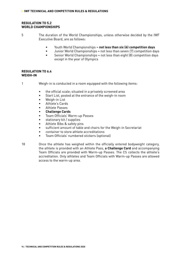#### **REGULATION TO 5.2 WORLD CHAMPIONSHIPS**

5 The duration of the World Championships, unless otherwise decided by the IWF Executive Board, are as follows:

- Youth World Championships = **not less than six (6) competition days**
- Junior World Championships = not less than seven (7) competition days
- Senior World Championships = not less than eight (8) competition days except in the year of Olympics

#### **REGULATION TO 6.4 WEIGH-IN**

1 Weigh-in is conducted in a room equipped with the following items:

- the official scale; situated in a privately screened area
- Start List, posted at the entrance of the weigh-in room
- Weigh-in List
- Athlete's Cards
- Athlete Passes
- **Challenge Cards**
- Team Officials' Warm-up Passes
- stationary kit / supplies
- Athlete Bibs & safety pins
- sufficient amount of table and chairs for the Weigh-in Secretariat
- container to store athlete accreditations
- Team Officials' numbered stickers (optional)
- 18 Once the athlete has weighed within the officially entered bodyweight category, the athlete is provided with an Athlete Pass, **a Challenge Card** and accompanying Team Officials are provided with Warm-up Passes. The CS collects the athlete's accreditation. Only athletes and Team Officials with Warm-up Passes are allowed access to the warm-up area.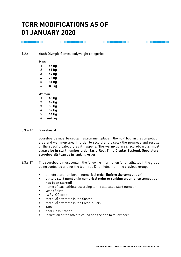# **TCRR MODIFICATIONS AS OF 01 JANUARY 2020**

1.2.6 Youth Olympic Games bodyweight categories:

#### **Men:**

| 1      | 55 kg  |  |
|--------|--------|--|
| 2      | 61 kg  |  |
| 3      | 67 kg  |  |
| 4      | 73 kg  |  |
| 5      | 81 kg  |  |
| 6      | +81 kg |  |
| Women: |        |  |
|        |        |  |

#### **1 45 kg 2 49 kg 3 55 kg 4 59 kg**

- **5 64 kg**
- **6 +64 kg**

#### 3.3.6.16 Scoreboard

Scoreboards must be set up in a prominent place in the FOP, both in the competition area and warm-up area in order to record and display the progress and results of the specific category as it happens. **The warm-up area, scoreboard(s) must always be in start number order (as a Real Time Display System). Spectators, scoreboard(s) can be in ranking order.**

- 3.3.6.17 The scoreboard must contain the following information for all athletes in the group being contested and for the top three (3) athletes from the previous groups:
	- athlete start number, in numerical order **(before the competition)**
	- **• athlete start number, in numerical order or ranking order (once competition has been started)**
	- name of each athlete according to the allocated start number
	- year of birth
	- IWF / IOC code
	- three (3) attempts in the Snatch
	- three (3) attempts in the Clean & Jerk
	- Total
	- final classification
	- indication of the athlete called and the one to follow next